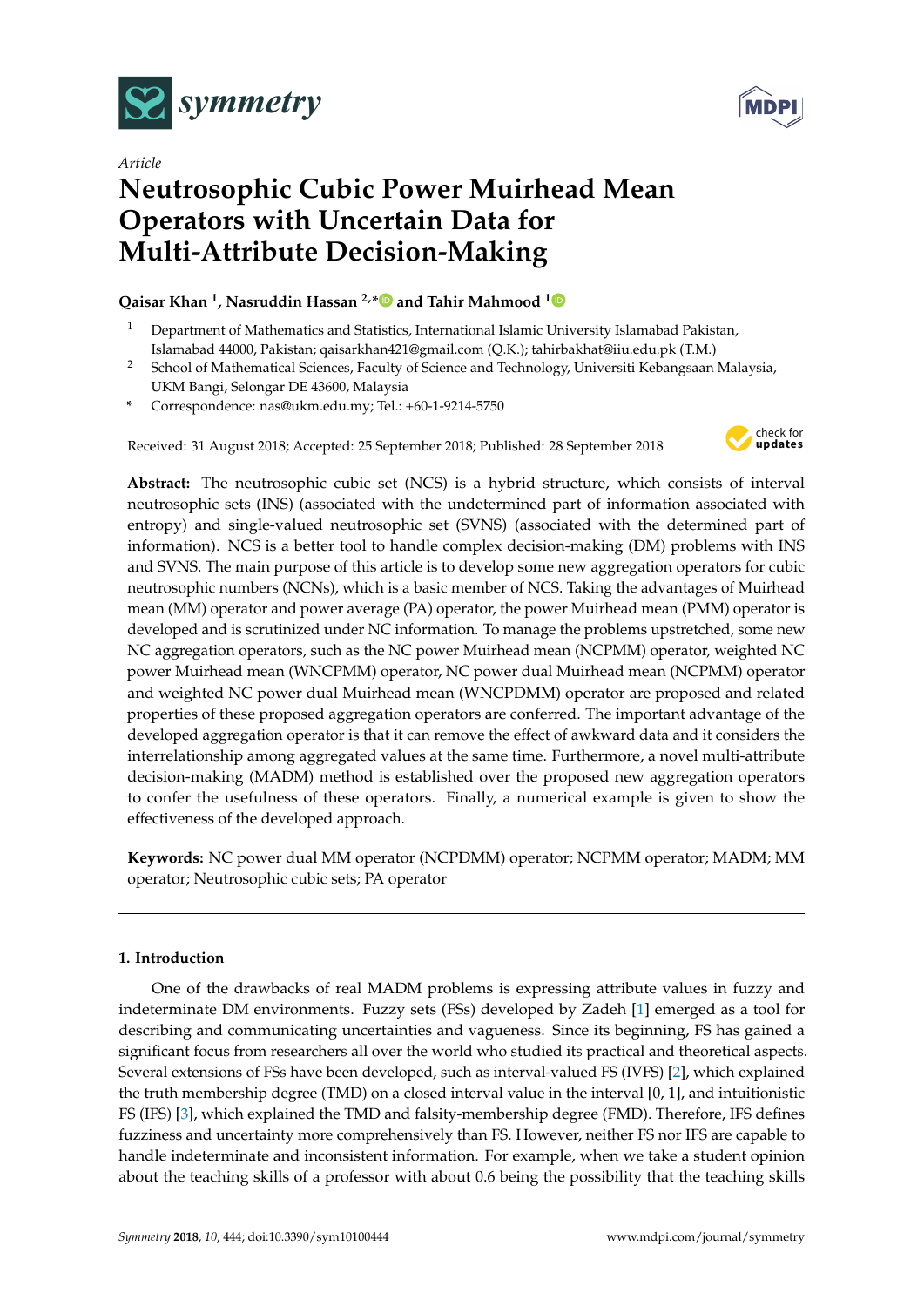





# **Neutrosophic Cubic Power Muirhead Mean Operators with Uncertain Data for Multi-Attribute Decision-Making**

## **Qaisar Khan <sup>1</sup> , Nasruddin Hassan 2,[\\*](https://orcid.org/0000-0002-1659-7089) and Tahir Mahmood [1](https://orcid.org/0000-0002-3871-3845)**

- <sup>1</sup> Department of Mathematics and Statistics, International Islamic University Islamabad Pakistan, Islamabad 44000, Pakistan; qaisarkhan421@gmail.com (Q.K.); tahirbakhat@iiu.edu.pk (T.M.)
- <sup>2</sup> School of Mathematical Sciences, Faculty of Science and Technology, Universiti Kebangsaan Malaysia, UKM Bangi, Selongar DE 43600, Malaysia
- **\*** Correspondence: nas@ukm.edu.my; Tel.: +60-1-9214-5750

Received: 31 August 2018; Accepted: 25 September 2018; Published: 28 September 2018



**Abstract:** The neutrosophic cubic set (NCS) is a hybrid structure, which consists of interval neutrosophic sets (INS) (associated with the undetermined part of information associated with entropy) and single-valued neutrosophic set (SVNS) (associated with the determined part of information). NCS is a better tool to handle complex decision-making (DM) problems with INS and SVNS. The main purpose of this article is to develop some new aggregation operators for cubic neutrosophic numbers (NCNs), which is a basic member of NCS. Taking the advantages of Muirhead mean (MM) operator and power average (PA) operator, the power Muirhead mean (PMM) operator is developed and is scrutinized under NC information. To manage the problems upstretched, some new NC aggregation operators, such as the NC power Muirhead mean (NCPMM) operator, weighted NC power Muirhead mean (WNCPMM) operator, NC power dual Muirhead mean (NCPMM) operator and weighted NC power dual Muirhead mean (WNCPDMM) operator are proposed and related properties of these proposed aggregation operators are conferred. The important advantage of the developed aggregation operator is that it can remove the effect of awkward data and it considers the interrelationship among aggregated values at the same time. Furthermore, a novel multi-attribute decision-making (MADM) method is established over the proposed new aggregation operators to confer the usefulness of these operators. Finally, a numerical example is given to show the effectiveness of the developed approach.

**Keywords:** NC power dual MM operator (NCPDMM) operator; NCPMM operator; MADM; MM operator; Neutrosophic cubic sets; PA operator

## **1. Introduction**

One of the drawbacks of real MADM problems is expressing attribute values in fuzzy and indeterminate DM environments. Fuzzy sets (FSs) developed by Zadeh [\[1\]](#page-21-0) emerged as a tool for describing and communicating uncertainties and vagueness. Since its beginning, FS has gained a significant focus from researchers all over the world who studied its practical and theoretical aspects. Several extensions of FSs have been developed, such as interval-valued FS (IVFS) [\[2\]](#page-21-1), which explained the truth membership degree (TMD) on a closed interval value in the interval [0, 1], and intuitionistic FS (IFS) [\[3\]](#page-21-2), which explained the TMD and falsity-membership degree (FMD). Therefore, IFS defines fuzziness and uncertainty more comprehensively than FS. However, neither FS nor IFS are capable to handle indeterminate and inconsistent information. For example, when we take a student opinion about the teaching skills of a professor with about 0.6 being the possibility that the teaching skills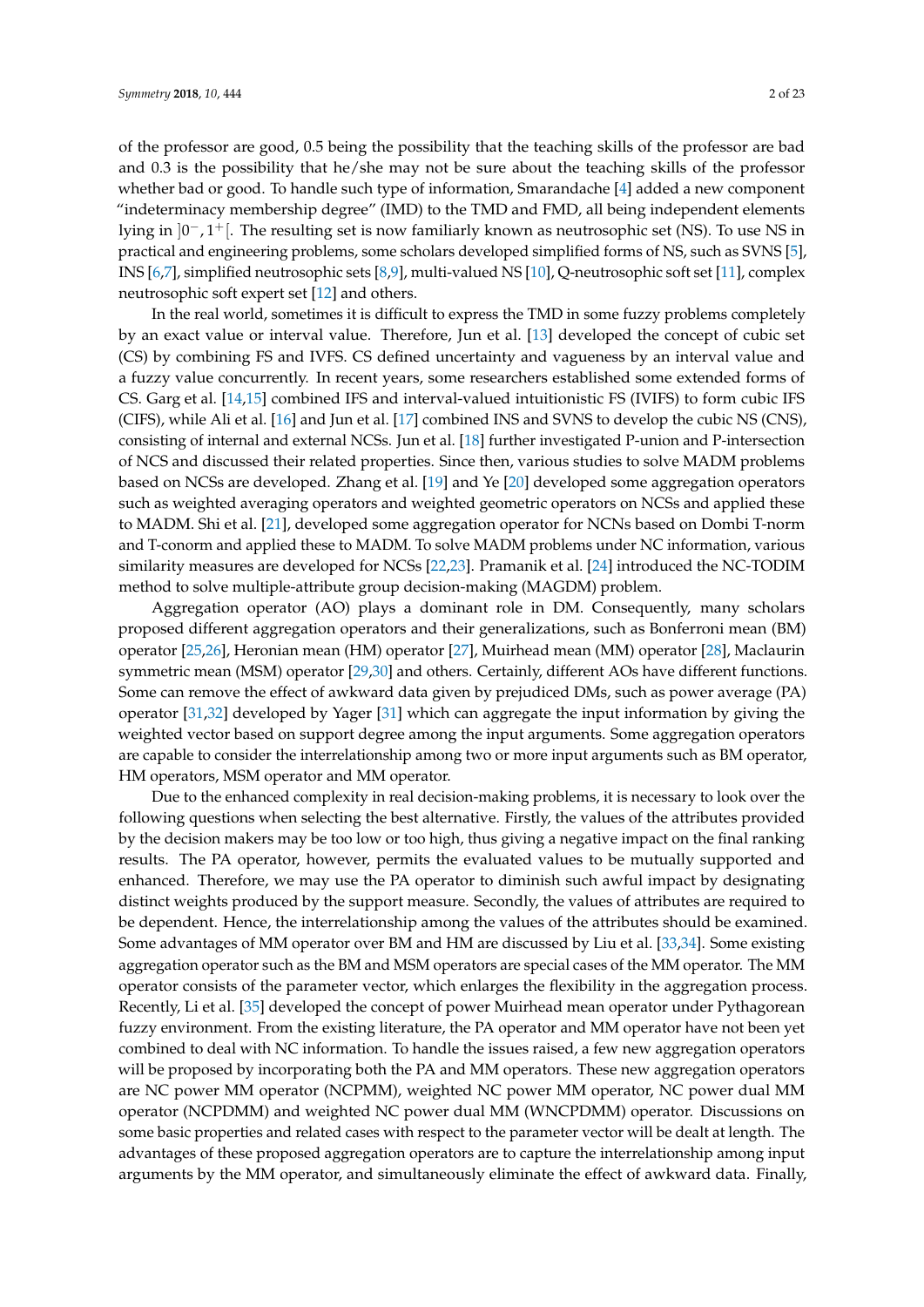of the professor are good, 0.5 being the possibility that the teaching skills of the professor are bad and 0.3 is the possibility that he/she may not be sure about the teaching skills of the professor whether bad or good. To handle such type of information, Smarandache [\[4\]](#page-21-3) added a new component "indeterminacy membership degree" (IMD) to the TMD and FMD, all being independent elements lying in  $]0^-,1^+[$ . The resulting set is now familiarly known as neutrosophic set (NS). To use NS in practical and engineering problems, some scholars developed simplified forms of NS, such as SVNS [\[5\]](#page-21-4), INS [\[6](#page-21-5)[,7\]](#page-21-6), simplified neutrosophic sets [\[8,](#page-21-7)[9\]](#page-21-8), multi-valued NS [\[10\]](#page-21-9), Q-neutrosophic soft set [\[11\]](#page-21-10), complex neutrosophic soft expert set [\[12\]](#page-21-11) and others.

In the real world, sometimes it is difficult to express the TMD in some fuzzy problems completely by an exact value or interval value. Therefore, Jun et al. [\[13\]](#page-21-12) developed the concept of cubic set (CS) by combining FS and IVFS. CS defined uncertainty and vagueness by an interval value and a fuzzy value concurrently. In recent years, some researchers established some extended forms of CS. Garg et al. [\[14,](#page-21-13)[15\]](#page-21-14) combined IFS and interval-valued intuitionistic FS (IVIFS) to form cubic IFS (CIFS), while Ali et al. [\[16\]](#page-22-0) and Jun et al. [\[17\]](#page-22-1) combined INS and SVNS to develop the cubic NS (CNS), consisting of internal and external NCSs. Jun et al. [\[18\]](#page-22-2) further investigated P-union and P-intersection of NCS and discussed their related properties. Since then, various studies to solve MADM problems based on NCSs are developed. Zhang et al. [\[19\]](#page-22-3) and Ye [\[20\]](#page-22-4) developed some aggregation operators such as weighted averaging operators and weighted geometric operators on NCSs and applied these to MADM. Shi et al. [\[21\]](#page-22-5), developed some aggregation operator for NCNs based on Dombi T-norm and T-conorm and applied these to MADM. To solve MADM problems under NC information, various similarity measures are developed for NCSs [\[22,](#page-22-6)[23\]](#page-22-7). Pramanik et al. [\[24\]](#page-22-8) introduced the NC-TODIM method to solve multiple-attribute group decision-making (MAGDM) problem.

Aggregation operator (AO) plays a dominant role in DM. Consequently, many scholars proposed different aggregation operators and their generalizations, such as Bonferroni mean (BM) operator [\[25,](#page-22-9)[26\]](#page-22-10), Heronian mean (HM) operator [\[27\]](#page-22-11), Muirhead mean (MM) operator [\[28\]](#page-22-12), Maclaurin symmetric mean (MSM) operator [\[29,](#page-22-13)[30\]](#page-22-14) and others. Certainly, different AOs have different functions. Some can remove the effect of awkward data given by prejudiced DMs, such as power average (PA) operator [\[31](#page-22-15)[,32\]](#page-22-16) developed by Yager [\[31\]](#page-22-15) which can aggregate the input information by giving the weighted vector based on support degree among the input arguments. Some aggregation operators are capable to consider the interrelationship among two or more input arguments such as BM operator, HM operators, MSM operator and MM operator.

Due to the enhanced complexity in real decision-making problems, it is necessary to look over the following questions when selecting the best alternative. Firstly, the values of the attributes provided by the decision makers may be too low or too high, thus giving a negative impact on the final ranking results. The PA operator, however, permits the evaluated values to be mutually supported and enhanced. Therefore, we may use the PA operator to diminish such awful impact by designating distinct weights produced by the support measure. Secondly, the values of attributes are required to be dependent. Hence, the interrelationship among the values of the attributes should be examined. Some advantages of MM operator over BM and HM are discussed by Liu et al. [\[33](#page-22-17)[,34\]](#page-22-18). Some existing aggregation operator such as the BM and MSM operators are special cases of the MM operator. The MM operator consists of the parameter vector, which enlarges the flexibility in the aggregation process. Recently, Li et al. [\[35\]](#page-22-19) developed the concept of power Muirhead mean operator under Pythagorean fuzzy environment. From the existing literature, the PA operator and MM operator have not been yet combined to deal with NC information. To handle the issues raised, a few new aggregation operators will be proposed by incorporating both the PA and MM operators. These new aggregation operators are NC power MM operator (NCPMM), weighted NC power MM operator, NC power dual MM operator (NCPDMM) and weighted NC power dual MM (WNCPDMM) operator. Discussions on some basic properties and related cases with respect to the parameter vector will be dealt at length. The advantages of these proposed aggregation operators are to capture the interrelationship among input arguments by the MM operator, and simultaneously eliminate the effect of awkward data. Finally,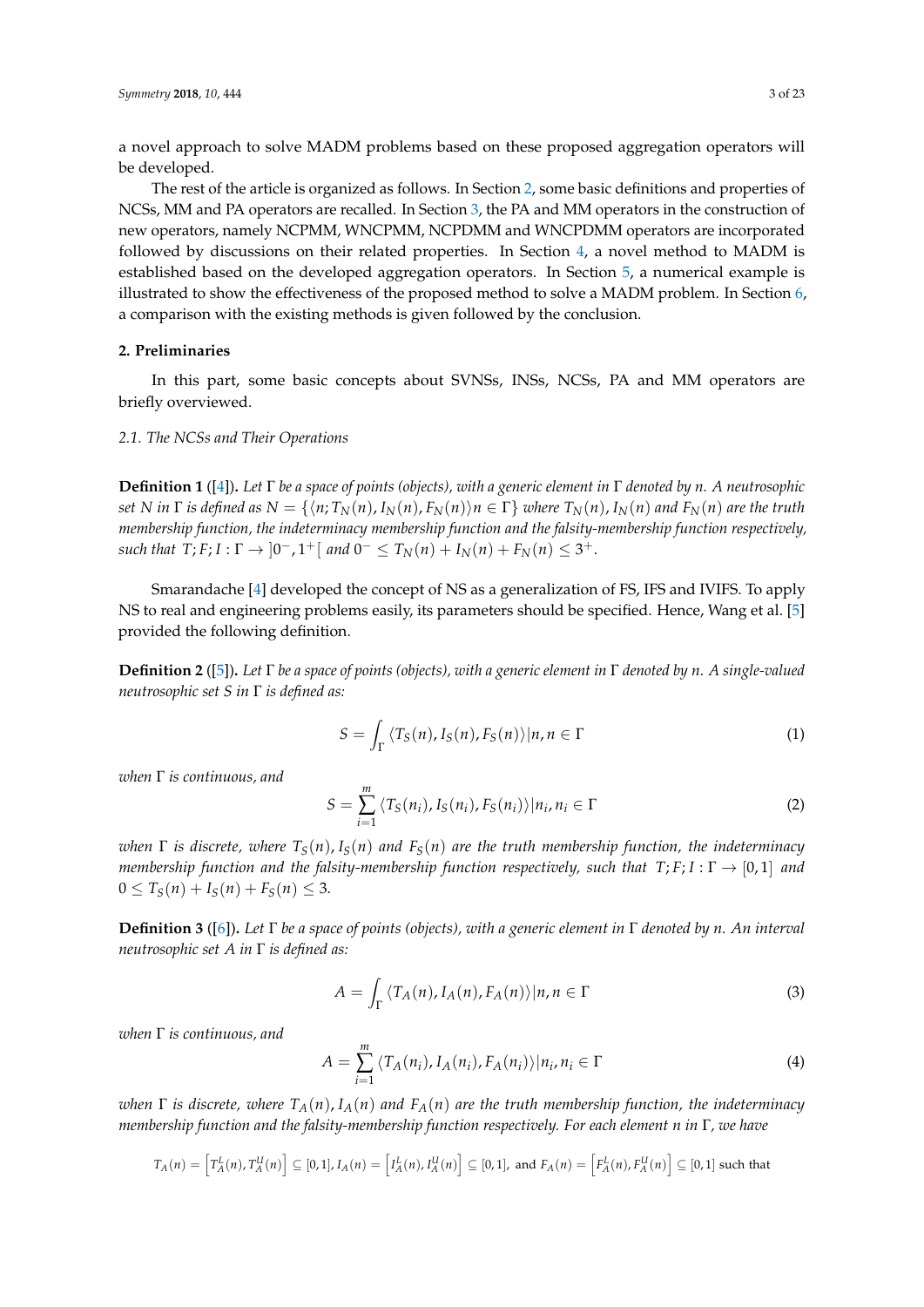a novel approach to solve MADM problems based on these proposed aggregation operators will be developed.

The rest of the article is organized as follows. In Section [2,](#page-2-0) some basic definitions and properties of NCSs, MM and PA operators are recalled. In Section [3,](#page-5-0) the PA and MM operators in the construction of new operators, namely NCPMM, WNCPMM, NCPDMM and WNCPDMM operators are incorporated followed by discussions on their related properties. In Section [4,](#page-15-0) a novel method to MADM is established based on the developed aggregation operators. In Section [5,](#page-16-0) a numerical example is illustrated to show the effectiveness of the proposed method to solve a MADM problem. In Section [6,](#page-19-0) a comparison with the existing methods is given followed by the conclusion.

## <span id="page-2-0"></span>**2. Preliminaries**

In this part, some basic concepts about SVNSs, INSs, NCSs, PA and MM operators are briefly overviewed.

## *2.1. The NCSs and Their Operations*

**Definition 1** ([\[4\]](#page-21-3))**.** *Let* Γ *be a space of points (objects), with a generic element in* Γ *denoted by n. A neutrosophic* set N in  $\Gamma$  is defined as  $N = \{ \langle n; T_N(n), I_N(n), F_N(n) \rangle \}$   $\in \Gamma \}$  where  $T_N(n)$ ,  $I_N(n)$  and  $F_N(n)$  are the truth *membership function, the indeterminacy membership function and the falsity-membership function respectively,*  $\frac{1}{2}$  *such that*  $T; F; I: \Gamma \to [0^-, 1^+]$  *and*  $0^- \le T_N(n) + I_N(n) + F_N(n) \le 3^+$ .

Smarandache [\[4\]](#page-21-3) developed the concept of NS as a generalization of FS, IFS and IVIFS. To apply NS to real and engineering problems easily, its parameters should be specified. Hence, Wang et al. [\[5\]](#page-21-4) provided the following definition.

**Definition 2** ([\[5\]](#page-21-4))**.** *Let* Γ *be a space of points (objects), with a generic element in* Γ *denoted by n. A single-valued neutrosophic set S in* Γ *is defined as:*

$$
S = \int_{\Gamma} \langle T_S(n), I_S(n), F_S(n) \rangle | n, n \in \Gamma
$$
 (1)

*when* Γ *is continuous, and*

$$
S = \sum_{i=1}^{m} \langle T_S(n_i), I_S(n_i), F_S(n_i) \rangle | n_i, n_i \in \Gamma
$$
 (2)

*when* Γ *is discrete, where TS*(*n*), *IS*(*n*) *and FS*(*n*) *are the truth membership function, the indeterminacy membership function and the falsity-membership function respectively, such that*  $T$ ;  $F$ ;  $I : \Gamma \rightarrow [0,1]$  *and*  $0 \leq T_S(n) + I_S(n) + F_S(n) \leq 3.$ 

**Definition 3** ([\[6\]](#page-21-5))**.** *Let* Γ *be a space of points (objects), with a generic element in* Γ *denoted by n. An interval neutrosophic set A in* Γ *is defined as:*

$$
A = \int_{\Gamma} \langle T_A(n), I_A(n), F_A(n) \rangle | n, n \in \Gamma
$$
 (3)

*when* Γ *is continuous, and*

$$
A = \sum_{i=1}^{m} \langle T_A(n_i), I_A(n_i), F_A(n_i) \rangle | n_i, n_i \in \Gamma
$$
\n(4)

*when* Γ *is discrete, where*  $T_A(n)$ ,  $I_A(n)$  *and*  $F_A(n)$  *are the truth membership function, the indeterminacy membership function and the falsity-membership function respectively. For each element n in* Γ*, we have*

$$
T_A(n) = \left[ T_A^L(n), T_A^U(n) \right] \subseteq [0,1], I_A(n) = \left[ I_A^L(n), I_A^U(n) \right] \subseteq [0,1], \text{ and } F_A(n) = \left[ F_A^L(n), F_A^U(n) \right] \subseteq [0,1] \text{ such that}
$$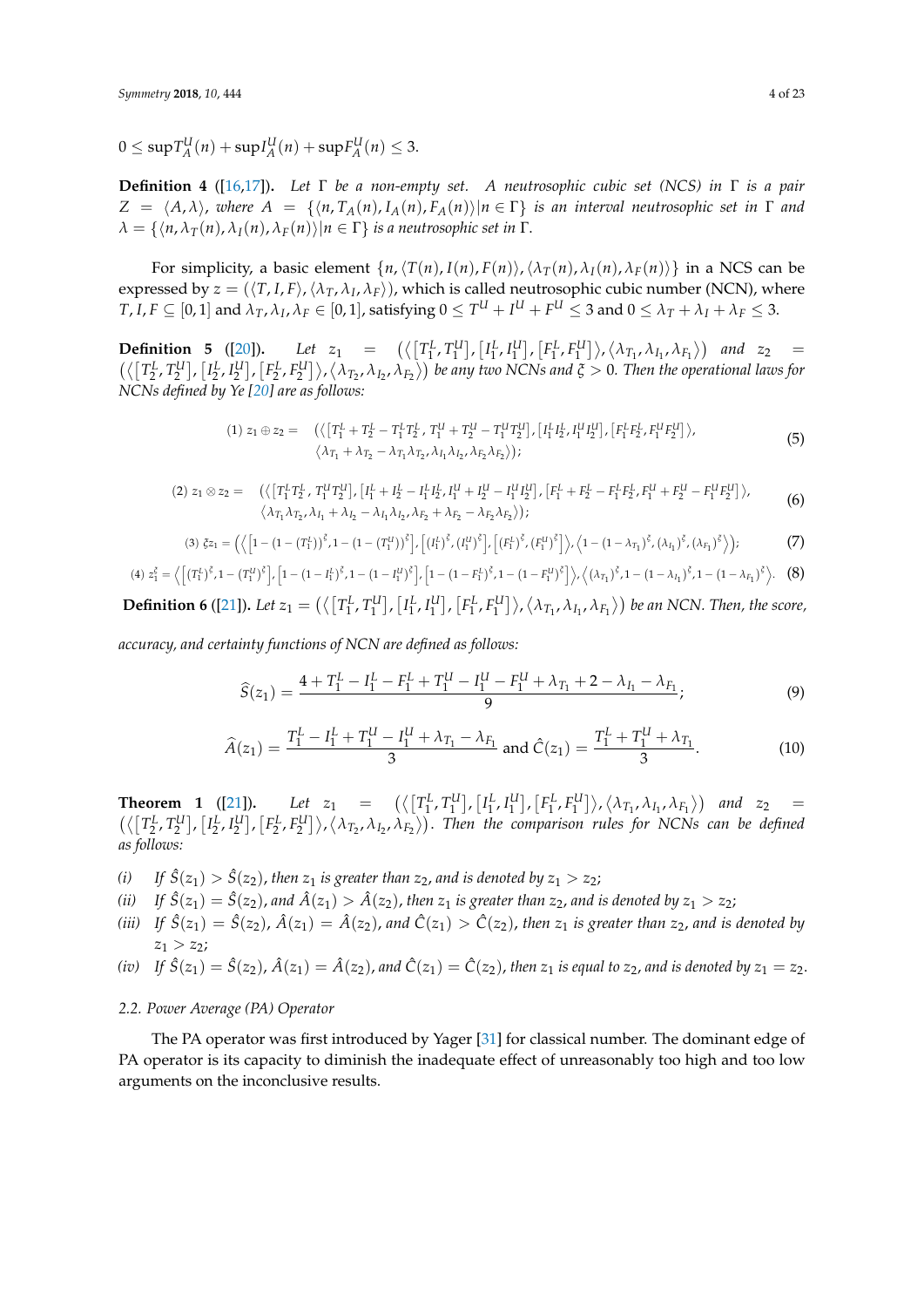$0 \leq \sup T_A^U(n) + \sup I_A^U(n) + \sup F_A^U(n) \leq 3.$ 

**Definition 4** ([\[16,](#page-22-0)[17\]](#page-22-1))**.** *Let* Γ *be a non-empty set. A neutrosophic cubic set (NCS) in* Γ *is a pair*  $Z = \langle A, \lambda \rangle$ , *where*  $A = \{ \langle n, T_A(n), I_A(n), F_A(n) \rangle | n \in \Gamma \}$  *is an interval neutrosophic set in* Γ *and*  $\lambda = \{ \langle n, \lambda_T(n), \lambda_I(n), \lambda_F(n) \rangle | n \in \Gamma \}$  *is a neutrosophic set in* Γ.

For simplicity, a basic element  $\{n, \langle T(n), I(n), F(n) \rangle, \langle \lambda_T(n), \lambda_I(n), \lambda_F(n) \rangle\}$  in a NCS can be expressed by  $z = (\langle T, I, F \rangle, \langle \lambda_T, \lambda_I, \lambda_F \rangle)$ , which is called neutrosophic cubic number (NCN), where  $T$ , I,  $F\subseteq [0,1]$  and  $\lambda_T$ ,  $\lambda_I$ ,  $\lambda_F\in [0,1]$ , satisfying  $0\leq T^U+I^U+F^U\leq 3$  and  $0\leq \lambda_T+\lambda_I+\lambda_F\leq 3$ .

**Definition 5** ([\[20\]](#page-22-4)).  $(\langle [T_1^L, T_1^U], [I_1^L, I_1^U], [F_1^L, F_1^U] \rangle, \langle \lambda_{T_1}, \lambda_{I_1}, \lambda_{F_1} \rangle)$  and  $z_2 =$  $(\langle [T_2^L,T_2^U],[I_2^L,I_2^U],[F_2^L,F_2^U]\rangle,\langle \lambda_{T_2},\lambda_{I_2},\lambda_{F_2}\rangle)$  be any two NCNs and  $\xi>0$ . Then the operational laws for *NCNs defined by Ye [\[20\]](#page-22-4) are as follows:*

(1) 
$$
z_1 \oplus z_2 = (\langle [T_1^L + T_2^L - T_1^L T_2^L, T_1^U + T_2^U - T_1^U T_2^U], [I_1^L I_2^L, I_1^U I_2^U], [F_1^L F_2^L, F_1^U F_2^U] \rangle,
$$
  
\n $\langle \lambda_{T_1} + \lambda_{T_2} - \lambda_{T_1} \lambda_{T_2}, \lambda_{I_1} \lambda_{I_2}, \lambda_{F_2} \lambda_{F_2} \rangle);$ \n(5)

$$
(2) z_1 \otimes z_2 = (\langle [T_1^L T_2^L, T_1^U T_2^U], [I_1^L + I_2^L - I_1^L I_2^L, I_1^U + I_2^U - I_1^U I_2^U], [F_1^L + F_2^L - F_1^L F_2^L, F_1^U + F_2^U - F_1^U F_2^U] \rangle, \langle \lambda_{T_1} \lambda_{T_2}, \lambda_{I_1} + \lambda_{I_2} - \lambda_{I_1} \lambda_{I_2}, \lambda_{I_2} + \lambda_{I_2} - \lambda_{I_2} \lambda_{I_2} \rangle);
$$
\n(6)

$$
(3) \ \xi z_1 = \left( \left\langle \left[ 1 - \left( 1 - \left( T_1^L \right) \right)^{\xi}, 1 - \left( 1 - \left( T_1^U \right) \right)^{\xi} \right], \left[ \left( I_1^L \right)^{\xi}, \left( I_1^U \right)^{\xi} \right], \left[ \left( F_1^L \right)^{\xi}, \left( F_1^U \right)^{\xi} \right] \right\rangle, \left\langle 1 - \left( 1 - \lambda_{T_1} \right)^{\xi}, \left( \lambda_{I_1} \right)^{\xi}, \left( \lambda_{I_1} \right)^{\xi} \right\rangle \right);
$$
\n
$$
(7)
$$

(4)  $z_1^{\xi} = \left\langle \left[ (T_1^L)^{\xi}, 1 - (T_1^U)^{\xi} \right], \left[ 1 - (1 - I_1^L)^{\xi}, 1 - (1 - I_1^U)^{\xi} \right], \left[ 1 - (1 - F_1^L)^{\xi}, 1 - (1 - F_1^U)^{\xi} \right] \right\rangle, \left\langle (\lambda_{T_1})^{\xi}, 1 - (1 - \lambda_{I_1})^{\xi}, 1 - (1 - \lambda_{F_1})^{\xi} \right\rangle.$ **Definition 6** ([\[21\]](#page-22-5)). Let  $z_1 = (\langle [T_1^L, T_1^U], [I_1^L, I_1^U], [F_1^L, F_1^U] \rangle, \langle \lambda_{T_1}, \lambda_{I_1}, \lambda_{F_1} \rangle)$  be an NCN. Then, the score,

*accuracy, and certainty functions of NCN are defined as follows:*

$$
\widehat{S}(z_1) = \frac{4 + T_1^L - I_1^L - F_1^L + T_1^U - I_1^U - F_1^U + \lambda_{T_1} + 2 - \lambda_{I_1} - \lambda_{F_1}}{9};
$$
\n(9)

$$
\widehat{A}(z_1) = \frac{T_1^L - I_1^L + T_1^U - I_1^U + \lambda_{T_1} - \lambda_{F_1}}{3} \text{ and } \widehat{C}(z_1) = \frac{T_1^L + T_1^U + \lambda_{T_1}}{3}.
$$
 (10)

**Theorem 1** ([\[21\]](#page-22-5)). Let  $z_1 = (\langle [T_1^L, T_1^U], [I_1^L, I_1^U], [F_1^L, F_1^U] \rangle, \langle \lambda_{T_1}, \lambda_{I_1}, \lambda_{F_1} \rangle)$  and  $z_2 =$  $(\langle [T_2^L,T_2^U],[I_2^L,I_2^U],[F_2^L,F_2^U]\rangle,\langle \lambda_{T_2},\lambda_{I_2},\lambda_{F_2}\rangle)$ . Then the comparison rules for NCNs can be defined *as follows:*

*(i)* If  $\hat{S}(z_1) > \hat{S}(z_2)$ , then  $z_1$  is greater than  $z_2$ , and is denoted by  $z_1 > z_2$ ;

- *(ii)* If  $\hat{S}(z_1) = \hat{S}(z_2)$ , and  $\hat{A}(z_1) > \hat{A}(z_2)$ , then  $z_1$  is greater than  $z_2$ , and is denoted by  $z_1 > z_2$ ;
- (iii) If  $\hat{S}(z_1) = \hat{S}(z_2)$ ,  $\hat{A}(z_1) = \hat{A}(z_2)$ , and  $\hat{C}(z_1) > \hat{C}(z_2)$ , then  $z_1$  is greater than  $z_2$ , and is denoted by  $z_1 > z_2$ ;

$$
(iv) \quad \text{If } \hat{S}(z_1) = \hat{S}(z_2), \hat{A}(z_1) = \hat{A}(z_2), \text{ and } \hat{C}(z_1) = \hat{C}(z_2), \text{ then } z_1 \text{ is equal to } z_2, \text{ and is denoted by } z_1 = z_2.
$$

## *2.2. Power Average (PA) Operator*

The PA operator was first introduced by Yager [\[31\]](#page-22-15) for classical number. The dominant edge of PA operator is its capacity to diminish the inadequate effect of unreasonably too high and too low arguments on the inconclusive results.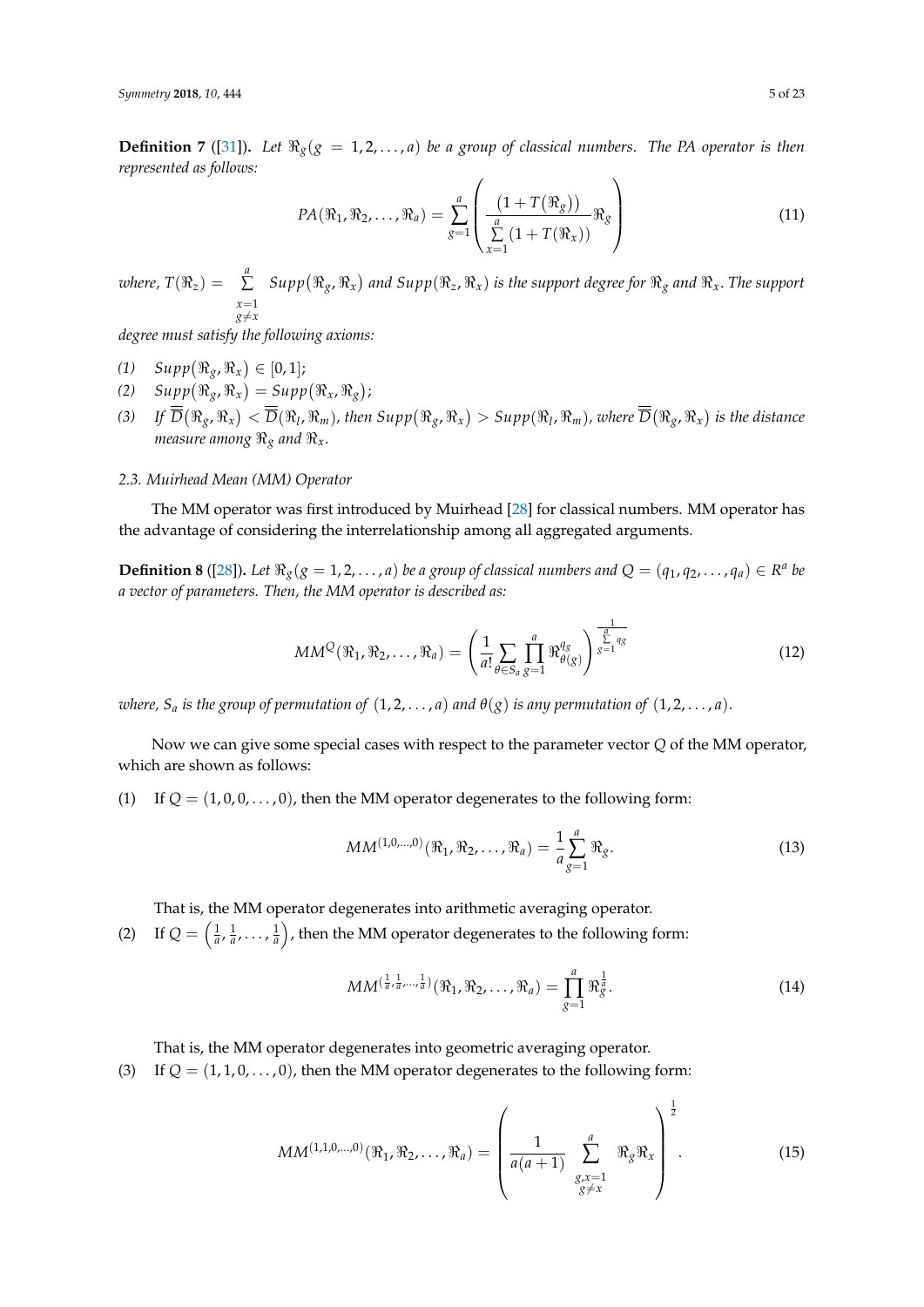*Symmetry* **2018**, *10*, 444 5 of 23

**Definition 7** ([\[31\]](#page-22-15)). Let  $\Re_g(g = 1, 2, ..., a)$  be a group of classical numbers. The PA operator is then *represented as follows:*

$$
PA(\mathfrak{R}_1, \mathfrak{R}_2, \dots, \mathfrak{R}_a) = \sum_{g=1}^a \left( \frac{\left(1 + T(\mathfrak{R}_g)\right)}{\sum_{x=1}^a \left(1 + T(\mathfrak{R}_x)\right)} \mathfrak{R}_g \right)
$$
(11)

*where,*  $T(\Re_z) = \sum_{i=1}^{d}$  $x=1$ <br> $g \neq x$  $Supp(\Re_g, \Re_x)$  and  $Supp(\Re_z, \Re_x)$  is the support degree for  $\Re_g$  and  $\Re_x$ . The support

*degree must satisfy the following axioms:*

- (1)  $Supp(\Re_g, \Re_x) \in [0, 1];$
- (2)  $Supp(\Re_g, \Re_x) = Supp(\Re_x, \Re_g);$
- (3) If  $\overline D(\Re_g,\Re_x)<\overline D(\Re_l,\Re_m)$ , then Supp $(\Re_g,\Re_x)>$  Supp $(\Re_l,\Re_m)$ , where  $\overline D(\Re_g,\Re_x)$  is the distance *measure among*  $\Re$ <sub>g</sub> and  $\Re$ <sub>x</sub>.

## *2.3. Muirhead Mean (MM) Operator*

The MM operator was first introduced by Muirhead [\[28\]](#page-22-12) for classical numbers. MM operator has the advantage of considering the interrelationship among all aggregated arguments.

**Definition 8** ([\[28\]](#page-22-12)). Let  $\Re_g(g = 1, 2, ..., a)$  be a group of classical numbers and  $Q = (q_1, q_2, ..., q_a) \in R^a$  be *a vector of parameters. Then, the MM operator is described as:*

$$
MM^Q(\mathfrak{R}_1, \mathfrak{R}_2, \dots, \mathfrak{R}_a) = \left(\frac{1}{a!} \sum_{\theta \in S_a} \prod_{g=1}^a \mathfrak{R}_{\theta(g)}^{q_g}\right)^{\frac{1}{\sum\limits_{g=1}^a q_g}} \tag{12}
$$

*where,*  $S_a$  *is the group of permutation of*  $(1, 2, \ldots, a)$  *and*  $\theta(g)$  *is any permutation of*  $(1, 2, \ldots, a)$ .

Now we can give some special cases with respect to the parameter vector *Q* of the MM operator, which are shown as follows:

(1) If  $Q = (1, 0, 0, \ldots, 0)$ , then the MM operator degenerates to the following form:

$$
MM^{(1,0,\dots,0)}(\mathfrak{R}_1, \mathfrak{R}_2, \dots, \mathfrak{R}_a) = \frac{1}{a} \sum_{g=1}^a \mathfrak{R}_g.
$$
 (13)

That is, the MM operator degenerates into arithmetic averaging operator.

(2) If  $Q = \left(\frac{1}{a}, \frac{1}{a}, \ldots, \frac{1}{a}\right)$ , then the MM operator degenerates to the following form:

$$
MM^{(\frac{1}{a},\frac{1}{a},\ldots,\frac{1}{a})}(\Re_1,\Re_2,\ldots,\Re_a) = \prod_{g=1}^a \Re_g^{\frac{1}{a}}.
$$
 (14)

That is, the MM operator degenerates into geometric averaging operator.

(3) If  $Q = (1, 1, 0, \ldots, 0)$ , then the MM operator degenerates to the following form:

$$
MM^{(1,1,0,\dots,0)}(\mathfrak{R}_1, \mathfrak{R}_2, \dots, \mathfrak{R}_a) = \left(\frac{1}{a(a+1)} \sum_{\substack{g,x=1\\g\neq x}}^a \mathfrak{R}_g \mathfrak{R}_x\right)^{\frac{1}{2}}.
$$
 (15)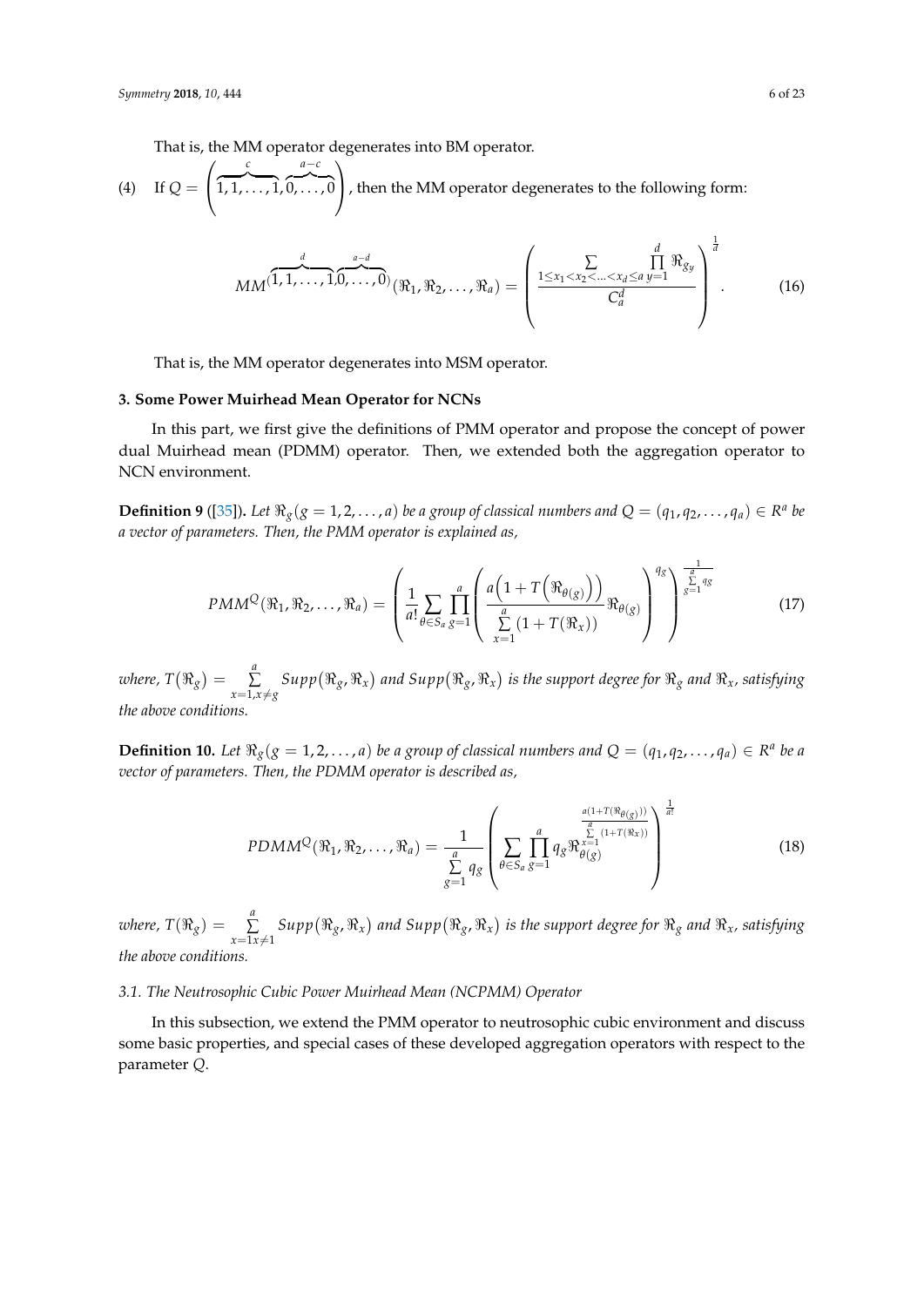That is, the MM operator degenerates into BM operator.

(4) If 
$$
Q = \left( \overbrace{1,1,\ldots,1}^{c}, \overbrace{0,\ldots,0}^{a-c} \right)
$$
, then the MM operator degenerates to the following form:

$$
MM^{(1,1,\ldots,1,0,\ldots,0)}(\Re_1,\Re_2,\ldots,\Re_a) = \left(\frac{\sum\limits_{1 \leq x_1 < x_2 < \ldots < x_d \leq a} \prod\limits_{y=1}^d \Re_{y_y}}{C_d^d}\right)^{\frac{1}{d}}.\tag{16}
$$

That is, the MM operator degenerates into MSM operator.

## <span id="page-5-0"></span>**3. Some Power Muirhead Mean Operator for NCNs**

In this part, we first give the definitions of PMM operator and propose the concept of power dual Muirhead mean (PDMM) operator. Then, we extended both the aggregation operator to NCN environment.

**Definition 9** ([\[35\]](#page-22-19)). Let  $\Re_g(g = 1, 2, ..., a)$  be a group of classical numbers and  $Q = (q_1, q_2, ..., q_a) \in R^a$  be *a vector of parameters. Then, the PMM operator is explained as,*

$$
PMM^Q(\mathfrak{R}_1, \mathfrak{R}_2, \dots, \mathfrak{R}_a) = \left(\frac{1}{a!} \sum_{\theta \in S_a} \prod_{g=1}^a \left(\frac{a\left(1 + T\left(\mathfrak{R}_{\theta(g)}\right)\right)}{\sum_{x=1}^a (1 + T(\mathfrak{R}_x))}\mathfrak{R}_{\theta(g)}\right)^{q_g}\right)^{\frac{1}{\sum_{g=1}^a q_g}}
$$
(17)

where,  $T(\Re_{g}) = \sum_{i=1}^{d}$ *x*=1,*x*≠*g*  $Supp(\Re_g, \Re_\chi)$  and  $Supp(\Re_g, \Re_\chi)$  is the support degree for  $\Re_g$  and  $\Re_\chi$ , satisfying *the above conditions.*

**Definition 10.** Let  $\Re_g$  ( $g = 1, 2, ..., a$ ) be a group of classical numbers and  $Q = (q_1, q_2, ..., q_a) \in R^a$  be a *vector of parameters. Then, the PDMM operator is described as,*

$$
PDMM^{Q}(\Re_{1}, \Re_{2}, \dots, \Re_{a}) = \frac{1}{\sum_{g=1}^{a} q_{g}} \left( \sum_{\theta \in S_{a}} \prod_{g=1}^{a} q_{g} \Re_{\theta(g)}^{\frac{a(1+T(\Re_{\theta(g)}))}{\sum_{g=1}^{a} (1+T(\Re_{x}))}} \right)^{\frac{1}{a!}}
$$
(18)

*where,*  $T(\Re_g) = \sum_{i=1}^{d}$  $x=1x\neq1$  $Supp(\Re_g, \Re_\chi)$  and  $Supp(\Re_g, \Re_\chi)$  is the support degree for  $\Re_g$  and  $\Re_\chi$ , satisfying *the above conditions.*

## *3.1. The Neutrosophic Cubic Power Muirhead Mean (NCPMM) Operator*

In this subsection, we extend the PMM operator to neutrosophic cubic environment and discuss some basic properties, and special cases of these developed aggregation operators with respect to the parameter *Q*.

1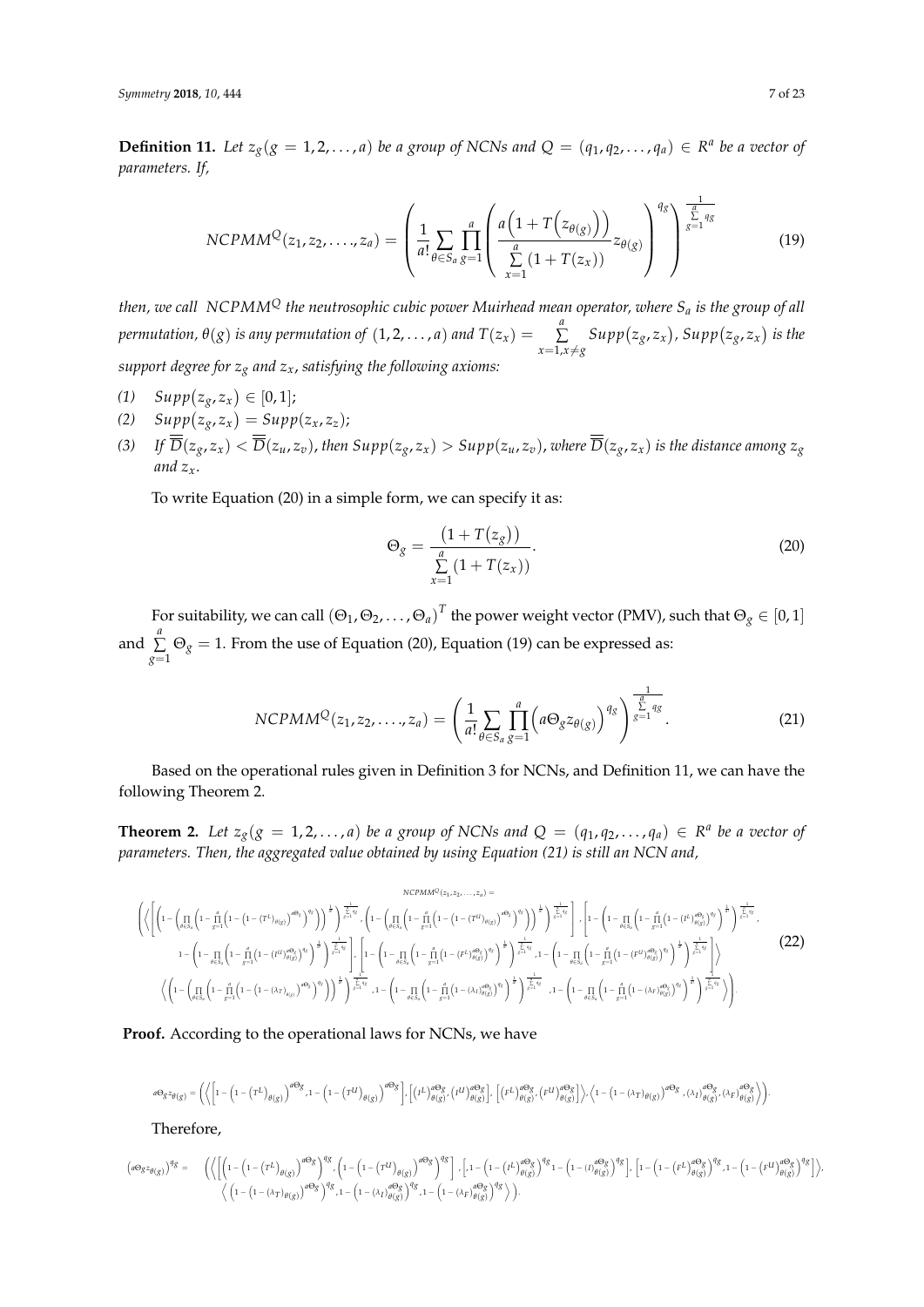**Definition 11.** Let  $z_g(g = 1, 2, ..., a)$  be a group of NCNs and  $Q = (q_1, q_2, ..., q_a) \in R^a$  be a vector of *parameters. If,*

$$
NCPMM^{Q}(z_{1}, z_{2}, \ldots, z_{a}) = \left(\frac{1}{a!} \sum_{\theta \in S_{a}} \prod_{g=1}^{a} \left( \frac{a(1 + T(z_{\theta(g)}))}{\sum_{x=1}^{a} (1 + T(z_{x}))} z_{\theta(g)} \right)^{q_{g}} \right)^{\frac{1}{\sum_{g=1}^{a} q_{g}}} \tag{19}
$$

*then, we call NCPMM<sup>Q</sup> the neutrosophic cubic power Muirhead mean operator, where S<sup>a</sup> is the group of all permutation,*  $\theta(g)$  *is any permutation of*  $(1, 2, \ldots, a)$  *and*  $T(z_x) = \sum_{i=1}^{a}$ *x*=1,*x*≠*g*  $Supp(z_g, z_x)$ ,  $Supp(z_g, z_x)$  is the *support degree for z<sup>g</sup> and zx*, *satisfying the following axioms:*

- *(1)*  $Supp(z_g, z_x) \in [0, 1];$
- (2)  $Supp(z_g, z_x) = Supp(z_x, z_z);$
- (3) If  $\overline{\overline{D}}(z_g, z_x) < \overline{\overline{D}}(z_u, z_v)$ , then  $Supp(z_g, z_x) > Supp(z_u, z_v)$ , where  $\overline{\overline{D}}(z_g, z_x)$  is the distance among  $z_g$ *and zx*.

To write Equation (20) in a simple form, we can specify it as:

$$
\Theta_g = \frac{(1 + T(z_g))}{\sum_{x=1}^{a} (1 + T(z_x))}.
$$
\n(20)

For suitability, we can call  $(\Theta_1,\Theta_2,\dots,\Theta_a)^T$  the power weight vector (PMV), such that  $\Theta_g\in[0,1]$ and *a* ∑  $\sum\limits_{g=1}$   $\Theta_g = 1$ . From the use of Equation (20), Equation (19) can be expressed as:

$$
NCPMM^{Q}(z_{1}, z_{2}, \ldots, z_{a}) = \left(\frac{1}{a!} \sum_{\theta \in S_{a}} \prod_{g=1}^{a} \left(a \Theta_{g} z_{\theta(g)}\right)^{q_{g}}\right)^{\frac{1}{\sum\limits_{g=1}^{a} q_{g}}}.
$$
\n(21)

Based on the operational rules given in Definition 3 for NCNs, and Definition 11, we can have the following Theorem 2.

**Theorem 2.** Let  $z_g(g = 1, 2, ..., a)$  be a group of NCNs and  $Q = (q_1, q_2, ..., q_a) \in R^a$  be a vector of *parameters. Then, the aggregated value obtained by using Equation (21) is still an NCN and,*

$$
\begin{split} &\lambda\text{CPMM}^{(z_{1},z_{2},...,z_{a})} = \\ &\left(\langle\left[\left(1-\left(\underset{\theta\in S_{s}}{\prod\limits_{i=1}^{d}\left(1-\left(1-(T^{L})_{\theta(g)}\right)^{\theta\theta_{g}}\right)^{g_{i}}\right)\right)^{\frac{1}{x}}\right)^{\frac{1}{\xi_{-}^{i}\eta_{c}}},\left(1-\left(\underset{\theta\in S_{s}}{\prod\limits_{i=1}^{d}\left(1-(1-(T^{L})_{\theta(g)}\right)^{\theta\theta_{g}}\right)^{g_{i}}}\right)^{\frac{1}{x}}\right)^{\frac{1}{\xi_{-}^{i}\eta_{c}}},\left(1-\left(\underset{\theta\in S_{s}}{\prod\limits_{i=1}^{d}\left(1-(1-(T^{L})_{\theta(g)}\right)^{\theta\theta_{g}}\right)^{g_{i}}}\right)^{\frac{1}{x}}\right)^{\frac{1}{\xi_{-}^{i}\eta_{c}}},\\\ &1-\left(1-\underset{\theta\in S_{s}}{\prod\limits_{i=1}^{d}\left(1-(1-(T^{L})_{\theta(g)}^{\theta\theta_{g}}\right)^{g_{i}}}\right)^{\frac{1}{x}}\right)^{\frac{1}{\xi_{-}^{i}\eta_{c}}},\\\ &\left(\left(1-\left(\underset{\theta\in S_{s}}{\prod\limits_{i=1}^{d}\left(1-(1-(T^{L})_{\theta(g)}^{\theta\theta_{g}}\right)^{g_{i}}\right)^{\frac{1}{x}}}\right)^{\frac{1}{\xi_{-}^{i}\eta_{c}}},\left[1-\left(1-\underset{\theta\in S_{s}}{\prod\limits_{i=1}^{d}\left(1-(T^{L})_{\theta(g)}^{\theta\theta_{g}}\right)^{g_{i}}}\right)^{\frac{1}{x}}\right)^{\frac{1}{\xi_{-}^{i}\eta_{c}}},\left(1-\underset{\theta\in S_{s}}{\prod\limits_{i=1}^{d}\left(1-(T^{L})_{\theta(g)}^{\theta\theta_{g}}\right)^{g_{i}}}\right)^{\frac{1}{x}}\right)^{\frac{1}{\xi_{-}^{i}\eta_{c}}},\left(1-\underset{\theta\in S_{s}}{\prod\limits_{i=1}^{d}\left(1-(T^{L})_{\theta(g)}^{\theta\theta_{g}}\right)^{g_{i}}}\right)^{\frac{1}{x}}\right)^{\frac{
$$

**Proof.** According to the operational laws for NCNs, we have

$$
a\Theta_{\tilde{S}}z_{\theta(g)}=\bigg(\bigg\langle\bigg[1-\Big(1-\Big(T^L\Big)_{\theta(g)}\Big)^{a\Theta_{\tilde{S}}},1-\Big(1-\Big(T^U\Big)_{\theta(g)}\Big)^{a\Theta_{\tilde{S}}}\bigg]\cdot\bigg[\Big(I^L\Big)^{a\Theta_{\tilde{S}}}_{\theta(g)'}\Big(I^U\Big)^{a\Theta_{\tilde{S}}}_{\theta(g)}\bigg],\nonumber\\ \left[\Big(F^L\Big)^{a\Theta_{\tilde{S}}}_{\theta(g)'}\Big(F^U\Big)^{a\Theta_{\tilde{S}}}_{\theta(g)}\bigg]\right\rangle,\bigg\langle1-\Big(1-\big(\lambda_T\big)_{\theta(g)}\big)^{a\Theta_{\tilde{S}}}\cdot\big(\lambda_I\big)_{\theta(g)}^{a\Theta_{\tilde{S}}}\cdot\big(\lambda_F\big)_{\theta(g)}^{a\Theta_{\tilde{S}}}\bigg)\bigg\rangle\bigg].
$$

Therefore,

$$
\begin{array}{ll}\left(d\Theta g\,z_{\theta(g)}\right)^{q_g} = & \left(\left\langle \left[\left(1-\left(1-\left(T^L\right)_{\theta(g)}\right)^{d\Theta}g\right)^{q_g}\right, \left(1-\left(1-\left(T^U\right)_{\theta(g)}\right)^{d\Theta}g\right)^{q_g}\right], \left[1-\left(1-\left(I^L\right)_{\theta(g)}^{d\Theta}g\right)^{q_g}\right] \right.\\ & \left. \left. \left\langle \left(1-\left(1-\left(\lambda T\right)_{\theta(g)}\right)^{d\Theta}g\right)^{q_g}\right, 1-\left(1-\left(\lambda T\right)_{\theta(g)}^{d\Theta}g\right)^{q_g}\right. \right) \right.\\ & \left. \left. \left\langle \left(1-\left(1-\left(\lambda T\right)_{\theta(g)}\right)^{d\Theta}g\right)^{q_g}\right. 1-\left(1-\left(\lambda T\right)_{\theta(g)}^{d\Theta}g\right)^{q_g}\right. \right) \right) \right.\\ & \left. \left. \left\langle \left(1-\left(1-\left(\lambda T\right)_{\theta(g)}\right)^{d\Theta}g\right)^{q_g}\right. 1-\left(1-\left(\lambda T\right)_{\theta(g)}^{d\Theta}g\right)^{q_g}\right. \right) \right) \right) \right) \left. \left. \left. \left(1-\left(\lambda T\right)_{\theta(g)}^{d\Theta}g\right)^{d\Theta}g\right) \right\rangle \right) \right) \right) \right) \right) \end{array}
$$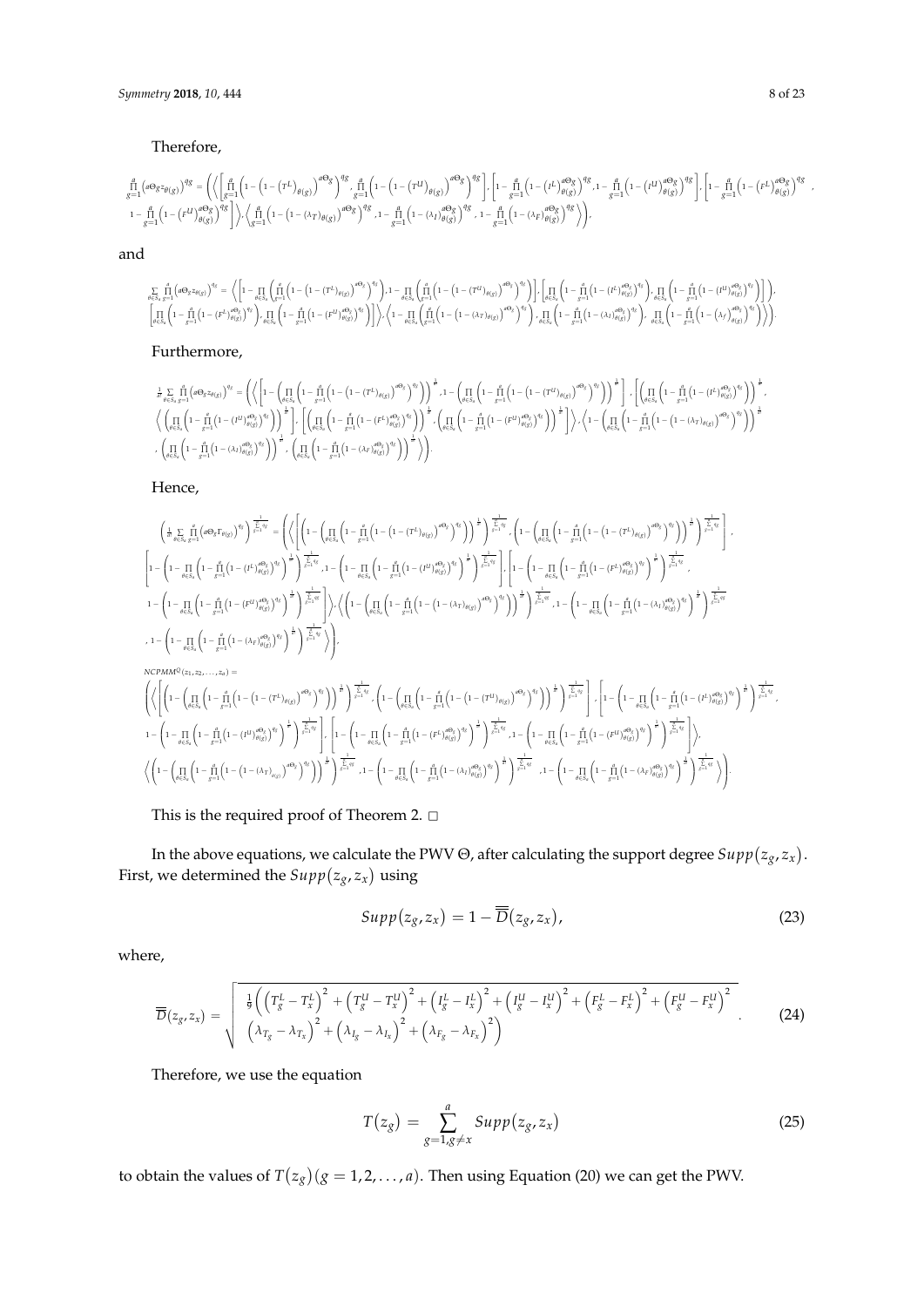## Therefore,

$$
\begin{split} &\prod\limits_{g=1}^{q}\left(\delta\Theta_{g}z_{\theta(g)}\right)^{q_{g}}=\left(\left\langle\left[\prod\limits_{g=1}^{q}\left(1-\left(1-\left(T^{L}\right)_{\theta(g)}\right)^{\theta\Theta_{g}}\right)^{q_{g}}\prod\limits_{g=1}^{q}\left(1-\left(1-\left(T^{L}\right)_{\theta(g)}\right)^{\theta\Theta_{g}}\right)^{q_{g}}\right],\left[1-\prod\limits_{g=1}^{q}\left(1-\left(I^{L}\right)^{\theta\Theta_{g}}_{\theta(g)}\right)^{q_{g}},1-\prod\limits_{g=1}^{q}\left(1-\left(I^{L}\right)^{\theta\Theta_{g}}_{\theta(g)}\right)^{q_{g}}\right],\left[1-\prod\limits_{g=1}^{q}\left(1-\left(I^{L}\right)^{\theta\Theta_{g}}_{\theta(g)}\right)^{q_{g}}\right],\left[1-\prod\limits_{g=1}^{q}\left(1-\left(I^{L}\right)^{\theta\Theta_{g}}_{\theta(g)}\right)^{q_{g}}\right],\left[1-\prod\limits_{g=1}^{q}\left(1-\left(I^{L}\right)^{\theta\Theta_{g}}_{\theta(g)}\right)^{q_{g}}\right],\left[1-\prod\limits_{g=1}^{q}\left(1-\left(I^{L}\right)^{\theta\Theta_{g}}_{\theta(g)}\right)^{q_{g}}\right],\left[1-\prod\limits_{g=1}^{q}\left(1-\left(I^{L}\right)^{\theta\Theta_{g}}_{\theta(g)}\right)^{q_{g}}\right],\left[1-\prod\limits_{g=1}^{q}\left(1-\left(I^{L}\right)^{\theta\Theta_{g}}_{\theta(g)}\right)^{q_{g}}\right],\left[1-\prod\limits_{g=1}^{q}\left(1-\left(I^{L}\right)^{\theta\Theta_{g}}_{\theta(g)}\right)^{q_{g}}\right],\left[1-\prod\limits_{g=1}^{q}\left(1-\left(I^{L}\right)^{\theta\Theta_{g}}_{\theta(g)}\right)^{q_{g}}\right],\left[1-\prod\limits_{g=1}^{q}\left(1-\left(I^{L}\right)^{\theta\Theta_{g}}_{\theta(g)}\right)^{q_{g}}\right],\left[1-\prod\limits_{g=1}^{q}\left(1-\left(I^{L}\right)^{\theta\Theta_{g}}_{\theta(g)}\right)^{q_{g}}\right],\left[1-\prod\limits_{g=1}^{q
$$

and

$$
\begin{split} &\sum\limits_{\theta \in \mathcal{S}_s} \prod\limits_{g=1}^a \Big( a \Theta_g z_{\theta(g)} \Big)^{q_g} = \bigg\langle \left[1-\prod\limits_{\theta \in \mathcal{S}_s} \left(\prod\limits_{g=1}^a \left(1-\left(1-\left(T^L\right)_{\theta(g)}\right)^{\theta \Theta_g}\right)^{q_g}\right), 1-\prod\limits_{\theta \in \mathcal{S}_s} \left(\prod\limits_{g=1}^a \left(1-\left(1-\left(T^U\right)_{\theta(g)}\right)^{\theta \Theta_g}\right)^{q_g}\right) \right\rangle \right) \cdot \left\lbrace \prod\limits_{\theta \in \mathcal{S}_s} \left(1-\prod\limits_{g=1}^a \left(1-\left(I^L\right)^{\theta \Theta_g}_{\theta(g)}\right)^{q_g}\right) \right\rbrace \cdot \left\lbrace \\ &\prod\limits_{\theta \in \mathcal{S}_s} \left(1-\prod\limits_{g=1}^a \left(1-\left(F^L\right)^{\theta \Theta_g}_{\theta(g)}\right)^{q_g}\right) \right\rangle \cdot \left\langle \prod\limits_{g=1}^a \left(1-\left(1-\left(T^U\right)_{\theta(g)}\right)^{\theta \Theta_g}\right)^{q_g}\right\rangle \cdot \prod\limits_{\theta \in \mathcal{S}_s} \left(1-\prod\limits_{g=1}^a \left(1-\left(F^L\right)^{\theta \Theta_g}_{\theta(g)}\right)^{q_g}\right) \right\rbrace \cdot \left\lbrace \prod\limits_{g=1}^a \left(1-\left(1-\left(\lambda_T\right)_{\theta(g)}\right)^{\theta \Theta_g}\right)^{q_g}\right\rbrace \cdot \prod\limits_{\theta \in \mathcal{S}_s} \left(1-\prod\limits_{g=1}^a \left(1-\left(\lambda_I\right)^{\theta \Theta_g}_{\theta(g)}\right)^{q_g}\right) \cdot \prod\limits_{\theta \in \mathcal{S}_s} \left(1-\prod\limits_{g=1}^a \left(1-\left(\lambda_I\right)^{\theta \Theta_g}_{\theta(g)}\right)^{q_g}\right) \right\rbrace \Bigg\rbrace \end{split}
$$

## Furthermore,

$$
\begin{array}{l} \frac{1}{a^j}\sum\limits_{\theta\in S_{\delta}}\prod\limits_{S=1}^a\left(a\Theta_{\delta}z_{\theta(S)}\right)^{q_S}=\left(\left\langle\left[1-\left(\prod\limits_{\theta\in S_{\delta}}\left(1-\prod\limits_{S=1}^a\left(1-\left(1-\left(T^L\right)_{\theta(S)}\right)^{\theta S}\right)^{q_S}\right)\right)^{\frac{1}{\theta}}\right\rangle,\left.1-\left(\prod\limits_{\theta\in S_{\delta}}\left(1-\prod\limits_{S=1}^a\left(1-\left(1-\left(T^U\right)_{\theta(S)}\right)^{\theta S}\right)^{q_S}\right)\right)^{\frac{1}{\theta}}\right\rangle,\left[\left(\prod\limits_{\theta\in S_{\delta}}\left(1-\prod\limits_{S=1}^a\left(1-\left(1-\left(T^U\right)_{\theta(S)}\right)^{\theta S}\right)^{q_S}\right)\right)^{\frac{1}{\theta}}\right\rangle,\left(\prod\limits_{\theta\in S_{\delta}}\left(1-\prod\limits_{S=1}^a\left(1-\left(1-\left(T^U\right)_{\theta(S)}\right)^{\theta S}\right)^{q_S}\right)\right)^{\frac{1}{\theta}}\right\rangle,\left(\prod\limits_{\theta\in S_{\delta}}\left(1-\prod\limits_{S=1}^a\left(1-\left(T^U\right)_{\theta(S)}^{\theta S_{\delta}}\right)^{q_S}\right)\right)^{\frac{1}{\theta}}\right\rangle,\left(\prod\limits_{\theta\in S_{\delta}}\left(1-\prod\limits_{S=1}^a\left(1-\left(T^U\right)_{\theta(S)}^{\theta S_{\delta}}\right)^{q_S}\right)\right)^{\frac{1}{\theta}}\right\rangle,\left\langle\left(\prod\limits_{\theta\in S_{\delta}}\left(1-\prod\limits_{S=1}^a\left(1-\left(T^U\right)_{\theta(S)}^{\theta S_{\delta}}\right)^{q_S}\right)\right)^{\frac{1}{\theta}}\right\rangle,\left(\prod\limits_{\theta\in S_{\delta}}\left(1-\prod\limits_{S=1}^a\left(1-\left(T^U\right)_{\theta(S)}^{\theta S_{\delta}}\right)^{q_S}\right)\right)^{\frac{1}{\theta}}\right\rangle,\left\langle\left(\prod\limits_{\theta\in S_{\delta}}\left(1-\prod\limits_{S=1}^a\left(
$$

Hence,

$$
\begin{split} &\left(\frac{1}{\pi}\sum_{\theta \in \mathbb{S}_{\delta}}\prod_{s=1}^{a}\left(\cos_{s}\Gamma_{\theta(g)}\right)^{q_{g}}\right)^{\frac{1}{g_{s}-q_{g}}}=\left(\left\langle\left[\left(1-\left(\prod_{\theta \in \mathbb{S}_{\delta}}\left(1-\prod_{s=1}^{a}\left(1-\left(1-\left(T^{L}\right)_{\theta(g)}\right)^{s\Theta_{g}}\right)^{q_{s}}\right)\right)^{\frac{1}{m}}\right)^{\frac{1}{g_{s}-q_{g}}},\left(1-\left(\prod_{\theta \in \mathbb{S}_{\delta}}\left(1-\prod_{s=1}^{a}\left(1-\left(1-\left(T^{L}\right)_{\theta(g)}\right)^{s\Theta_{g}}\right)^{q_{s}}\right)\right)^{\frac{1}{m}}\right)^{\frac{1}{g_{s}-q_{g}}}\right],\\ &\left[1-\left(1-\prod_{\theta \in \mathbb{S}_{\delta}}\left(1-\prod_{s=1}^{a}\left(1-\left(F^{L}\right)^{s\Theta_{g}}_{\theta(g)}\right)^{q_{s}}\right)^{\frac{1}{m}}\right)^{\frac{1}{g_{s}-q_{g}}},1-\left(1-\prod_{\theta \in \mathbb{S}_{\delta}}\left(1-\prod_{s=1}^{a}\left(1-\left(F^{L}\right)^{s\Theta_{g}}_{\theta(g)}\right)^{q_{s}}\right)^{\frac{1}{m}}\right)^{\frac{1}{g_{s}-q_{g}}},1-\left(1-\prod_{\theta \in \mathbb{S}_{\delta}}\left(1-\prod_{s=1}^{a}\left(1-\left(F^{L}\right)^{s\Theta_{g}}_{\theta(g)}\right)^{q_{s}}\right)^{\frac{1}{m}}\right)^{\frac{1}{g_{s}-q_{g}}},1-\left(1-\prod_{\theta \in \mathbb{S}_{\delta}}\left(1-\prod_{s=1}^{a}\left(1-\left(F^{L}\right)^{s\Theta_{g}}_{\theta(g)}\right)^{q_{s}}\right)^{\frac{1}{m}}\right)^{\frac{1}{g_{s}-q_{g}}},1-\left(1-\prod_{\theta \in \mathbb{S}_{\delta}}\left(1-\prod_{s=1}^{a}\left(1-\left(F^{L}\right)^{s\Theta_{g}}_{\theta(g)}\right)^{q_{s}}\right)^{\frac{1}{m}}\right)^{\frac{1}{g_{s}-q_{
$$

## This is the required proof of Theorem 2.  $\Box$

In the above equations, we calculate the PWV  $\Theta$ , after calculating the support degree  $Supp(z_g, z_x)$ . First, we determined the  $Supp(z_g, z_x)$  using

$$
Supp(z_g, z_x) = 1 - \overline{\overline{D}}(z_g, z_x),
$$
\n(23)

where,

$$
\overline{D}(z_g, z_x) = \sqrt{\frac{\frac{1}{9}\left(\left(T_g^L - T_x^L\right)^2 + \left(T_g^U - T_x^U\right)^2 + \left(I_g^L - I_x^L\right)^2 + \left(I_g^U - I_x^U\right)^2 + \left(F_g^L - F_x^L\right)^2 + \left(F_g^U - F_x^U\right)^2}{\left(\lambda_{T_g} - \lambda_{T_x}\right)^2 + \left(\lambda_{I_g} - \lambda_{I_x}\right)^2 + \left(\lambda_{F_g} - \lambda_{F_x}\right)^2}\right)}
$$
(24)

Therefore, we use the equation

$$
T(z_g) = \sum_{g=1, g \neq x}^{a} Supp(z_g, z_x)
$$
\n(25)

to obtain the values of  $T(z_g)(g=1,2,\ldots,a)$ . Then using Equation (20) we can get the PWV.

.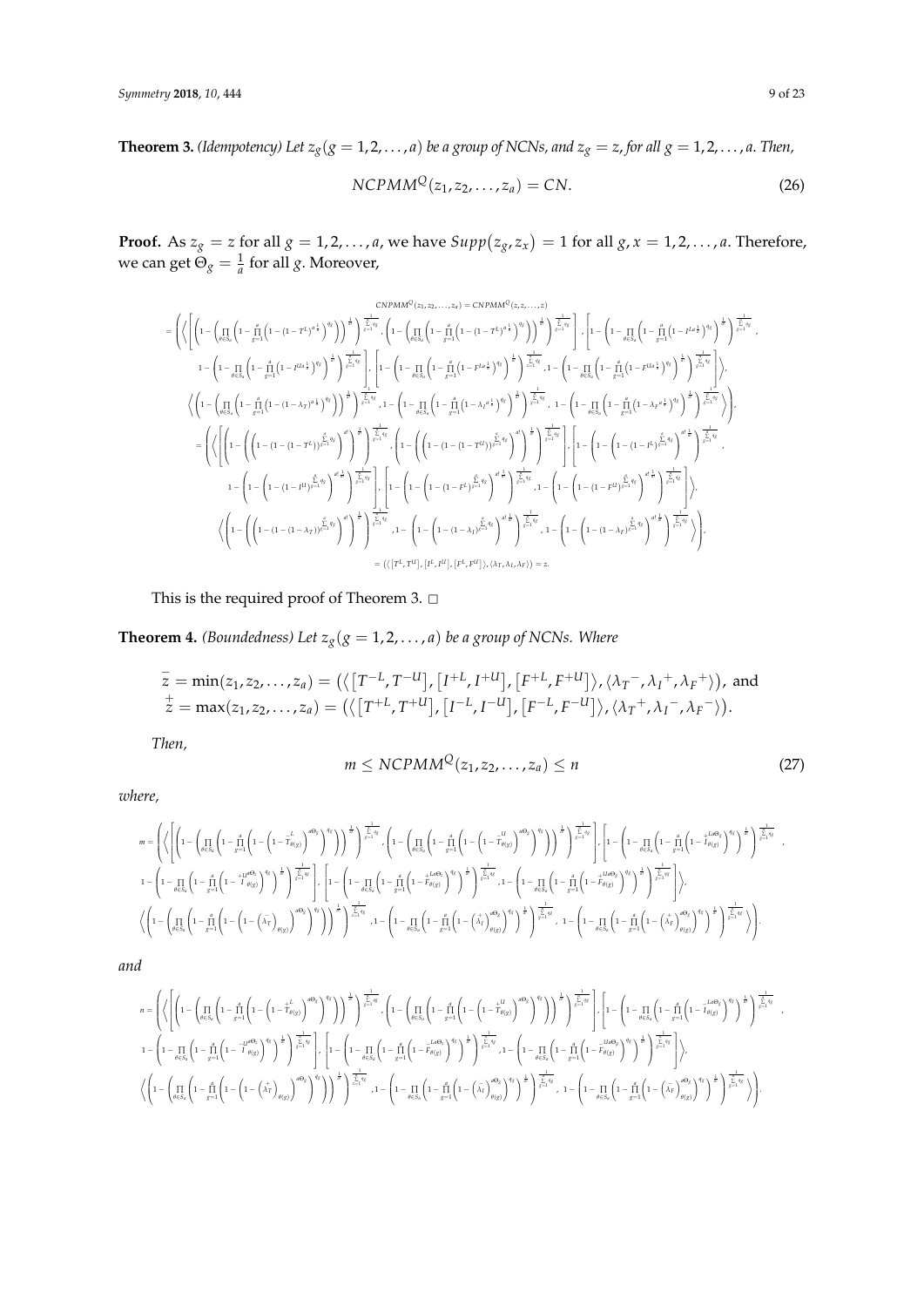**Theorem 3.** *(Idempotency)* Let  $z_g(g = 1, 2, ..., a)$  be a group of NCNs, and  $z_g = z$ , for all  $g = 1, 2, ..., a$ . *Then,* 

$$
NCPMM^Q(z_1, z_2, \dots, z_a) = CN.
$$
 (26)

**Proof.** As  $z_g = z$  for all  $g = 1, 2, ..., a$ , we have  $Supp(z_g, z_x) = 1$  for all  $g, x = 1, 2, ..., a$ . Therefore, we can get  $\Theta_g = \frac{1}{a}$  for all *g*. Moreover,

$$
\begin{split} & = \left(\left\langle\left[\left(1-\left(\prod_{\theta\in S_{a}}\left(1-\prod_{\xi=1}^{a}\left(1-(1-T^{L})^{a}\frac{1}{2}\right)^{q_{\xi}}\right)\right)^{\frac{1}{\theta}}\right)^{\frac{1}{\theta-1}}\right]_{\xi=\frac{1}{2}\pi_{\xi}}^{\frac{1}{\theta-1}}\left(1-\left(\prod_{\theta\in S_{a}}\left(1-\prod_{\xi=1}^{a}\left(1-(1-T^{L})^{a}\frac{1}{2}\right)^{q_{\xi}}\right)\right)^{\frac{1}{\theta}}\right)^{\frac{1}{\theta-1}\frac{1}{\theta}}\right)_{\xi=\frac{1}{2}\pi_{\xi}}\right.\\ & \left.1-\left(1-\prod_{\theta\in S_{a}}\left(1-\prod_{\xi=1}^{a}\left(1-\prod_{\theta\in S_{a}}\left(1-\prod_{\theta\in S_{a}}\left(1-\prod_{\theta\in S_{a}}\left(1-\prod_{\theta\in S_{a}}\left(1-\prod_{\theta\in S_{a}}\left(1-\prod_{\theta\in S_{a}}\left(1-\prod_{\theta\in S_{a}}\left(1-\prod_{\theta\in S_{a}}\left(1-\prod_{\theta\in S_{a}}\left(1-\prod_{\theta\in S_{a}}\left(1-\prod_{\theta\in S_{a}}\left(1-\prod_{\theta\in S_{a}}\left(1-\prod_{\theta\in S_{a}}\left(1-\prod_{\theta\in S_{a}}\left(1-\prod_{\theta\in S_{a}}\left(1-\prod_{\theta\in S_{a}}\left(1-\prod_{\theta\in S_{a}}\left(1-\prod_{\theta\in S_{a}}\left(1-\prod_{\theta\in S_{a}}\left(1-\prod_{\theta\in S_{a}}\left(1-\prod_{\theta\in S_{a}}\left(1-\prod_{\theta\in S_{a}}\left(1-\prod_{\theta\in S_{a}}\left(1-\prod_{\theta\in S_{a}}\left(1-\prod_{\theta\in S_{a}}\left(1-\prod_{\theta\in S_{a}}\left(1-\prod_{\theta\in S_{a}}\left(1-\prod_{\theta\in S_{a}}\left(1-\prod_{\theta\in S_{a}}\left(1-\prod_{\theta\in S_{a}}\left(1-\prod_{\theta\in S_{a}}\left(1-\prod_{\theta\in S_{a}}\left(1-\
$$

This is the required proof of Theorem 3.  $\Box$ 

**Theorem 4.** *(Boundedness)* Let  $z_g$  ( $g = 1, 2, ..., a$ ) be a group of NCNs. Where

$$
\overline{z} = \min(z_1, z_2, \dots, z_a) = \left( \left\langle \begin{bmatrix} T^{-L}, T^{-U} \end{bmatrix}, \begin{bmatrix} I^{+L}, I^{+U} \end{bmatrix}, \begin{bmatrix} F^{+L}, F^{+U} \end{bmatrix} \right\rangle, \left\langle \lambda_T^-, \lambda_I^+, \lambda_F^+ \right\rangle \right), \text{ and}
$$
\n
$$
\overline{z} = \max(z_1, z_2, \dots, z_a) = \left( \left\langle \begin{bmatrix} T^{+L}, T^{+U} \end{bmatrix}, \begin{bmatrix} I^{-L}, I^{-U} \end{bmatrix}, \begin{bmatrix} F^{-L}, F^{-U} \end{bmatrix} \right\rangle, \left\langle \lambda_T^+, \lambda_I^-, \lambda_F^- \right\rangle \right).
$$

*Then,*

$$
m \le NCPMM^Q(z_1, z_2, \dots, z_a) \le n \tag{27}
$$

*where,*

$$
m=\left(\left\langle \left[\left(1-\left(\prod_{\theta\in S_{\sigma}}\left(1-\prod_{\theta\in S_{\tau}}\left(1-\left(1-\frac{r}{\lambda_{\theta(g)}}\right)^{\theta_{\theta}}\right)^{\theta_{\theta}}\right)\right)^{\frac{1}{\theta}}\right)^{\frac{1}{\theta_{\tau}-1}\frac{1}{\theta_{\tau}}}\right)^{\frac{1}{\theta_{\tau}}}\right]^{2}\right)^{\frac{1}{\theta_{\tau}-1}\frac{1}{\theta_{\tau}}}\cdot\left(1-\left(\prod_{\theta\in S_{\sigma}}\left(1-\prod_{\theta\in S_{\tau}}\left(1-\left(1-\frac{r}{\lambda_{\theta(g)}}\right)^{\theta_{\theta}}\right)^{\theta_{\theta}}\right)\right)^{\frac{1}{\theta_{\tau}}}\right)^{\frac{1}{\theta_{\tau}-1}\frac{1}{\theta_{\tau}}}\cdot\left[1-\left(1-\frac{r}{\lambda_{\theta(g)}}\right)^{\theta_{\theta_{\tau}}}\right]^{\theta_{\tau}}\right)^{\frac{1}{\theta_{\tau}-1}\frac{1}{\theta_{\tau}}}\cdot\left(1-\left(\prod_{\theta\in S_{\tau}}\left(1-\prod_{\theta\in S_{\tau}}\left(1-\frac{r}{\lambda_{\theta(g)}}\right)^{\theta_{\theta_{\tau}}}\right)^{\theta_{\theta_{\tau}}}\right)^{\frac{1}{\theta_{\tau}-1}\frac{1}{\theta_{\tau}}}\cdot\left[1-\left(1-\frac{r}{\lambda_{\theta(g)}}\right)^{\theta_{\theta_{\tau}}}\right]^{\frac{1}{\theta_{\tau}-1}\frac{1}{\theta_{\tau}}}\cdot\left[1-\left(1-\frac{r}{\lambda_{\theta(g)}}\right)^{\theta_{\tau}-1}\right]^{\frac{1}{\theta_{\tau}-1}\frac{1}{\theta_{\tau}}}\cdot\left[1-\left(1-\frac{r}{\lambda_{\theta(g)}}\right)^{\theta_{\tau}}\right]^{\frac{1}{\theta_{\tau}-1}\frac{1}{\theta_{\tau}}}\cdot\left[1-\left(1-\left(\lambda_{\tau}\right)_{\theta(g)}\right)^{\theta_{\tau}}\right]^{\frac{1}{\theta_{\tau}-1}\frac{1}{\theta_{\tau}}}\cdot\left[1-\left(1-\frac{r}{\lambda_{\theta(g)}}\right)^{\theta_{\tau}}\cdot\left(1-\frac{r}{\lambda_{\theta(g)}}\right)^{\theta_{\tau}}\cdot\left[1-\left(1-\frac{r
$$

*and*

$$
\begin{split} & n=\left(\left\langle\left[\left(1-\left(\prod_{\theta\in S_{\sigma}}\left(1-\prod_{\theta\in S_{\sigma}}\left(1-\prod_{\theta\in S_{\sigma}}\left(1-\left(1-\tilde{\tilde{\tilde{\tau}}}_{\theta(\text{S})}\right)^{\theta\text{S}}\right)^{\theta\text{S}}\right)\right)^{\frac{1}{\theta}}\right)\right.\right.^{\frac{1}{\tilde{\tilde{\tau}}_{\tau}^{\text{1.5}}} \right),\left.\left(1-\left(\prod_{\theta\in S_{\sigma}}\left(1-\prod_{\theta\in S_{\sigma}}\left(1-\prod_{\theta\in S_{\sigma}}\left(1-\prod_{\theta\in S_{\sigma}}\left(1-\prod_{\theta\in S_{\sigma}}\left(1-\prod_{\theta\in S_{\sigma}}\left(1-\prod_{\theta\in S_{\sigma}}\left(1-\prod_{\theta\in S_{\sigma}}\left(1-\frac{\tilde{\tilde{\tau}}_{\theta(\text{S})}}{\varepsilon^{-1/2}}\right)^{\theta\text{S}}\right)\right)^{\frac{1}{\theta}}\right)\right.\right)^{\frac{1}{\tilde{\tilde{\tau}}_{\tau}^{\text{1.5}}} \right),\right.\\ &\left.\left.1-\left(1-\prod_{\theta\in S_{\sigma}}\left(1-\prod_{\theta\in \theta\in S_{\sigma}}\left(1-\prod_{\theta\in S_{\sigma}}\left(1-\int_{\theta\in S_{\sigma}}\left(1-\prod_{\theta\in S_{\sigma}}\left(1-\prod_{\theta\in S_{\sigma}}\left(1-\prod_{\theta\in S_{\sigma}}\left(1-\prod_{\theta\in S_{\sigma}}\left(1-\prod_{\theta\in S_{\sigma}}\left(1-\prod_{\theta\in S_{\sigma}}\left(1-\prod_{\theta\in S_{\sigma}}\left(1-\prod_{\theta\in S_{\sigma}}\left(1-\prod_{\theta\in S_{\sigma}}\left(1-\prod_{\theta\in S_{\sigma}}\left(1-\prod_{\theta\in S_{\sigma}}\left(1-\prod_{\theta\in S_{\sigma}}\left(1-\prod_{\theta\in S_{\sigma}}\left(1-\prod_{\theta\in S_{\sigma}}\left(1-\prod_{\theta\in S_{\sigma}}\left(1-\prod_{\theta\in S_{\sigma}}\left(1-\prod_{\theta\in S_{\sigma}}\left(1-\prod_{\theta\in S_{\sigma}}\left(1-\prod_{
$$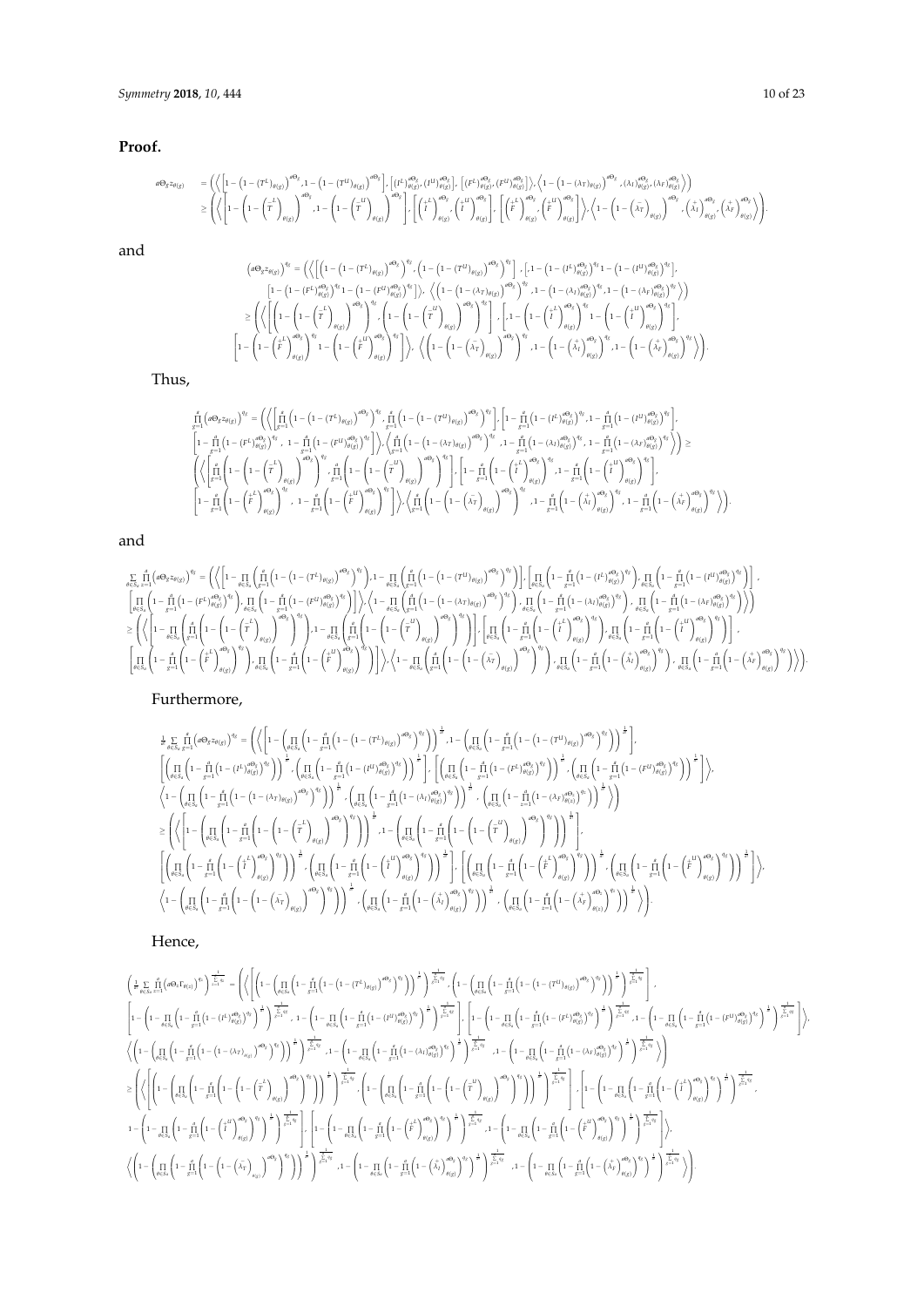## **Proof.**

$$
\begin{array}{ll} a\Theta_{g}z_{\theta(g)} & =\bigg(\bigg\langle\bigg[1-\Big(1-\big(T^L\big)_{\theta(g)}\Big)^{d\Theta_{g}} ,1-\Big(1-\big(T^U)_{\theta(g)}\Big)^{d\Theta_{g}}\bigg]\cdot\bigg[\big(I^L\big)^{d\Theta_{g}}_{\theta(g)} ,\big(I^U\big)^{d\Theta_{g}}\bigg]\cdot \bigg[\big(I^L\big)^{d\Theta_{g}}_{\theta(g)} ,\big(I^U\big)^{d\Theta_{g}}\bigg]\cdot \bigg[\big(I^L\big)^{d\Theta_{g}}_{\theta(g)} ,\big(I^U\big)^{d\Theta_{g}}\bigg]\bigg]\cdot \bigg[\big(I^L\big)^{d\Theta_{g}}_{\theta(g)} ,\big(I^U\big)^{d\Theta_{g}}\bigg]\bigg]\cdot \bigg[\big(I^L\big)^{d\Theta_{g}}_{\theta(g)} ,\big(I^U\big)^{d\Theta_{g}}\bigg]\cdot \bigg[\big(I^L\big)^{d\Theta_{g}}_{\theta(g)} ,\big(I^U\big)^{d\Theta_{g}}\bigg]\bigg]\cdot \bigg[\big(I^L\big)^{d\Theta_{g}} \big(I^U\big)^{d\Theta_{g}}\bigg]\cdot \bigg[\big(I^L\big)^{d\Theta_{g}} \big(I^U\big)^{d\Theta_{g}}\bigg]\cdot \bigg[\big(I^L\big)^{d\Theta_{g}} \big(I^U\big)^{d\Theta_{g}}\bigg]\cdot \bigg[\big(I^L\big)^{d\Theta_{g}} \big(I^U\big)^{d\Theta_{g}}\bigg]\bigg]\cdot \bigg[\big(I^L\big)^{d\Theta_{g}} \bigg]\cdot \bigg[\big(I^L\big)^{d\Theta_{g}} \bigg]\cdot \bigg[\big(I^L\big)^{d\Theta_{g}} \bigg]\cdot \bigg[\big(I^L\big)^{d\Theta_{g}} \bigg]\cdot \bigg[\big(I^L\big)^{d\Theta_{g}}\bigg]\cdot \bigg[\big(I^L\big)^{d\Theta_{g}}\bigg]\cdot \bigg[\big(I^L\big)^{d\Theta_{g}}\bigg]\cdot \bigg[\big(I^L\big)^{d\Theta_{g}}\bigg]\bigg]\cdot \bigg[\big(I^L\big)^{d\Theta_{g}} \bigg]\cdot \bigg[\big(I^L\big)^{d\Theta_{g}} \bigg]\cdot \bigg[\big(I
$$

and

$$
\begin{split} \left(a\Theta_{\mathbf{S}}z_{\theta(\mathbf{S})}\right)^{q_{\mathbf{S}}} &= \Big(\bigg\langle\left[\left(1-\left(1-(T^L)_{\theta(\mathbf{S})}\right)^{\mathbf{e}\Theta_{\mathbf{S}}}\right)^{q_{\mathbf{S}}},\left(1-\left(1-(T^U)_{\theta(\mathbf{S})}\right)^{\mathbf{e}\Theta_{\mathbf{S}}}\right)^{q_{\mathbf{S}}}\right], \left.\left.\left[1-\left(1-(I^L)^{\mathbf{e}\Theta_{\mathbf{S}}^*}\right)^{q_{\mathbf{S}}}1-\left(1-(I^U)_{\theta(\mathbf{S})}^{\mathbf{e}\Theta_{\mathbf{S}}^*}\right)^{q_{\mathbf{S}}^*}\right]\right.\\ &\left.\left.\left[\left[1-\left(1-(F^L)_{\theta(\mathbf{S})}^{\mathbf{e}\Theta_{\mathbf{S}}^*}\right)^{q_{\mathbf{S}}}1-\left(1-(F^U)_{\theta(\mathbf{S})}^{\mathbf{e}\Theta_{\mathbf{S}}^*}\right)^{q_{\mathbf{S}}^*}\right]\right), \right.\right.\\ &\left.\left.\left.\left(\left[\left(1-\left(1-(\tilde{\boldsymbol{\Gamma}}^L)_{\theta(\mathbf{S})}^{\mathbf{e}\Theta_{\mathbf{S}}^*}\right)^{q_{\mathbf{S}}^*}\right) -\left(1-(\tilde{\boldsymbol{\Gamma}}^H)_{\theta(\mathbf{S})}^{\mathbf{e}\Theta_{\mathbf{S}}^*}\right)^{q_{\mathbf{S}}^*}\right]\right), \right.\\ &\left.\left.\left.\left.\left.\left(\left[\left(1-\left(1-\left(\tilde{\boldsymbol{\Gamma}}^L\right)_{\theta(\mathbf{S})}\right)^{\mathbf{e}\Theta_{\mathbf{S}}}\right)^{q_{\mathbf{S}}^*}\right)^{q_{\mathbf{S}}^*}\right] -\left(1-\left(\tilde{\boldsymbol{\Gamma}}^H\right)_{\theta(\mathbf{S})}\right)^{\mathbf{e}\Theta_{\mathbf{S}}^*}\right)^{q_{\mathbf{S}}^*}\right)\right), \right.\\ &\left.\left.\left.\left[\left(1-\left(1-\left(\tilde{\boldsymbol{\Gamma}}^L\right)_{\theta(\mathbf{S})}\right)^{q_{\mathbf{S}}^*}\right)^{q_{\mathbf{S}}^*
$$

Thus,

$$
\label{eq:20} \begin{split} &\prod_{g=1}^{\tilde{n}}\left(a\Theta_{\tilde{S}}z_{\theta(g)}\right)^{q_{\tilde{s}}}=\left(\left\langle\left[\prod_{g=1}^{\tilde{n}}\left(1-\left(1-\left(T^{L}\right)_{\theta(g)}\right)^{d\Theta_{\tilde{S}}}\right)^{q_{\tilde{s}}},\prod_{g=1}^{\tilde{n}}\left(1-\left(1-\left(T^{L}\right)_{\theta(g)}\right)^{d\Theta_{\tilde{S}}}\right)^{q_{\tilde{s}}}\right],\left[1-\prod_{g=1}^{\tilde{n}}\left(1-\left(I^{L}\right)^{d\Theta_{\tilde{S}}}_{\theta(g)}\right)^{q_{\tilde{s}}},1-\prod_{g=1}^{\tilde{n}}\left(1-\left(I^{L}\right)^{e\Theta_{\tilde{S}}}_{\theta(g)}\right)^{q_{\tilde{s}}}\right],\\\left[1-\prod_{g=1}^{\tilde{n}}\left(1-\left(F^{L}\right)^{d\Theta_{\tilde{S}}}_{\theta(g)}\right)^{q_{\tilde{s}}} ,\,1-\prod_{g=1}^{\tilde{n}}\left(1-\left(F^{L}\right)^{d\Theta_{\tilde{S}}}_{\theta(g)}\right)^{q_{\tilde{s}}}\right]\right\rangle,\\ &\left\langle\left(\left[\prod_{g=1}^{\tilde{n}}\left(1-\left(1-\left(\overline{T}^{L}\right)_{\theta(g)}\right)^{d\tilde{s}}\right)^{q_{\tilde{s}}},\,1-\prod_{g=1}^{\tilde{n}}\left(1-\left(1-\left(\overline{T}^{L}\right)_{\theta(g)}\right)^{d\tilde{s}}\right)\right)^{q_{\tilde{s}}}\right),\left[\prod_{g=1}^{\tilde{n}\Theta_{\tilde{S}}}_{\theta(g)}\right]^{\tilde{q}_{\tilde{s}}}\right] \right\rangle,\\ &\left\langle\left(\left[\prod_{g=1}^{\tilde{n}}\left(1-\left(1-\left(\overline{T}^{L}\right)_{\theta(g)}\right)^{d\tilde{s}}\right)^{q_{\tilde{s}}},\,1-\prod_{g=1}^{\tilde{n}}\left(1-\left(1-\left(\overline{T}^{L}\right)_{\theta(g)}\right)^{d\tilde{s}}\right)^{q_{\tilde{s}}}\right)\right)^{q_{\tilde{s}}}\right\rangle\right)\\ &\
$$

and

$$
\begin{split} &\underset{\theta \in S_{s}}{\sum}\prod_{z=1}^{n}\Big(\alpha\Theta_{\delta}z_{\theta(g)}\Big)^{\theta_{\delta}}=\left(\left\langle \left[1-\prod_{\theta \in S_{1}}\left(\prod_{\theta \in S_{1}}\left(1-\left(1-\left(T^{L}\right)_{\theta(g)}\right)^{\theta\Theta_{\delta}}\right)^{\theta_{\delta}}\right)^{\theta_{\delta}}\right),1-\prod_{\theta \in S_{s}}\left(\prod_{z=1}^{n}\left(1-\left(1-\left(T^{U}\right)_{\theta(g)}\right)^{\theta\Theta_{\delta}}\right)^{\theta_{\delta}}\right)\right\rangle \cdot\left\lbrace\prod_{\theta \in S_{s}}\left(1-\prod_{z=1}^{n}\left(1-\left(I^{L}\right)^{\theta\Theta_{\delta}}_{\theta(g)}\right)^{\theta_{\delta}}\right)\right\rbrace\right\rbrace ,\\ &\left[\prod_{\theta \in S_{s}}\left(1-\prod_{\theta \in S_{1}}^{n}\left(1-\left(I^{L}\right)^{\theta\Theta_{\delta}}_{\theta(g)}\right)^{\theta_{\delta}}\right)\right\rbrace \cdot\left\lbrace\prod_{\theta \in S_{s}}\left(1-\prod_{z=1}^{n}\left(1-\left(1-\left(T^{L}\right)_{\theta(g)}\right)^{\theta\Theta_{\delta}}\right)^{\theta_{\delta}}\right)\right\rbrace\right\rbrace \cdot\left\lbrace\prod_{\theta \in S_{s}}\left(1-\prod_{z=1}^{n}\left(1-\left(I^{L}\right)^{\theta\Theta_{\delta}}_{\theta(g)}\right)^{\theta_{\delta}}\right)\right\rbrace\right\rbrace \cdot\left\lbrace\prod_{\theta \in S_{s}}\left(1-\prod_{z=1}^{n}\left(1-\left(1-\left(\lambda_{T}\right)_{\theta(g)}^{\theta\Theta_{\delta}}\right)^{\theta_{\delta}}\right)\right)\right\rbrace\right\rbrace \cdot\left\lbrace\prod_{\theta \in S_{s}}\left(1-\prod_{z=1}^{n}\left(1-\left(1-\left(\lambda_{T}\right)_{\theta(g)}^{\theta\Theta_{\delta}}\right)^{\theta_{\delta}}\right)\right)\right\rbrace\right\rbrace \cdot\left\lbrace\prod_{\theta \in S_{s}}\left(1-\prod_{z=1}^{n}\left(1-\left(1-\left(\lambda_{T}\right)_{\theta(g)}^{\theta\Theta_{\delta}}\right)^{\theta_{\delta}}\right)\right)\right\rbrace\right\rbrace \cdot
$$

Furthermore,

$$
\begin{split} &\frac{1}{a^l}\sum\limits_{\theta\in S_{\delta}}\prod\limits_{s=1}^{s}\left(\log_2z_{\theta(s)}\right)^{q_{\xi}}=\left(\left\langle\left[1-\left(\prod\limits_{\theta\in S_{\delta}}\left(1-\prod\limits_{s=1}^{s}\left(1-\left(1-(T^{L})_{\theta(s)}\right)^{\theta\theta_{\xi}}\right)^{q_{\xi}}\right)\right)^{\frac{1}{\theta}},1-\left(\prod\limits_{\theta\in S_{\delta}}\left(1-\prod\limits_{s=1}^{s}\left(1-\left(1-(T^{U})_{\theta(s)}\right)^{\theta\theta_{\xi}}\right)^{q_{\xi}}\right)\right)^{\frac{1}{\theta}}\right\rangle,\\ &\left[\left(\prod\limits_{\theta\in S_{\delta}}\left(1-\prod\limits_{s=1}^{s}\left(1-\int\limits_{\theta(s)}\left(1-\int\limits_{\theta(s)}^{s}\left(1-\int\limits_{\theta(s)}^{s}\left(1-\int\limits_{s=1}^{s}\left(1-(T^{L})_{\theta(s)}^{s\theta_{\xi}}\right)^{q_{\xi}}\right)\right)^{\frac{1}{\theta}}\right),\left(\prod\limits_{\theta\in S_{\delta}}\left(1-\prod\limits_{s=1}^{s}\left(1-\int\limits_{\theta(s)}^{s}\left(1-\int\limits_{s=1}^{s}\left(1-\int\limits_{\theta(s)}^{s}\left(1-\int\limits_{s=1}^{s}\left(1-\int\limits_{\theta(s)}^{s}\left(1-\int\limits_{s=1}^{s}\left(1-\int\limits_{s=1}^{s}\left(1-\int\limits_{s=1}^{s}\left(1-\int\limits_{s=1}^{s}\left(1-\int\limits_{s=1}^{s}\left(1-\int\limits_{s=1}^{s}\left(1-\int\limits_{s=1}^{s}\left(1-\int\limits_{s=1}^{s}\left(1-\int\limits_{s=1}^{s}\left(1-\int\limits_{s=1}^{s}\left(1-\int\limits_{s=1}^{s}\left(1-\int\limits_{s=1}^{s}\left(1-\int\limits_{s=1}^{s}\left(1-\int\limits_{s=1}^{s}\left(1-\int\limits_{s=1}^{s}\left(1-\int\limits_{s=1}^{s}\left(1-\int\limits_{s=1}^{s}\left(1-\int\limits_{s=1}^{s}\left(1
$$

Hence,

$$
\begin{split} &\left(\tfrac{1}{\pi}\sum_{\theta \in S_{\delta}}\tfrac{f}{1-\alpha}\left(\theta \circ \Gamma_{\theta}(z)\right)^{\theta}\right)^{\frac{1}{\mu_{\alpha}}}\frac{1}{\pi}e\left(\left\langle\left[\left(1-\left(\prod_{\theta \in S_{\delta}}\left(1-\int_{\theta(\theta)}^{\pi}\left(1-\left(1-(T^{L})_{\theta(g)}\right)^{\theta \delta}\right)^{\theta}\right)\right)^{\frac{1}{\mu}}\right)^{\frac{1}{\mu_{\alpha}}}\frac{1}{\pi}e\left(\left(1-\left(\prod_{\theta \in S_{\delta}}\left(1-\int_{\theta(\theta)}^{\pi}\left(1-(T^{L})_{\theta(g)}\right)^{\theta \delta}\right)^{\theta}\right)^{\frac{1}{\mu_{\alpha}}}\right)^{\frac{1}{\mu_{\alpha}}}\frac{1}{\pi}e\left(\left(1-\int_{\theta(\theta)}^{\pi}\left(1-(T^{L})_{\theta(g)}\right)^{\theta \delta}\right)^{\frac{1}{\mu_{\alpha}}}\frac{1}{\pi}e\left(\left(1-\int_{\theta(\theta)}^{\pi}\left(1-(T^{L})_{\theta(g)}\right)^{\theta \delta}\right)^{\frac{1}{\mu_{\alpha}}}\frac{1}{\pi}e\left(\left(1-\int_{\theta(\theta)}^{\pi}\left(1-(T^{L})_{\theta(g)}\right)^{\theta \delta}\right)^{\frac{1}{\mu_{\alpha}}}\frac{1}{\pi}e\left(\left(1-\int_{\theta(\theta)}^{\pi}\left(1-(T^{L})_{\theta(g)}\right)^{\theta \delta}\right)^{\frac{1}{\mu_{\alpha}}}\right)^{\frac{1}{\mu_{\alpha}}}\frac{1}{\pi}e\left(\left(1-\int_{\theta(\theta)}^{\pi}\left(1-(T^{L})_{\theta(g)}\right)^{\theta \delta}\right)^{\frac{1}{\mu_{\alpha}}}\right)^{\frac{1}{\mu_{\alpha}}}\frac{1}{\pi}e\left(\left(1-\int_{\theta(\theta)}^{\pi}\left(1-(T^{L})_{\theta(g)}\right)^{\theta \delta}\right)^{\frac{1}{\mu_{\alpha}}}\right)^{\frac{1}{\mu_{\alpha}}}\frac{1}{\pi}e\left(\left(1-\int_{\theta(\theta)}^{\pi}\left(1-(T^{L})_{\theta(g)}\right)^{\theta \delta}\right)^{\frac{1}{\mu_{\alpha}}}\right)^{\frac{1}{\mu_{\alpha}}}\frac{
$$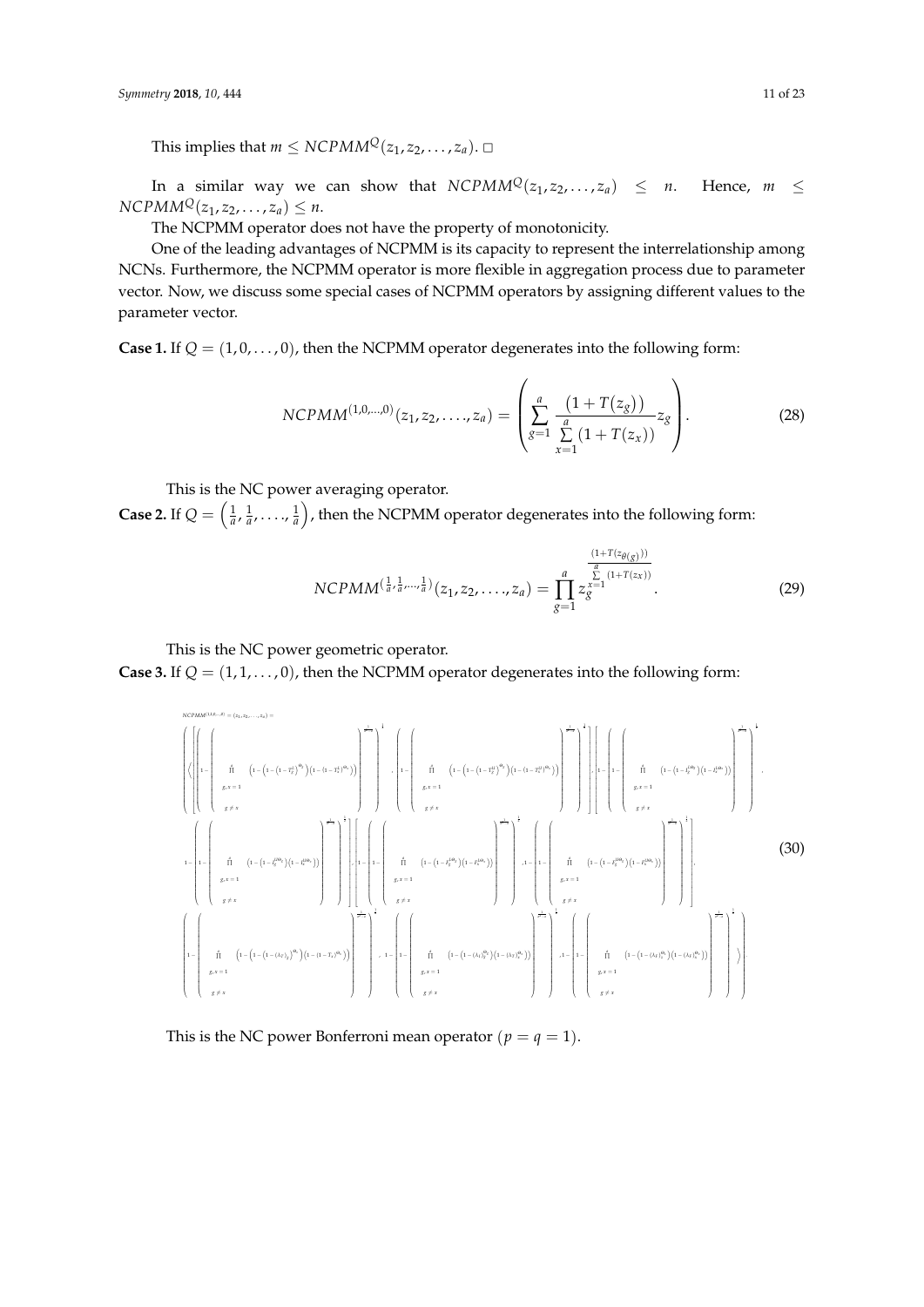This implies that  $m \leq NCPMM^Q(z_1, z_2, \ldots, z_a)$ .  $\Box$ 

In a similar way we can show that  $NCPMM^Q(z_1, z_2, \ldots, z_a) \leq n$ . Hence,  $m \leq$  $NCPMM^{Q}(z_1, z_2, \ldots, z_a) \leq n$ .

The NCPMM operator does not have the property of monotonicity.

One of the leading advantages of NCPMM is its capacity to represent the interrelationship among NCNs. Furthermore, the NCPMM operator is more flexible in aggregation process due to parameter vector. Now, we discuss some special cases of NCPMM operators by assigning different values to the parameter vector.

**Case 1.** If  $Q = (1, 0, \ldots, 0)$ , then the NCPMM operator degenerates into the following form:

NCPMM<sup>(1,0,...,0)</sup>(z<sub>1</sub>, z<sub>2</sub>,...,z<sub>a</sub>) = 
$$
\left(\sum_{g=1}^{a} \frac{(1+T(z_g))}{\sum_{x=1}^{a} (1+T(z_x))} z_g\right).
$$
 (28)

This is the NC power averaging operator.

**Case 2.** If  $Q = \left(\frac{1}{a}, \frac{1}{a}, \dots, \frac{1}{a}\right)$ , then the NCPMM operator degenerates into the following form:

$$
NCPMM^{(\frac{1}{a},\frac{1}{a},...,\frac{1}{a})}(z_1,z_2,...,z_a) = \prod_{g=1}^{a} z_g^{\frac{(1+T(z_{\theta(g)}))}{\frac{p}{g}}}. \tag{29}
$$

This is the NC power geometric operator.

**Case 3.** If  $Q = (1, 1, \ldots, 0)$ , then the NCPMM operator degenerates into the following form:

$$
NCPMM^{(1,0,0,0)} = (z_1, z_2,...,z_n) = \left[\left(\left|\left(\left(\begin{array}{ccccc} \left(\begin{array}{ccccc} \frac{1}{2} & \frac{1}{2} & \frac{1}{2} & \frac{1}{2} & \frac{1}{2} & \frac{1}{2} & \frac{1}{2} & \frac{1}{2} & \frac{1}{2} & \frac{1}{2} & \frac{1}{2} & \frac{1}{2} & \frac{1}{2} & \frac{1}{2} & \frac{1}{2} & \frac{1}{2} & \frac{1}{2} & \frac{1}{2} & \frac{1}{2} & \frac{1}{2} & \frac{1}{2} & \frac{1}{2} & \frac{1}{2} & \frac{1}{2} & \frac{1}{2} & \frac{1}{2} & \frac{1}{2} & \frac{1}{2} & \frac{1}{2} & \frac{1}{2} & \frac{1}{2} & \frac{1}{2} & \frac{1}{2} & \frac{1}{2} & \frac{1}{2} & \frac{1}{2} & \frac{1}{2} & \frac{1}{2} & \frac{1}{2} & \frac{1}{2} & \frac{1}{2} & \frac{1}{2} & \frac{1}{2} & \frac{1}{2} & \frac{1}{2} & \frac{1}{2} & \frac{1}{2} & \frac{1}{2} & \frac{1}{2} & \frac{1}{2} & \frac{1}{2} & \frac{1}{2} & \frac{1}{2} & \frac{1}{2} & \frac{1}{2} & \frac{1}{2} & \frac{1}{2} & \frac{1}{2} & \frac{1}{2} & \frac{1}{2} & \frac{1}{2} & \frac{1}{2} & \frac{1}{2} & \frac{1}{2} & \frac{1}{2} & \frac{1}{2} & \frac{1}{2} & \frac{1}{2} & \frac{1}{2} & \frac{1}{2} & \frac{1}{2} & \frac{1}{2} & \frac{1}{2} & \frac{1}{2} & \frac{1}{2} & \frac{1}{2} & \frac{1}{2} & \frac{1}{2} & \frac{1}{2} & \frac{1}{2} & \frac{1}{2} & \frac{1}{2} & \frac{1}{2} & \frac{1}{2} & \frac{1}{2} & \frac{1}{2} & \frac{1}{2} & \frac{1}{2}
$$

This is the NC power Bonferroni mean operator ( $p = q = 1$ ).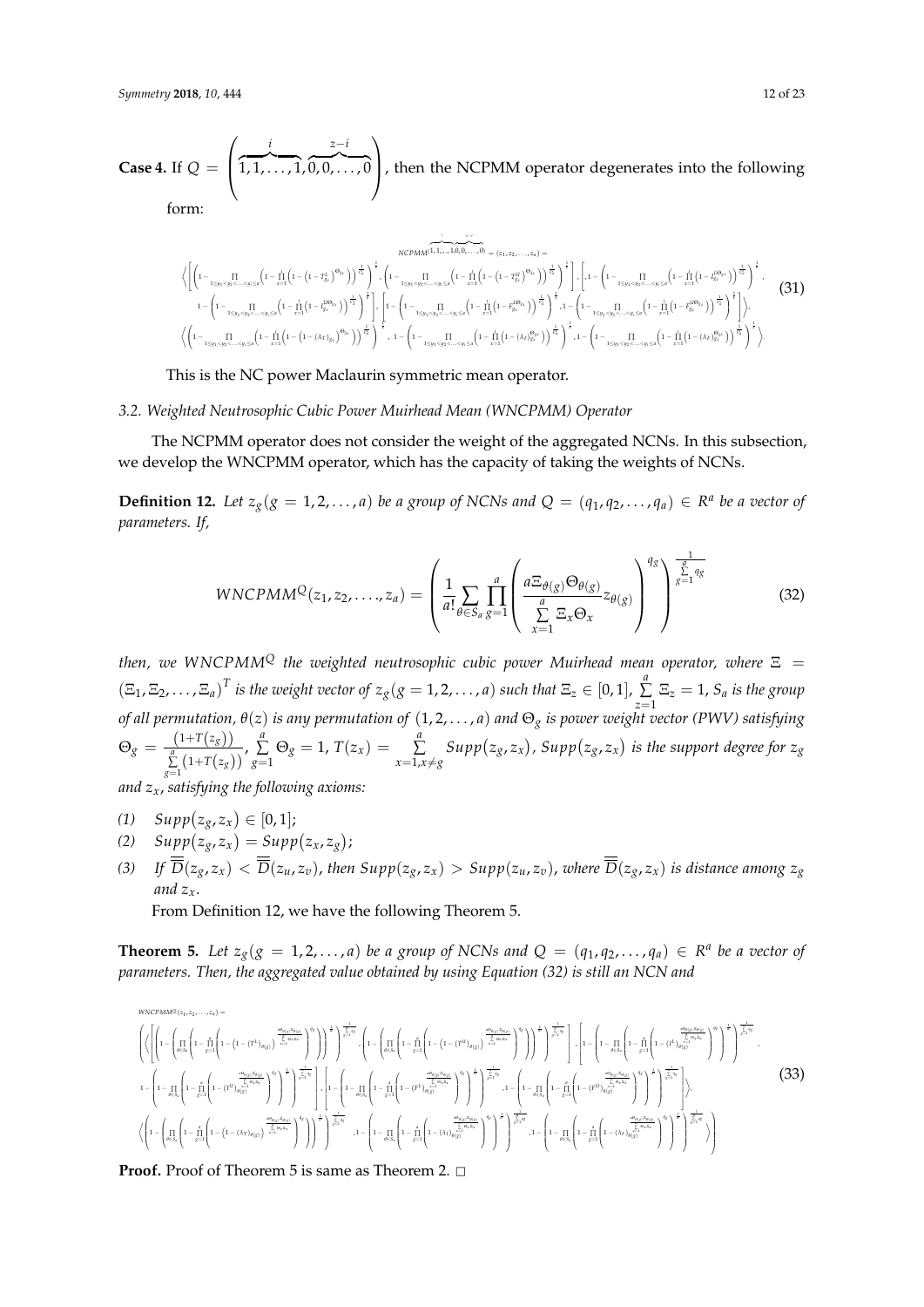**Case 4.** If  $Q =$  $\sqrt{ }$  $\overline{ }$ *i*  $\overline{1,1,\ldots,1},$ *z*−*i*  $\overline{0,0,\ldots,0}$  $\setminus$ , then the NCPMM operator degenerates into the following form:

$$
\begin{array}{c}\n\sqrt{\left[\left(1-\frac{\prod\limits_{1\leq y_1< y_2< \ldots< y_i\leq d}\left(1-\frac{i}{\prod\limits_{i=1}^i\left(1-\left(1-\frac{\tau_i^L}{\delta x}\right)^{\Theta_{2x}}\right)\right)^{\frac{1}{\epsilon_1^2}}\right)^{\frac{1}{\epsilon_1^2}}}\right]^{\frac{1}{\epsilon_1^2}}\right]^{\frac{1}{\epsilon_1^2}}\left(1-\frac{i}{\sum_{1\leq y_1< y_2< \ldots< y_i\leq d}\left(1-\frac{i}{\sum\limits_{i=1}^i\left(1-\left(1-\frac{\tau_i^U}{\delta x}\right)^{\Theta_{2x}}\right)\right)^{\frac{1}{\epsilon_1^2}}}\right)^{\frac{1}{\epsilon_1^2}}\right)^{\frac{1}{\epsilon_1^2}}\left(1-\frac{i}{\sum\limits_{i=1}^i\left(1-\left(1-\frac{\tau_i^U}{\delta x}\right)^{\Theta_{2x}}\right)^{\frac{1}{\epsilon_1^2}}}\right)^{\frac{1}{\epsilon_1^2}}\right)^{\frac{1}{\epsilon_1^2}}\left(1-\frac{i}{\sum\limits_{i=1}^i\left(1-\left(1-\frac{\tau_i^U}{\delta x}\right)^{\Theta_{2x}}\right)^{\frac{1}{\epsilon_1^2}}}\right)^{\frac{1}{\epsilon_1^2}}\right)^{\frac{1}{\epsilon_1^2}}\left(1-\frac{i}{\sum\limits_{i=1}^i\left(1-\frac{\tau_i^U}{\delta x}\right)^{\Theta_{2x}}}\right)^{\frac{1}{\epsilon_1^2}}\right)^{\frac{1}{\epsilon_1^2}}\left(1-\frac{i}{\sum\limits_{i=1}^i\left(1-\frac{\tau_i^U}{\delta x}\right)^{\Theta_{2x}}}\right)^{\frac{1}{\epsilon_1^2}}\right)^{\frac{1}{\epsilon_1^2}}\left(1-\frac{i}{\sum\limits_{i=1}^i\left(1-\frac{\tau_i^U}{\delta x}\right)^{\Theta_{2x}}}\right)^{\frac{1}{\epsilon_1^2}}\right)^{\frac{1}{\epsilon_1^2}}\left(1-\frac{i}{\sum\limits_{i=1}^i\left(1-\frac{\tau_i^U}{\delta x}\right)^{\Theta_{2x}}}\right)^{\frac{1}{\epsilon_1^2}}\right)^{\frac{1}{\epsilon_1^2}}\left(
$$

This is the NC power Maclaurin symmetric mean operator.

## *3.2. Weighted Neutrosophic Cubic Power Muirhead Mean (WNCPMM) Operator*

The NCPMM operator does not consider the weight of the aggregated NCNs. In this subsection, we develop the WNCPMM operator, which has the capacity of taking the weights of NCNs.

**Definition 12.** Let  $z_g(g = 1, 2, ..., a)$  be a group of NCNs and  $Q = (q_1, q_2, ..., q_a) \in R^a$  be a vector of *parameters. If,*

$$
WNCPMM^{Q}(z_{1}, z_{2}, \ldots, z_{a}) = \left(\frac{1}{a!} \sum_{\theta \in S_{a}} \prod_{g=1}^{a} \left(\frac{a \Xi_{\theta(g)} \Theta_{\theta(g)}}{\sum_{x=1}^{a} \Xi_{x} \Theta_{x}} z_{\theta(g)}\right)^{q_{g}}\right)^{\frac{1}{\sum_{g=1}^{a} q_{g}}} \tag{32}
$$

*then, we* WNCPMM<sup>Q</sup> *the weighted neutrosophic cubic power Muirhead mean operator, where* Ξ =  $(\Xi_1, \Xi_2, \ldots, \Xi_a)^T$  is the weight vector of  $z_g$   $(g = 1, 2, \ldots, a)$  such that  $\Xi_z \in [0, 1]$ ,  $\sum_a^a$  $\sum_{z=1}$   $\Xi_z = 1$ ,  $S_a$  *is the group of all permutation, θ*(*z*) *is any permutation of* (1, 2, . . . , *a*) *and* Θ*<sup>g</sup> is power weight vector (PWV) satisfying*  $\Theta_g = \frac{\left(1+T(z_g)\right)}{\sum\limits_{g=1}^a (1+T(z_g))}$ , *a* ∑  $\sum_{g=1}^{a} \Theta_g = 1, T(z_x) = \sum_{x=1,3}^{a}$  $x=1, x \neq g$ *Supp*( $z_g$ ,  $z_x$ ), *Supp*( $z_g$ ,  $z_x$ ) *is the support degree for*  $z_g$ 

*and zx*, *satisfying the following axioms:*

- *(1)*  $Supp(z_g, z_x) \in [0, 1];$
- (2)  $Supp(z_g, z_x) = Supp(z_x, z_g);$
- (3) If  $\overline{\overline{D}}(z_g, z_x) < \overline{\overline{D}}(z_u, z_v)$ , then  $Supp(z_g, z_x) > Supp(z_u, z_v)$ , where  $\overline{\overline{D}}(z_g, z_x)$  is distance among  $z_g$ *and zx*.

From Definition 12, we have the following Theorem 5.

**Theorem 5.** Let  $z_g(g = 1, 2, ..., a)$  be a group of NCNs and  $Q = (q_1, q_2, ..., q_a) \in R^a$  be a vector of *parameters. Then, the aggregated value obtained by using Equation (32) is still an NCN and*

$$
\sqrt{\left( \left[ 1 - \left( \prod_{e \in S_{\epsilon}} \left( 1 - \prod_{e \in S_{\epsilon}} \left( 1 - \prod_{e \in S_{\epsilon}} \left( 1 - \prod_{e \in S_{\epsilon}} (1 - (T^{\epsilon})_{\theta(g)}) \prod_{e \in \theta(g)}} \right)^{\frac{d\theta(g) \cdot \Xi_{\theta(g)}}{f_{\epsilon}, \theta(g)}} \right)^{\frac{1}{2}} \right) \right)^{\frac{1}{2}} \right)^{\frac{1}{\epsilon_{\epsilon}, \theta(g)}} \cdot \left( 1 - \left( \prod_{e \in S_{\epsilon}} \left( 1 - \prod_{e \in S_{\epsilon}} (1 - (T^{\epsilon})_{\theta(g)}) \prod_{e \in \theta(g)}} \right)^{\frac{d\theta(g) \cdot \Xi_{\theta(g)}}{f_{\epsilon}, \theta(g)}} \right)^{\frac{1}{2}} \right) \right)^{\frac{1}{2}} \cdot \left( 1 - \left( \prod_{e \in S_{\epsilon}} \left( 1 - \prod_{e \in S_{\epsilon}} (1 - (T^{\epsilon})_{\theta(g)}) \prod_{e \in \theta(g)}} \right)^{\frac{d\theta(g) \cdot \Xi_{\theta(g)}}{f_{\epsilon}, \theta(g)}} \right)^{\frac{1}{2}} \right) \right)^{\frac{1}{2}} \cdot \left( 1 - \left( \prod_{e \in S_{\epsilon}} \left( 1 - \prod_{e \in S_{\epsilon}} (1 - (T^{\epsilon})_{\theta(g)}) \prod_{e \in \theta(g)}} \right)^{\frac{1}{2}} \right)^{\frac{1}{2}} \cdot \left( 1 - \left( 1 - (T^{\epsilon})_{\theta(g)} \right)^{\frac{1}{2}} \right)^{\frac{1}{2}} \cdot \left( 1 - \left( 1 - (T^{\epsilon})_{\theta(g)} \right)^{\frac{1}{2}} \right)^{\frac{1}{2}} \cdot \left( 1 - \left( 1 - (T^{\epsilon})_{\theta(g)} \right)^{\frac{1}{2}} \right)^{\frac{1}{2}} \cdot \left( 1 - \left( 1 - (T^{\epsilon})_{\theta(g)} \right)^{\frac{1}{2}} \right)^{\frac{1}{2}} \cdot \left( 1 - \left( 1 - (T^{\epsilon})_{\theta(g)} \right)^{\frac{1}{2}} \right)^{\frac{1}{2}} \cdot \left( 1 - \left( 1 - (T^{\epsilon})_{\theta(g)} \right)^{\frac{1}{2}} \right)^{\frac{1}{2}} \cdot \left
$$

**Proof.** Proof of Theorem 5 is same as Theorem 2.  $\Box$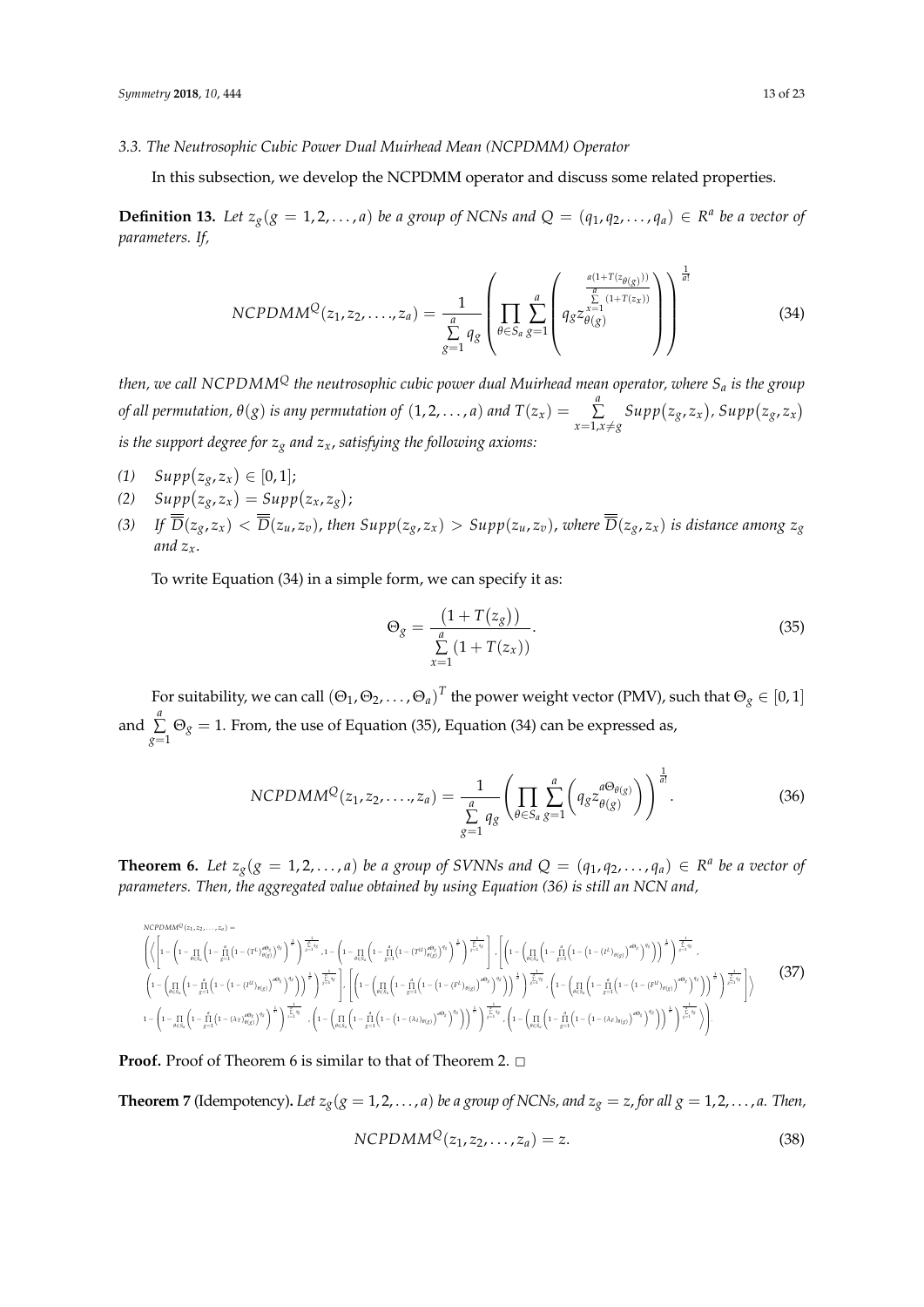In this subsection, we develop the NCPDMM operator and discuss some related properties.

**Definition 13.** Let  $z_g(g = 1, 2, ..., a)$  be a group of NCNs and  $Q = (q_1, q_2, ..., q_a) \in R^a$  be a vector of *parameters. If,*

$$
NCPDMM^{Q}(z_1, z_2, \ldots, z_a) = \frac{1}{\sum_{g=1}^{a} q_g} \left( \prod_{\theta \in S_a} \sum_{g=1}^{a} \left( q_g z_{\theta(g)}^{\frac{a(1+T(z_{\theta(g)}))}{\sum_{g=1}^{a} (1+T(z_x))}} \right) \right)^{\frac{1}{a!}}
$$
(34)

*then, we call NCPDMM<sup>Q</sup> the neutrosophic cubic power dual Muirhead mean operator, where S<sup>a</sup> is the group of all permutation,*  $\theta(g)$  *is any permutation of*  $(1, 2, ..., a)$  *and*  $T(z_x) = \sum_{i=1}^{a}$ *x*=1,*x*≠*g*  $Supp(z_g, z_x)$ ,  $Supp(z_g, z_x)$  $i$ s the support degree for  $z_g$  and  $z_x$ , satisfying the following axioms:

$$
(1) \quad Supp(z_g,z_x)\in[0,1];
$$

- (2)  $Supp(z_g, z_x) = Supp(z_x, z_g);$
- (3) If  $\overline{\overline{D}}(z_g, z_x) < \overline{\overline{D}}(z_u, z_v)$ , then  $Supp(z_g, z_x) > Supp(z_u, z_v)$ , where  $\overline{\overline{D}}(z_g, z_x)$  is distance among  $z_g$ *and zx*.

To write Equation (34) in a simple form, we can specify it as:

$$
\Theta_g = \frac{(1 + T(z_g))}{\sum_{x=1}^{a} (1 + T(z_x))}.
$$
\n(35)

For suitability, we can call  $(\Theta_1,\Theta_2,\dots,\Theta_a)^T$  the power weight vector (PMV), such that  $\Theta_g\in[0,1]$ and *a* ∑  $\sum\limits_{g=1}$   $\Theta_g = 1$ . From, the use of Equation (35), Equation (34) can be expressed as,

$$
NCPDMM^Q(z_1, z_2, \dots, z_a) = \frac{1}{\sum\limits_{g=1}^a q_g} \left( \prod_{\theta \in S_a} \sum_{g=1}^a \left( q_g z_{\theta(g)}^{a\Theta_{\theta(g)}} \right) \right)^{\frac{1}{a!}}.
$$
 (36)

**Theorem 6.** Let  $z_g(g = 1, 2, ..., a)$  be a group of SVNNs and  $Q = (q_1, q_2, ..., q_a) \in R^a$  be a vector of *parameters. Then, the aggregated value obtained by using Equation (36) is still an NCN and,*

$$
\begin{split} &\mathcal{N}CPDMM^{Q}(z_{1},z_{2},\ldots,z_{a})=\\ &\left(\left\langle\left[1-\left(1-\prod_{\theta\in S_{a}}\left(1-\prod_{s=1}^{a}\left(1-(T^{L})\frac{e\theta_{s}}{s-1}\right)^{\theta_{s}}\right)^{\frac{1}{\alpha}}\right)^{\frac{1}{\alpha-1}\frac{1}{\alpha_{s}}},1-\left(1-\prod_{\theta\in S_{a}}\left(1-\prod_{s=1}^{a}\left(1-(T^{U})\frac{e\theta_{s}}{s}\right)^{\theta_{s}}\right)^{\frac{1}{\alpha}}\right)^{\frac{1}{\alpha-1}\frac{1}{\alpha_{s}}}\right\rangle\right.\left.\left.\left[\left(1-\left(\prod_{\theta\in S_{a}}\left(1-\prod_{s=1}^{a}\left(1-(T^{L})\frac{e\theta_{s}}{s}\right)^{\theta_{s}}\right)^{\theta_{s}}\right)\right)^{\frac{1}{\alpha}}\right)^{\frac{1}{\alpha-1}\frac{1}{\alpha_{s}}},\right.\\ &\left.\left(1-\left(\prod_{\theta\in S_{a}}\left(1-\prod_{s=1}^{a}\left(1-(T^{L})\frac{e\theta_{s}}{s}\right)^{\theta_{s}}\right)^{\theta_{s}}\right)^{\frac{1}{\alpha_{s}}}\right\rangle\right.\left.\left.\left[\left(1-\left(\prod_{\theta\in S_{a}}\left(1-\prod_{s=1}^{a}\left(1-(T^{L})\frac{e\theta_{s}}{s}\right)^{\theta_{s}}\right)^{\theta_{s}}\right)\right)^{\frac{1}{\alpha_{s}}}\right) \right.\right.\\ &\left.\left.+\left(\prod_{\theta\in S_{a}}\left(1-\prod_{s=1}^{a}\left(1-(T^{L})\frac{e\theta_{s}}{s}\right)^{\theta_{s}}\right)^{\theta_{s}}\right)^{\frac{1}{\alpha_{s}}}\right\rangle\right.\left.\left.\left.\left(1-\left(\prod_{\theta\in S_{a}}\left(1-\prod_{s=1}^{a}\left(1-(T^{L})\frac{e\theta_{s}}{s}\right)^{\theta_{s}}\right)^{\theta_{s}}\right)\right)^{\frac{1}{\alpha_{s}}}\right) \right.\right.\\ &\left.\left.+\left(1-\prod_{\theta\in S_{a}}\left(1-\prod_{s=1}^{a}\left(1-(T^{L})\frac{e
$$

**Proof.** Proof of Theorem 6 is similar to that of Theorem 2.  $\Box$ 

**Theorem 7** (Idempotency). Let  $z_g$  ( $g = 1, 2, ..., a$ ) be a group of NCNs, and  $z_g = z$ , for all  $g = 1, 2, ..., a$ . Then,

$$
NCPDMM^Q(z_1, z_2, \dots, z_a) = z.
$$
\n
$$
(38)
$$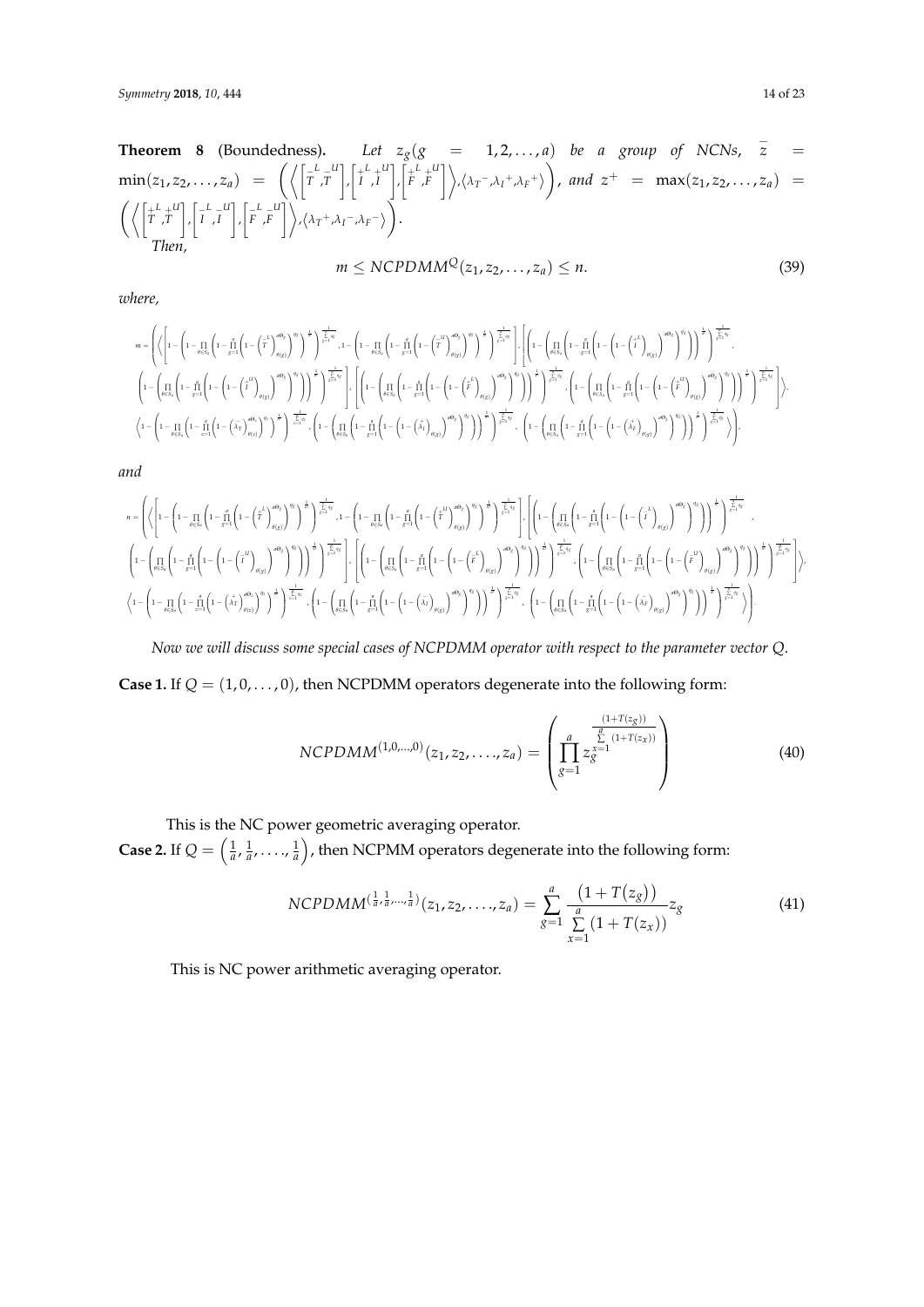**Theorem 8 (Boundedness).** Let 
$$
z_g(g) = 1, 2, ..., a)
$$
 be a group of NCNs,  $\bar{z} = \min(z_1, z_2, ..., z_a) = (\langle [\bar{T}, \bar{T}] \rangle, [\bar{T}, \bar{T}] \rangle, [\bar{T}, \bar{T}] \rangle, (\lambda_{\bar{T}}^{-\lambda_1 + \lambda_{\bar{T}}} \rangle)$ , and  $z^+ = \max(z_1, z_2, ..., z_a) = (\langle [\bar{T}, \bar{T}] \rangle, [\bar{T}, \bar{T}] \rangle, (\lambda_{\bar{T}}^{L} - \lambda_{\bar{T}}^{U}) \rangle, (\lambda_{\bar{T}}^{L} - \lambda_{\bar{T}}^{L})$ ).  
\nThen,  
\n $m \le NCPDMM^Q(z_1, z_2, ..., z_a) \le n.$  (39)

*where,*

$$
m=\left(\left\langle \left[1-\left(1-\prod\limits_{\theta\in S_{\varepsilon}}\left(1-\prod\limits_{\xi=1}^{\varepsilon} \left(1-\prod\limits_{\xi=1}^{\varepsilon} \left(1-\left(\overline{\tau}^T\right)^{a\Theta_{\xi}}_{\theta(\xi)}\right)^{\theta_{\xi}}\right)^{\frac{1}{\theta}}\right)^{\frac{1}{\varepsilon-1}}\right)^{\frac{1}{\varepsilon-1}}\right)^{\frac{1}{\varepsilon-1}}\right)^{\frac{1}{\varepsilon-1}}\cdot\\ \left(1-\left(\prod\limits_{\theta\in S_{\varepsilon}}\left(1-\prod\limits_{\xi=1}^{\varepsilon} \left(1-\prod\limits_{\xi=1}^{\varepsilon} \left(1-\left(\overline{\tau}^T\right)^{a\Theta_{\xi}}_{\theta(\xi)}\right)^{\theta_{\xi}}\right)^{\frac{1}{\theta}}\right)^{\frac{1}{\varepsilon-1}}\right)^{\frac{1}{\varepsilon-1}}\cdot\\ \left(1-\left(\prod\limits_{\theta\in S_{\varepsilon}}\left(1-\prod\limits_{\xi=1}^{\varepsilon} \left(1-\left(\overline{\tau}^T\right)^{a\Theta_{\xi}}_{\theta(\xi)}\right)^{\theta_{\xi}}\right)^{\frac{1}{\theta}}\right)^{\frac{1}{\varepsilon-1}}\cdot\left[1-\left(\prod\limits_{\theta\in S_{\varepsilon}}\left(1-\prod\limits_{\xi=1}^{\varepsilon} \left(1-\left(\overline{\tau}^T\right)^{a\Theta_{\xi}}_{\theta(\xi)}\right)^{\theta_{\xi}}\right)^{\theta_{\xi}}\right)^{\frac{1}{\theta}}\right)^{\frac{1}{\varepsilon-1}}\cdot\\ \left(1-\left(\prod\limits_{\theta\in S_{\varepsilon}}\left(1-\prod\limits_{\xi=1}^{\varepsilon} \left(1-\left(\overline{\tau}^T\right)^{a\Theta_{\xi}}_{\theta(\xi)}\right)^{\theta_{\xi}}\right)^{\theta_{\xi}}\right)^{\frac{1}{\theta}}\right)^{\frac{1}{\theta}}\cdot\left[\left(1-\left(\prod\limits_{\theta\in S_{\varepsilon}}\left(1-\prod\limits_{\xi=1}^{\varepsilon} \left(1-\left(\overline{\tau}^T\right)^{a\Theta_{\xi}}_{\theta(\xi)}\right)^{\theta_{\xi
$$

*and*

$$
n=\left(\left\langle \left[1-\left(1-\prod\limits_{\theta \in S_{\sigma}}\left(1-\prod\limits_{\theta \in S_{\sigma}}\left(1-\prod\limits_{\theta \in S_{\sigma}}\left(1-\prod\limits_{\theta \in S_{\sigma}}\left(1-\left(\tilde{\tau}^{L}\right)^{s\Theta_{\xi}}\right)^{\theta_{\xi}}\right)^{\frac{1}{\theta}}\right)\right.\frac{\frac{1}{\varepsilon^{\frac{1}{\alpha}qq}}}{\left(1-\left(\prod\limits_{\theta \in S_{\sigma}}\left(1-\prod\limits_{\theta \in S_{\sigma}}\left(1-\prod\limits_{\theta \in S_{\sigma}}\left(1-\prod\limits_{\theta \in S_{\sigma}}\left(1-\prod\limits_{\theta \in S_{\sigma}}\left(1-\int\limits_{\theta \in S_{\sigma}}\left(1-\int\limits_{\theta \in S_{\sigma}}\left(1-\int\limits_{\theta \in S_{\sigma}}\left(1-\int\limits_{\theta \in S_{\sigma}}\left(1-\int\limits_{\theta \in S_{\sigma}}\left(1-\int\limits_{\theta \in S_{\sigma}}\left(1-\int\limits_{\theta \in S_{\sigma}}\left(1-\int\limits_{\theta \in S_{\sigma}}\left(1-\int\limits_{\theta \in S_{\sigma}}\left(1-\int\limits_{\theta \in S_{\sigma}}\left(1-\int\limits_{\theta \in S_{\sigma}}\left(1-\int\limits_{\theta \in S_{\sigma}}\left(1-\int\limits_{\theta \in S_{\sigma}}\left(1-\int\limits_{\theta \in S_{\sigma}}\left(1-\int\limits_{\theta \in S_{\sigma}}\left(1-\int\limits_{\theta \in S_{\sigma}}\left(1-\int\limits_{\theta \in S_{\sigma}}\left(1-\int\limits_{\theta \in S_{\sigma}}\left(1-\int\limits_{\theta \in S_{\sigma}}\left(1-\int\limits_{\theta \in S_{\sigma}}\left(1-\int\limits_{\theta \in S_{\sigma}}\left(1-\int\limits_{\theta \in S_{\sigma}}\left(1-\int\limits_{\theta \in S_{\sigma}}\left(1-\int\limits_{\theta \in S_{\sigma}}\left(1-\int\limits_{\theta \in S_{\sigma}}\left(1-\int\limits_{\theta \in S_{\sigma}}\left(1-\int\limits_{\theta \in S_{\sigma}}\left(1-\int\limits_{\theta \in S_{\sigma}}\left(1-\int\
$$

*Now we will discuss some special cases of NCPDMM operator with respect to the parameter vector Q*.

**Case 1.** If  $Q = (1, 0, \ldots, 0)$ , then NCPDMM operators degenerate into the following form:

$$
NCPDMM^{(1,0,\dots,0)}(z_1, z_2, \dots, z_a) = \left(\prod_{g=1}^{a} z_g^{\frac{(1+T(z_g))}{\sum_{x=1}^{a} (1+T(z_x))}}\right)
$$
(40)

This is the NC power geometric averaging operator.

**Case 2.** If  $Q = \left(\frac{1}{a}, \frac{1}{a}, \ldots, \frac{1}{a}\right)$ , then NCPMM operators degenerate into the following form:

$$
NCPDMM^{(\frac{1}{a},\frac{1}{a},\ldots,\frac{1}{a})}(z_1,z_2,\ldots,z_a) = \sum_{g=1}^a \frac{(1+T(z_g))}{\sum_{x=1}^a (1+T(z_x))} z_g
$$
(41)

This is NC power arithmetic averaging operator.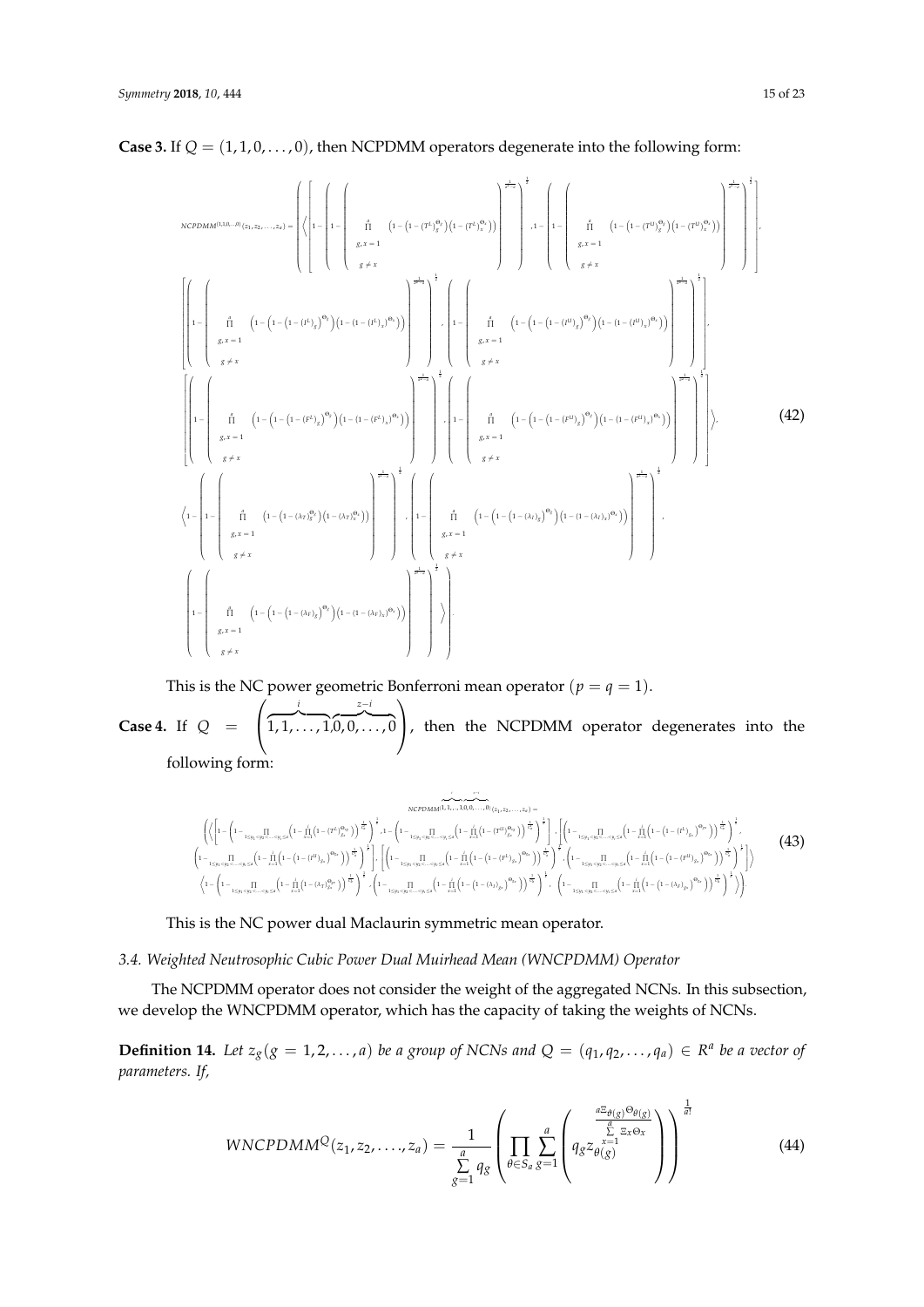## **Case 3.** If  $Q = (1, 1, 0, \ldots, 0)$ , then NCPDMM operators degenerate into the following form:

$$
NCPDMM^{(1,1,0...,0)}(z_1, z_2,..., z_n) = \left\{ \left\{ 1 - \left[ 1 - \left( 1 - \left( 1 - (1 - (1 + \mu) \right)^0 \right) \left( 1 - (1 + \mu) \right)^0 \right] \right\} \right\} + \left\{ 1 - \left[ 1 - \left( 1 - \left( 1 - (1 + \mu) \right)^0 \right) \left( 1 - (1 + \mu) \right)^0 \right] \right\} \right\} + \left\{ 1 - \left[ 1 - \left( 1 - \left( 1 - (1 + \mu) \right)^0 \right) \left( 1 - (1 + \mu) \right)^0 \right] \right\} \right\} + \left\{ 1 - \left[ 1 - \left( 1 - \left( 1 - (1 + \mu) \right)^0 \right) \left( 1 - (1 + \mu) \right)^0 \right] \right\} \right\} + \left\{ 1 - \left[ 1 - \left( 1 - \left( 1 - (1 + \mu) \right)^0 \right) \left( 1 - (1 - (\mu) \right)^0 \right) \right\} \right\} + \left\{ 1 - \left[ 1 - \left( 1 - \left( 1 - (1 + \mu) \right)^0 \right) \left( 1 - (1 - (\mu) \right)^0 \right) \right\} \right\} + \left\{ 1 - \left[ 1 - \left( 1 - \left( 1 - (1 + \mu) \right)^0 \right) \left( 1 - (1 - (\mu) \right)^0 \right) \right\} \right\} + \left\{ 1 - \left[ 1 - \left( 1 - \left( 1 - (1 + \mu) \right)^0 \right) \left( 1 - (1 - (\mu) \right)^0 \right) \right\} \right\} + \left\{ 1 - \left[ 1 - \left( 1 - \left( 1 - (1 + \mu) \right)^0 \right) \left( 1 - (1 - (\mu) \right)^0 \right) \right\} \right\} + \left\{ 1 - \left[ 1 - \left( 1 - \left( 1 - (1 + \mu) \right)^0 \right) \left( 1 - (1 - (\mu) \right)^0 \right) \right\} \right\} + \left\{ 1 - \left[ 1 - \left( 1 - \left( 1 - (1 + \mu) \right)^0 \right) \left( 1 - (1 - (\mu) \right)^0 \right) \right\} \right
$$

This is the NC power geometric Bonferroni mean operator ( $p = q = 1$ ). **Case 4.** If  $Q =$  $\sqrt{ }$  $\mathcal{L}$ *i*  $\overline{1,1,\ldots,1},$ *z*−*i*  $\overline{0,0,\ldots,0}$  $\setminus$ , then the NCPDMM operator degenerates into the following form:

$$
\begin{array}{c}\n\left(\left\langle \left[1-\left(1-\frac{\Pi}{1-s_{\beta\gamma}}\frac{\Pi}{\varsigma_{\beta\gamma}}\varsigma_{\beta\gamma} \left(1-\frac{i}{\mu_1}\left(1-\left(T^1\right)^{0_{\beta\gamma}}_{\delta\gamma}\right)\right)^{\frac{1}{\alpha}}\right)^{\frac{1}{\beta}}\right), 1-\left(1-\frac{\Pi}{1-s_{\beta\gamma}}\varsigma_{\beta\gamma} \varsigma_{\beta\gamma} \left(1-\frac{i}{\mu_1}\left(1-\left(T^1\right)^{0_{\beta\gamma}}_{\delta\gamma}\right)\right)^{\frac{1}{\alpha}}\right)^{\frac{1}{\beta}}\right), 1-\left(1-\frac{\Pi}{1-s_{\beta\gamma}}\varsigma_{\beta\gamma} \varsigma_{\beta\gamma} \left(1-\frac{i}{\mu_1}\left(1-\left(T^1\right)^{0_{\beta\gamma}}_{\delta\gamma}\right)\right)^{\frac{1}{\alpha}}\right)^{\frac{1}{\beta}}\right),\n\left[\left(1-\frac{\Pi}{1-s_{\beta\gamma}}\varsigma_{\beta\gamma} \varsigma_{\beta\gamma} \left(1-\frac{i}{\mu_1}\left(1-\left(T^1\right)^{0_{\beta\gamma}}_{\delta\gamma}\right)\right)^{\frac{1}{\alpha}}\right)^{\frac{1}{\beta}}\right],\n\left[\left(1-\frac{\Pi}{1-s_{\beta\gamma}}\varsigma_{\beta\gamma} \varsigma_{\beta\gamma} \left(1-\frac{i}{\mu_1}\left(1-\left(T^1\right)^{0_{\beta\gamma}}_{\delta\gamma}\right)\right)^{\frac{1}{\alpha}}\right)^{\frac{1}{\beta}}\right],\n\left[\left(1-\frac{\Pi}{1-s_{\beta\gamma}}\varsigma_{\beta\gamma} \varsigma_{\beta\gamma} \varsigma_{\beta\gamma} \left(1-\frac{i}{\mu_1}\left(1-\left(T^1\right)^{0_{\beta\gamma}}_{\delta\gamma}\right)\right)^{\frac{1}{\alpha}}\right)^{\frac{1}{\beta}}\right],\n\left[\left(1-\frac{\Pi}{1-s_{\beta\gamma}}\varsigma_{\beta\gamma} \varsigma_{\beta\gamma} \left(1-\frac{i}{\mu_1}\left(1-\left(T^1\right)^{0_{\beta\gamma}}_{\delta\gamma}\right)\right)^{\frac{1}{\alpha}}\right)^{\frac{1}{\beta}}\right],\n\left(1-\frac{\Pi}{1-s_{\
$$

This is the NC power dual Maclaurin symmetric mean operator.

## *3.4. Weighted Neutrosophic Cubic Power Dual Muirhead Mean (WNCPDMM) Operator*

The NCPDMM operator does not consider the weight of the aggregated NCNs. In this subsection, we develop the WNCPDMM operator, which has the capacity of taking the weights of NCNs.

**Definition 14.** Let  $z_g(g = 1, 2, ..., a)$  be a group of NCNs and  $Q = (q_1, q_2, ..., q_a) \in R^a$  be a vector of *parameters. If,*

$$
WNCPDMM^{Q}(z_1, z_2, \ldots, z_a) = \frac{1}{\sum_{g=1}^a q_g} \left( \prod_{\theta \in S_a} \sum_{g=1}^a \left( q_g z_{\theta(g)}^{\frac{aS_{\theta(g)} \Theta_{\theta(g)}}{\sum_{g=1}^a S_g}} \right) \right)^{\frac{1}{a!}}
$$
(44)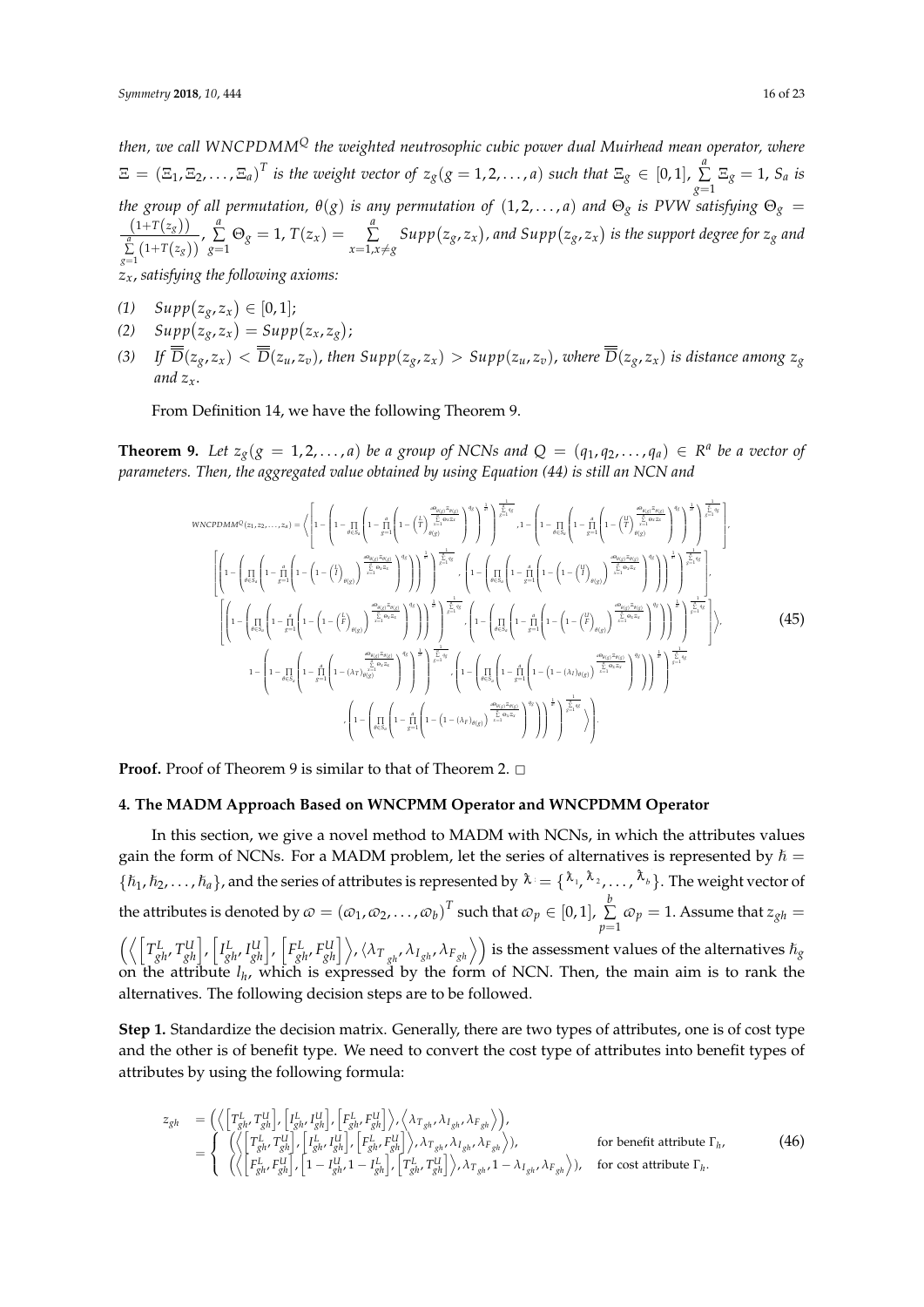then, we call  $WNCPDMM^Q$  the weighted neutrosophic cubic power dual Muirhead mean operator, where  $E = (\Xi_1, \Xi_2, \ldots, \Xi_a)^T$  is the weight vector of  $z_g(g = 1, 2, \ldots, a)$  such that  $\Xi_g \in [0, 1]$ ,  $\sum_a^a$  $\sum_{g=1}$   $\Xi_g = 1$ ,  $S_a$  *is the group of all permutation,*  $\theta(g)$  *is any permutation of*  $(1, 2, \ldots, a)$  *and*  $\Theta_g$  *is PVW satisfying*  $\Theta_g =$  $\frac{\sum\limits_{g=1}^a \left(1+T(z_g)\right)}{\sum\limits_{g=1}^a \left(1+T(z_g)\right)}$ , *a* ∑  $\sum_{g=1}^{a} \Theta_g = 1$ ,  $T(z_x) = \sum_{x=1,3}^{a}$  $x=1, x \neq g$  $\frac{1}{\sqrt[n]{\frac{1}{\sqrt[n]{\Delta}}} \left(1 + T(z_g)\right)}$ ,  $\sum_{g=1}$   $\Theta_g = 1$ ,  $T(z_x) = \sum_{x=1, x \neq g} Supp(z_g, z_x)$ , and  $Supp(z_g, z_x)$  is the support degree for  $z_g$  and  $z_x$ , satisfying the following axioms:  $E = (E_1, E_2, \ldots, E_a)^T$  is the weight vector of  $z_o (g = 1, 2, \ldots, a)$  such that  $E_o \in [0, 1]$ ,  $\sum_{i=1}^{n} E_i$ he group of all permutation,  $\theta(g)$  is any permutation of  $\,$  $\frac{1}{2}$   $\frac{1}{8}$   $\frac{1}{8}$   $\frac{1}{2}$ ,  $\frac{1}{2}$ ,  $\frac{1}{4}$ ,  $\frac{1}{4}$ ,  $\frac{1}{2}$ ,  $\frac{1}{2}$ ,  $\frac{1}{4}$ ,  $\frac{1}{4}$ ,  $\frac{1}{4}$ ,  $\frac{1}{4}$  $(z_x)$  is the support degree for  $z_g$  and ), and  $Supp(z_g, z_x)$  is the support degree for  $z_g$  and **S** the weight bector by  $z_g(s - 1)$ *b*  $\frac{(1+T(z_g))}{(1+T(z_g))}$ ,  $\sum_{g=1}^a \Theta_g = 1$ ,  $T(z_x) = \sum_{x=1, x\neq g}^a$  Supp $(z_g, z_x)$ , and Supp $(z_g, z_x)$  is the support degree for  $z_g$  and **Step 4. Determine the weights related with the NCN ( ) 1,2,...,**  $\frac{1}{2}$  **and**  $\frac{1}{2}$  **and**  $\frac{1}{2}$  **and**  $\frac{1}{2}$  **and**  $\frac{1}{2}$  **and**  $\frac{1}{2}$  **and**  $\frac{1}{2}$  **and**  $\frac{1}{2}$  **and**  $\frac{1}{2}$  **and**  $\frac{1}{2}$  **and**  $\frac{1}{2}$  **and \frac**  $E = (E_1, E_2, \ldots, E_n)^T$  is the weight vector of  $z_o (g = 1, 2, \ldots, a)$  such that  $E_a \in [0, 1]$ ,  $\sum_{n=1}^{a} E_n = 1$ oup of all permutation,  $\theta(g)$  is any permutation of (1,2, *the aggregation of the following axioms:* 

- *(1) Supp*( $z_g$ , $z_x$ ) ∈ [0,1];
- (2)  $Supp(z_g, z_x) = Supp(z_x, z_g);$  $\frac{1}{\sqrt{2}}$  $=$   $(7)$ .
- (3) If  $\overline{D}(z_g,z_x)<\overline{D}(z_u,z_v)$ , then Supp $(z_g,z_x)>$  Supp $(z_u,z_v)$ , where  $\overline{D}(z_g,z_x)$  is distance among  $z_g$ *and zx*. and  $z_x$ .<br>From Definition 14, we have the following Theorem 9.<br>**Theorem 9.** Let  $z_g(g = 1, 2, ..., a)$  be a group of NCNs and  $Q = (q_1, q_2, ..., q_a) \in R^a$  be a vector of  $f(x, z_g)$ ;<br> *(, then Supp*( $z_g$ , $z_x$ ) > Supp( $z_u$ , $z_v$ ), where  $\overline{D}(z_g, z_x)$  is distant  $m \lambda_x$ .  $(z_u, z_v)$ , where  $\overline{\overline{D}}(z_o, z_x)$  is distance among  $z_o$  $p(z_o, z_x) > Supp(z_u, z_v)$ , where  $\overline{\overline{D}}(z_o, z_x)$  is distance among  $z_o$  $\langle \sigma \rangle$ ;<br>  $\sigma_{0} = \frac{1}{2} \sum_{n=0}^{\infty} \sum_{n=0}^{\infty} \sum_{n=0}^{\infty} \sum_{n=0}^{\infty} \sum_{n=0}^{\infty} \sum_{n=0}^{\infty} \sum_{n=0}^{\infty} \sum_{n=0}^{\infty} \sum_{n=0}^{\infty} \sum_{n=0}^{\infty} \sum_{n=0}^{\infty} \sum_{n=0}^{\infty} \sum_{n=0}^{\infty} \sum_{n=0}^{\infty} \sum_{n=0}^{\infty} \sum_{n=0}^{\infty} \sum_{n$  $\mathbf{x}$ .

From Definition 14, we have the following Theorem 9.<br> **orightary 9.** Let  $z_c$  ( $g = 1, 2, ..., a$ ) be a group of NCNs and  $Q =$ Definition 14, we have the following Theorem 9.<br> **Example 1**  $let \, z \, (a = 1, 2, \ldots, a)$  be a groun of NCNs and  $Q = (a + b)$ 

1 ( ) ( ) *S g g g*

*<sup>q</sup> <sup>a</sup> <sup>q</sup> <sup>q</sup> <sup>a</sup> <sup>a</sup>*

*<sup>g</sup> <sup>g</sup> <sup>g</sup> g g g g <sup>g</sup> <sup>a</sup> <sup>a</sup>*

θ *S g* ∈ =

*a L a U*

$$
parameters. Then, the aggregated value obtained by using Equation (44) is still an NCN and
$$
\n
$$
WNCPDMM^{Q}(z_{1}, z_{2},..., z_{a}) = \left\langle \left[ 1 - \left( 1 - \prod_{\ell \in S_{\epsilon}} \left( 1 - \prod_{\ell \in S_{\epsilon}} \left( 1 - \prod_{\ell \in S_{\epsilon}} \left( 1 - \prod_{\ell \in S_{\epsilon}} \left( 1 - \prod_{\ell \in S_{\epsilon}} \left( 1 - \prod_{\ell \in S_{\epsilon}} \left( 1 - \prod_{\ell \in S_{\epsilon}} \left( 1 - \prod_{\ell \in S_{\epsilon}} \left( 1 - \prod_{\ell \in S_{\epsilon}} \left( 1 - \prod_{\ell \in S_{\epsilon}} \left( 1 - \prod_{\ell \in S_{\epsilon}} \left( 1 - \prod_{\ell \in S_{\epsilon}} \left( 1 - \prod_{\ell \in S_{\epsilon}} \left( 1 - \prod_{\ell \in S_{\epsilon}} \left( 1 - \prod_{\ell \in S_{\epsilon}} \left( 1 - \prod_{\ell \in S_{\epsilon}} \left( 1 - \prod_{\ell \in S_{\epsilon}} \left( 1 - \prod_{\ell \in S_{\epsilon}} \left( 1 - \prod_{\ell \in S_{\epsilon}} \left( 1 - \prod_{\ell \in S_{\epsilon}} \left( 1 - \prod_{\ell \in S_{\epsilon}} \left( 1 - \prod_{\ell \in S_{\epsilon}} \left( 1 - \prod_{\ell \in S_{\epsilon}} \left( 1 - \prod_{\ell \in S_{\epsilon}} \left( 1 - \prod_{\ell \in S_{\epsilon}} \left( 1 - \prod_{\ell \in S_{\epsilon}} \left( 1 - \prod_{\ell \in S_{\epsilon}} \left( 1 - \prod_{\ell \in S_{\epsilon}} \left( 1 - \prod_{\ell \in S_{\epsilon}} \left( 1 - \prod_{\ell \in S_{\epsilon}} \left( 1 - \prod_{\ell \in S_{\epsilon}} \left( 1 - \prod_{\ell \in S_{\epsilon}} \left( 1 - \prod_{\ell \in S_{\epsilon}} \left( 1 - \prod_{\ell \in S_{\epsilon}} \left( 1 - \prod_{\ell \in S_{\epsilon}} \left( 1 - \prod_{\ell \in S_{\epsilon}} \left( 1 - \prod_{\ell \in S_{\epsilon}} \left( 1 - \prod_{\ell \in S_{\epsilon}} \left( 1 - \prod_{\ell \
$$

**Proof.** Proof of Theorem 9 is similar to that of Theorem 2.  $\Box$ 

#### <span id="page-15-0"></span>**4. The MADM Approach Based on WNCPMM Operator and WNCPDMM Operator 4. The MADM Approach Based on WNCPMM Operator and WNCPDMM Operator 4. The MADM Approach Based on WNCPMM Operator and WNCPDMM Operator**

In this section, we give a novel method to MADM with NCNs, in which the attributes values gain the form of NCNs. For a MADM problem, let the series of alternatives is represented by  $\hbar =$  $\{\hbar_1,\hbar_2,\ldots,\hbar_a\}$ , and the series of attributes is represented by  $\lambda=\{\lambda_1,\lambda_2,\ldots,\lambda_b\}$ . The weight vector of the attributes is denoted by  $\omega = (\omega_1, \omega_2, ..., \omega_b)^T$  such that  $\omega_p \in [0, 1]$ ,  $\sum_{n=1}^{b} \omega_p =$  $\left[\begin{array}{cc} 1 & L \\ p-1 & p \end{array}\right]$  $\Box$   $\Box$   $\Box$   $\Box$ , 1],  $\sum_{p=1}^{8} \varpi_p = 1$ . Assume that  $z_{gi}$  $\left(\left\langle \begin{bmatrix} T_{zht}^L & T_{zht}^U \end{bmatrix}, \begin{bmatrix} I_{zht}^L & I_{zht}^U \end{bmatrix}, \begin{bmatrix} F_{zht}^L & F_{zht}^U \end{bmatrix} \right\rangle, \langle \lambda_{T_{zht}} \lambda_{T_{zth}} \rangle$  is the assessment values of the alternatives on the attribute  $l_h$ , which is expressed by the form of NCN. Then, the main aim is to rank alternatives. The following decision steps are to be followed. he attributes is denoted by  $\varpi = (\varpi_1, \varpi_2, \ldots, \varpi_b)^T$  such that  $\varpi_p \in [0,1]$ ,  $\sum\limits_{\nu = 0}^b \varpi_p = 1.$  As  $\sum_{i} \omega_p = 1$ .  $\Gamma \circ \mathcal{O} = 1$  $\sum_{p=1}^{6} \varpi_p = 1$ . Assume that  $z_{gh} =$  $\langle \begin{bmatrix} \tau_L & \tau_L \end{bmatrix} \begin{bmatrix} \tau_L & \tau_L \end{bmatrix} \begin{bmatrix} \tau_L & \tau_L \end{bmatrix} \rangle$  ( $\lambda_T$  ,  $\lambda_L$  ,  $\lambda_L$  ) is the assessment values of the alternatives  $\hbar$ *h* the attribute  $l_h$ , which is expressed by the form of NCN. Then, the main aim is to rank the the attributes is denoted by  $\varpi = (\varpi_1, \varpi_2, \ldots, \varpi_b)^T$  such that  $\varpi_p \in [0,1]$ ,  $\sum_b^{b}$  $\sum\limits_{p=1}^{\infty}\varpi_{p}=1$ . Assume that  $z_{gh}=$  $\left(\left\langle \left[T_{gh}^{L},T_{gh}^{U}\right],\left[I_{gh}^{L},I_{gh}^{U}\right],\left[F_{gh}^{L},F_{gh}^{U}\right]\right\rangle$  ,  $\left\langle \lambda_{T_{gh}} ,\lambda_{I_{gh}} ,\lambda_{F_{gh}}\right\rangle \right)$  is the assessment values of the alternatives  $\hbar_{g}$ on the attribute  $l_h$ , which is expressed by the form of NCN. Then, the main aim is to rank the

**Step 1.** Standardize the decision matrix. Generally, there are two types of attributes, one is of cost type and the other is of benefit type. We need to convert the cost type of attributes into benefit types of attributes by using the following formula:

$$
z_{gh} = \left( \left\langle \begin{bmatrix} T_{gh}^L, T_{gh}^U \end{bmatrix}, \begin{bmatrix} I_{gh}^L, I_{gh}^U \end{bmatrix}, \begin{bmatrix} F_{gh}^L, F_{gh}^U \end{bmatrix} \right\rangle, \left\langle \lambda_{T_{gh}}, \lambda_{I_{gh}}, \lambda_{F_{gh}} \right\rangle \right),
$$
  
\n
$$
= \left\{ \left( \left\langle \begin{bmatrix} T_{gh}^L, T_{gh}^U \end{bmatrix}, \begin{bmatrix} I_{gh}^L, I_{gh}^U \end{bmatrix}, \begin{bmatrix} F_{gh}^L, F_{gh}^U \end{bmatrix} \right\rangle, \lambda_{T_{gh}}, \lambda_{I_{gh}}, \lambda_{I_{gh}}, \lambda_{F_{gh}} \right\rangle \right), \text{ for benefit attribute } \Gamma_h,
$$
  
\n
$$
= \left\{ \left( \left\langle \begin{bmatrix} F_{gh}^L, F_{gh}^U \end{bmatrix}, \begin{bmatrix} I_{gh}^L, I_{gh}^U \end{bmatrix}, \begin{bmatrix} I_{gh}^L, T_{gh}^U \end{bmatrix}, \lambda_{T_{gh}}, \lambda_{I_{gh}}, \lambda_{I_{gh}}, \lambda_{F_{gh}} \right\rangle \right), \text{ for cost attribute } \Gamma_h.
$$
  
\n(46)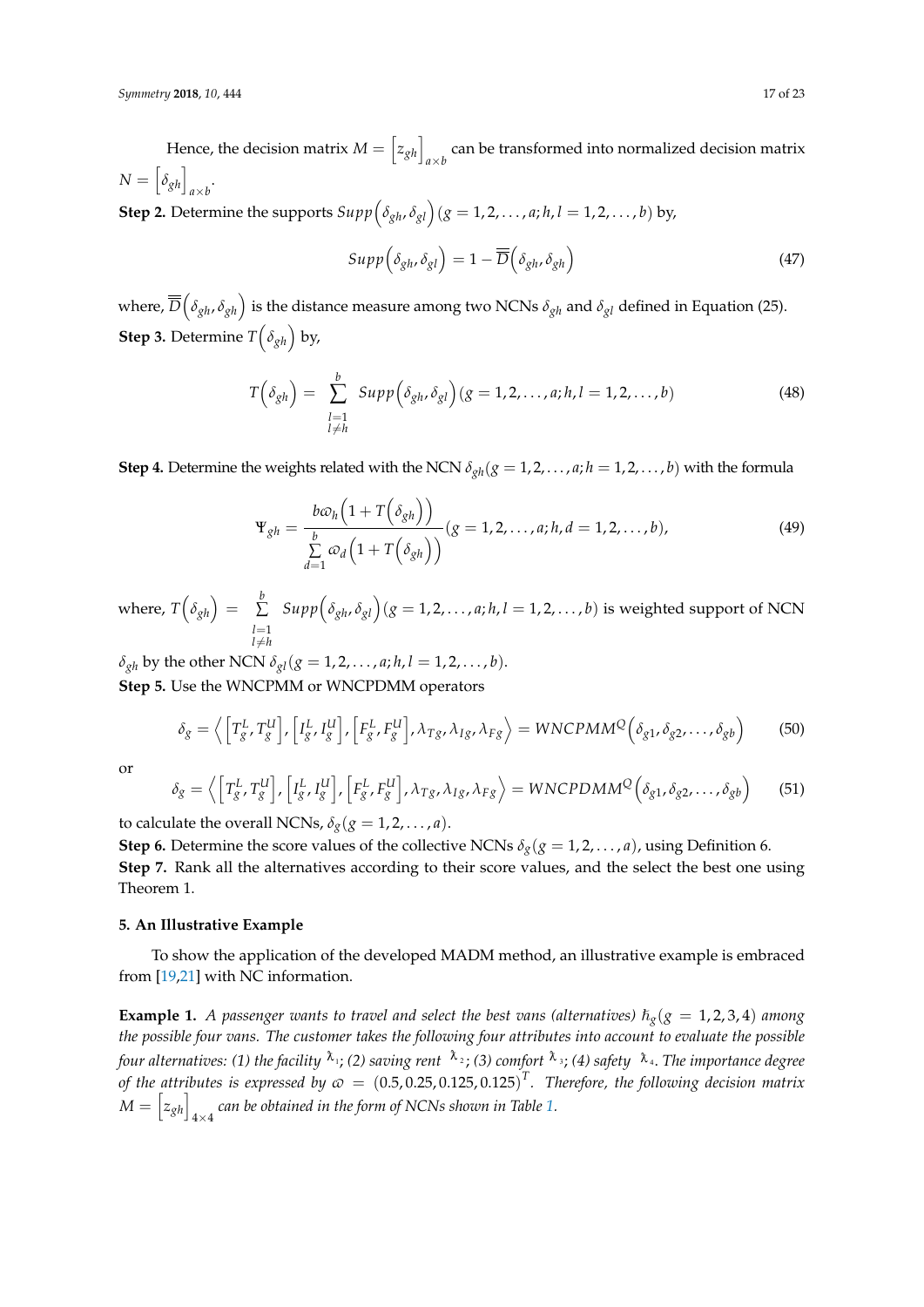Hence, the decision matrix  $M = \left[z_{gh}\right]_{a \times b}$  can be transformed into normalized decision matrix  $N = \left[\delta_{gh}\right]_{a\times b}$ .  $\mathcal{L}$ <br>the decision matrix  $M = \begin{bmatrix} z_{\alpha b} \end{bmatrix}$  can be transformed into normalized decision Hence, the decision matrix *gh a b M z* <sup>×</sup> <sup>=</sup> can be transformed into normalized decision matrix  $\mathbb{R}h$   $\left| \right|$   $\mathbb{R}$   $\mathbb{R}$   $\mathbb{R}$   $\mathbb{R}$   $\mathbb{R}$   $\mathbb{R}$   $\mathbb{R}$   $\mathbb{R}$   $\mathbb{R}$   $\mathbb{R}$   $\mathbb{R}$   $\mathbb{R}$   $\mathbb{R}$   $\mathbb{R}$   $\mathbb{R}$   $\mathbb{R}$   $\mathbb{R}$   $\mathbb{R}$   $\mathbb{R}$   $\mathbb{R}$   $\mathbb{R}$   $\mathbb{R}$   $\mathbb$  $\frac{1}{2}$ Hence, the decision matrix *gh a b M z* <sup>×</sup> <sup>=</sup> can be transformed into normalized decision matrix  $\left|\delta_{gh}\right|$  *a* b  $\left|\delta_{gh}\right|$  *a*  $\left|\delta_{gh}\right|$  *a*  $\left|\delta_{gh}\right|$  *a*  $\left|\delta_{gh}\right|$  *a*  $\left|\delta_{gh}\right|$  *a*  $\left|\delta_{gh}\right|$  *a*  $\left|\delta_{gh}\right|$  *a*  $\left|\delta_{gh}\right|$  *a*  $\left|\delta_{gh}\right|$  *a*  $\left|\delta_{gh}\right|$  *a*  $\left|\delta_{gh}\right|$  *a*  $\left|\delta_{gh}\right|$  *a*  $\left|\delta_{gh}\right|$ 

**Step 2.** Determine the supports  $Supp(\delta_{gh}, \delta_{gl})$   $(g = 1, 2, ..., a; h, l = 1, 2, ..., b)$  by,

$$
Supp\left(\delta_{gh}, \delta_{gl}\right) = 1 - \overline{\overline{D}}\left(\delta_{gh}, \delta_{gh}\right) \tag{47}
$$

where,  $\overline{\overline{D}}\big(\delta_{gh},\delta_{gh}\big)$  is the distance measure among two NCNs  $\delta_{gh}$  and  $\delta_{gl}$  defined in Equation (25). **Step 3.** Determine  $T(\delta_{gh})$  by,

$$
T\left(\delta_{gh}\right) = \sum_{\substack{l=1\\l \neq h}}^{b} Supp\left(\delta_{gh}, \delta_{gl}\right)(g = 1, 2, \dots, a; h, l = 1, 2, \dots, b)
$$
\n(48)

**Step 4.** Determine the weights related with the NCN  $\delta_{gh}(g = 1, 2, ..., a; h = 1, 2, ..., b)$  with the formula

$$
\Psi_{gh} = \frac{b\omega_h \left(1 + T\left(\delta_{gh}\right)\right)}{\sum\limits_{d=1}^b \omega_d \left(1 + T\left(\delta_{gh}\right)\right)} (g = 1, 2, \dots, a; h, d = 1, 2, \dots, b), \tag{49}
$$

where,  $T\left(\delta_{gh}\right) = \sum_{i=1}^{b}$ *l*=1<br>*l≠h*  $Supp\left(\delta_{gh}, \delta_{gl}\right)(g=1, 2, \ldots, a; h, l=1, 2, \ldots, b)$  is weighted support of NCN 1 *l l h* = ≠  $(\cos A) = \sum \sup p(\cos A)$  $(\text{area} \in \mathcal{L} \setminus \mathcal{L}_{gh}) = \sum \ \text{Supp}(\mathcal{L})$  $(\log h) = \sum \sup p$ 1, 1, 2,..., ; , 1, 2,..., *l l h* = ≠  $\text{where, } I\left( \rho_{gh} \right) = 2 \text{ and }$ 

 $\delta_{gh}$  by the other NCN  $\delta_{gl}(g=1,2,\ldots,a;h,l=1,2,\ldots,b)$ . Step 5. Use the WNCPMM or WNCPDMM operators  $\frac{1}{t+h}$  $\frac{1}{\sqrt{2}}$ **Step 5.** Use the WNCPMM or WNCPDMM operators

$$
\delta_g = \left\langle \left[T_g^L, T_g^U\right], \left[I_g^L, I_g^U\right], \left[F_g^L, F_g^U\right], \lambda_{Tg}, \lambda_{Ig}, \lambda_{Fg} \right\rangle = WNCPMM^Q\left(\delta_{g1}, \delta_{g2}, \dots, \delta_{gb}\right) \tag{50}
$$

or

$$
\delta_g = \left\langle \left[T_g^L, T_g^U\right], \left[I_g^L, I_g^U\right], \left[F_g^L, F_g^U\right], \lambda_{Tg}, \lambda_{Ig}, \lambda_{Fg} \right\rangle = WNCPDMM^Q\left(\delta_{g1}, \delta_{g2}, \dots, \delta_{gb}\right) \tag{51}
$$

to calculate the overall NCNs,  $\delta_g(g=1,2,\ldots,a)$ .

**Step 6.** Determine the score values of the collective NCNs  $\delta_g$ ( $g = 1, 2, ..., a$ ), using Definition 6. **Step 7.** Rank all the alternatives according to their score values, and the select the best one using Theorem 1. Theorem 1. Theorem 1.  $\sum_{n=1}^{\infty}$  $\mathbf{F}$  **Step 7. Rank alternatives according to the alternatives**  $\mathbf{g}(\mathbf{o} - \mathbf{v})$  **and the select the best one using the select the select the select the best one using the select the select the select the select th**  $T$ .  $\frac{1}{1}$ **Step 7.** Rank all the alternatives according to their score values, and the select the best one using **Step 7.** Rank all the alternatives according to their score values, and the select the best one using

## <span id="page-16-0"></span>**5. An Illustrative Example 5. An Illustrative Example 5. An Illustrative Example 5. An Illustrative Example 5. An Illustrative Example**

To show the application of the developed MADM method, an illustrative example is embraced from  $[19,21]$  $[19,21]$  with NC information.

**Example 1.** A passenger wants to travel and select the best vans (alternatives)  $\hbar_g(g = 1, 2, 3, 4)$  among the possible four vans. The customer takes the following four attributes into account to evaluate the possible four alternatives: (1) the facility  $^a$ 1; (2) saving rent  $^a$ 2; (3) comfort  $^a$ 3; (4) safety  $^a$ 4. The importance degree of the attributes is expressed by  $\varpi = (0.5, 0.25, 0.125, 0.125)^{\text{T}}$ . Therefore, the following decision matrix  $M = \left[ z_{gh} \right]_{4 \times 4}$  can be obtained in the form of NCNs shown in Table [1.](#page-17-0)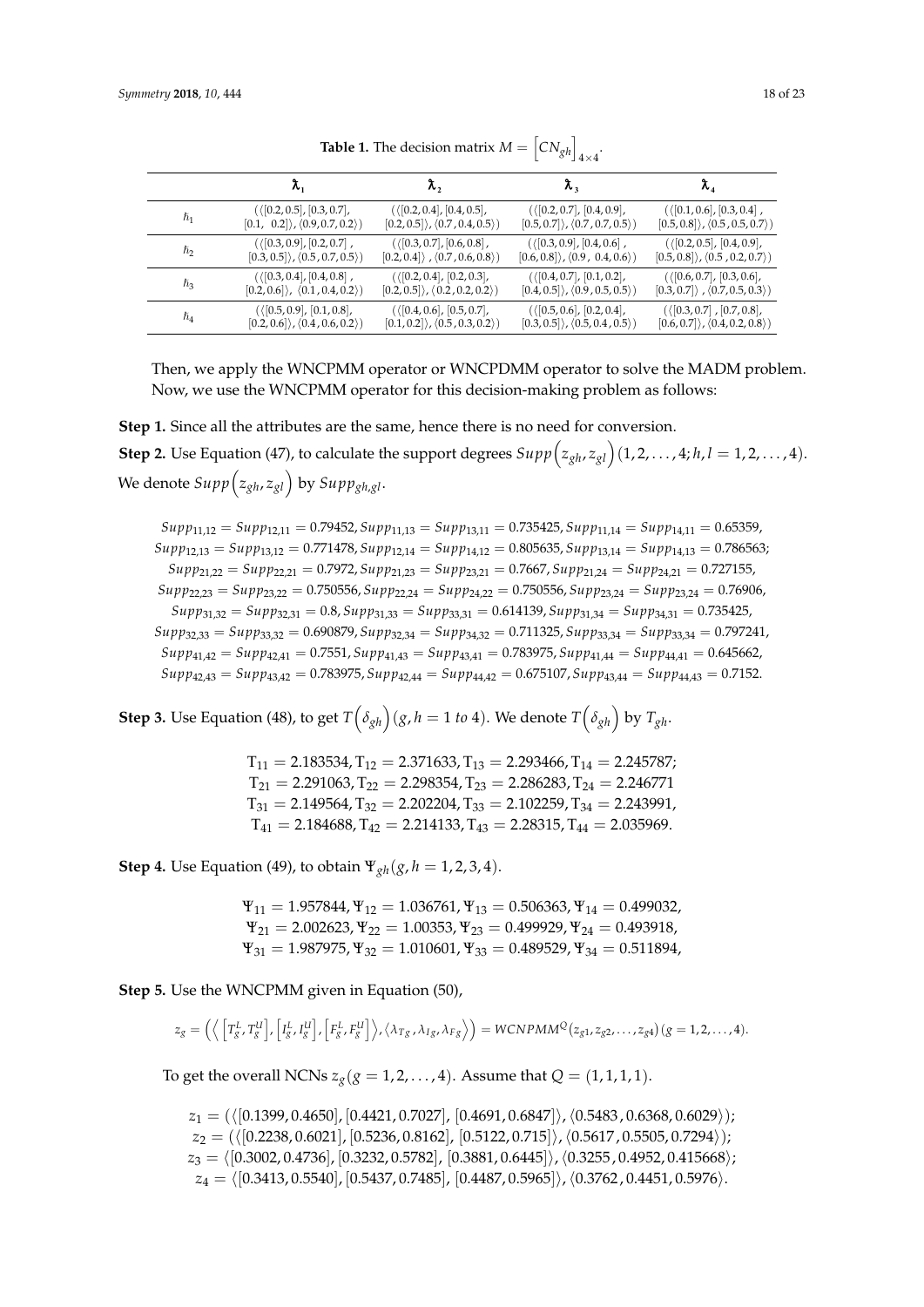<span id="page-17-0"></span>

|             | λ,                                       | λ,                                       | λ,                                                       | $\pmb{\chi}_{_4}$                                 |
|-------------|------------------------------------------|------------------------------------------|----------------------------------------------------------|---------------------------------------------------|
| $\hbar_1$   | $(\langle [0.2, 0.5], [0.3, 0.7],$       | $(\langle [0.2, 0.4], [0.4, 0.5],$       | $({\langle [0.2, 0.7], [0.4, 0.9],$                      | $(\langle [0.1, 0.6], [0.3, 0.4],$                |
|             | $[0.1, 0.2] \rangle$ , $(0.9, 0.7, 0.2)$ | $[0.2, 0.5] \rangle$ , $(0.7, 0.4, 0.5)$ | $[0.5, 0.7] \rangle$ , $(0.7, 0.7, 0.5)$                 | $[0.5, 0.8] \rangle$ , $(0.5, 0.5, 0.7)$          |
| $\hslash_2$ | $(\langle [0.3, 0.9], [0.2, 0.7],$       | $({\langle [0.3, 0.7], [0.6, 0.8],$      | $(\langle [0.3, 0.9], [0.4, 0.6], \rangle)$              | $(\langle [0.2, 0.5], [0.4, 0.9],$                |
|             | $[0.3, 0.5] \rangle$ , $(0.5, 0.7, 0.5)$ | $[0.2, 0.4] \rangle$ , $(0.7, 0.6, 0.8)$ | $[0.6, 0.8] \rangle$ , $\langle 0.9, 0.4, 0.6 \rangle$   | $ 0.5, 0.8\rangle, \langle 0.5, 0.2, 0.7\rangle)$ |
| $\hslash_3$ | $(\langle [0.3, 0.4], [0.4, 0.8],$       | $({\langle [0.2, 0.4], [0.2, 0.3],$      | $(\langle [0.4, 0.7], [0.1, 0.2],$                       | $(\langle [0.6, 0.7], [0.3, 0.6],$                |
|             | $[0.2, 0.6]$ , $(0.1, 0.4, 0.2)$         | $[0.2, 0.5] \rangle$ , $(0.2, 0.2, 0.2)$ | $[0.4, 0.5] \rangle$ , $(0.9, 0.5, 0.5)$                 | $[0.3, 0.7] \rangle$ , $(0.7, 0.5, 0.3)$          |
| $\hslash_4$ | $(\langle [0.5, 0.9], [0.1, 0.8],$       | $(\langle [0.4, 0.6], [0.5, 0.7],$       | $(\langle 0.5, 0.6], [0.2, 0.4],$                        | $(\langle [0.3, 0.7], [0.7, 0.8],$                |
|             | $[0.2, 0.6]$ , $(0.4, 0.6, 0.2)$         | $[0.1, 0.2] \rangle$ , $(0.5, 0.3, 0.2)$ | $[0.3, 0.5] \rangle$ , $\langle 0.5, 0.4, 0.5 \rangle$ ) | $[0.6, 0.7] \rangle$ , $(0.4, 0.2, 0.8)$          |
|             |                                          |                                          |                                                          |                                                   |

**Table 1.** The decision matrix  $M = \begin{bmatrix} CN_{gh} \end{bmatrix}_{4 \times 4}$ .

Then, we apply the WNCPMM operator or WNCPDMM operator to solve the MADM problem. Now, we use the WNCPMM operator for this decision-making problem as follows:

**Step 1.** Since all the attributes are the same, hence there is no need for conversion. **Step 2.** Use Equation (47), to calculate the support degrees  $Supp(z_{gh}, z_{gl})(1, 2, \ldots, 4; h, l = 1, 2, \ldots, 4)$ . We denote  $Supp\big(z_{gh},z_{gl}\big)$  by  $Supp_{gh,gl}.$ *Supply Supply Supply Supply Supply Supply Supply Supply Supply Supply Supply Supply Supply Supply Supply Supply Supply Supply Supply Supply Supply Supply Supply Supply Supply Supply Supply Supply Supply Supply Supply Supp* 

 $Supp_{11,12} = Supp_{12,11} = 0.79452$ ,  $Supp_{11,13} = Supp_{13,11} = 0.735425$ ,  $Supp_{11,14} = Supp_{14,11} = 0.65359$ ,  $2771470$   $0.000767$   $0.000767$   $0.000767$  $Supp_{21,22} = Supp_{22,21} = 0.7972, Supp_{21,23} = Supp_{23,21} = 0.7667, Supp_{21,24} = Supp_{24,21} = 0.727155,$  $\mu_{PP12,14} - \sigma_{\mu_{P14,12}} - \sigma_{\sigma_{\sigma_{\sigma_{\sigma}}} \sigma_{\sigma_{\sigma_{\sigma}}} \sigma_{\mu_{P13,14}} - \sigma_{\mu_{\sigma_{\sigma}}}$ *Supp Supp Supp Supp Supp Supp Supp Supp Supp Supp Supp Supp* == == ==  $= 0.771478, Supp_{12,14} = Supp_{14,12} = 0.805635, Supp_{13,14} = S$  $\frac{3}{3}$  31,332  $\frac{3}{3}$ 1,332  $\frac{3}{3}$ 1,334  $\frac{3}{3}$ 32,33 33,32 32,34 34,32 33,34 33,34  $\omega$ upp $\gamma$ 22,24 –  $\omega$ upp $\gamma$ 24,22 –  $\omega$ .790990, 0upp $\gamma$ 23,24 – 9u *Suppl* Supply Supply Supply Supply Supply Supply Supply Supply Supply Supply Supply Supply Supply Supply Supply Supply Supply Supply Supply Supply Supply Supply Supply Supply Supply Supply Supply Supply Supply Supply Supp *Supp Supp Supp Supp Supp Supp*  $\frac{1}{2}$  ==  $\frac{1}{2}$  ==  $\frac{1}{2}$  ==  $\frac{1}{2}$  ==  $\frac{1}{2}$  ==  $\frac{1}{2}$  ==  $\frac{1}{2}$  ==  $\frac{1}{2}$  ==  $\frac{1}{2}$  ==  $\frac{1}{2}$  ==  $\frac{1}{2}$  ==  $\frac{1}{2}$  ==  $\frac{1}{2}$  ==  $\frac{1}{2}$  ==  $\frac{1}{2}$  ==  $\frac{1}{2}$  ==  $\frac{1}{2}$  == 0.750556,  $Supp_{22,24} = Supp_{24,22} = 0.750556$ ,  $Supp_{23,24} =$  $\frac{1}{4}$ ,42  $\frac{1}{4}$ ,42,41  $\frac{1}{4}$ ,411,495, 0.64566  $Supp_{41,42} = Supp_{42,41} = 0.7551$ ,  $Supp_{41,43} = Supp_{43,41} = 0.783975$ ,  $Supp_{41,44} = Supp_{44,41} = 0.645662$ ,  $W''$   $P'$   $S^2$ ,  $S^4$   $S^4$ ,  $S^2$   $S^3$ ,  $S^4$   $S^4$   $S^4$ *Supp Supp Supp Supp Supp Supp* Suppose System Supp Supp Suppose Suppose Suppose Suppose Suppose Supplies  $\overline{a}$   $\overline{a}$   $\overline{a}$   $\overline{a}$   $\overline{a}$   $\overline{a}$   $\overline{a}$   $\overline{a}$   $\overline{a}$   $\overline{a}$   $\overline{a}$   $\overline{a}$   $\overline{a}$   $\overline{a}$   $\overline{a}$   $\overline{a}$   $\overline{a}$   $\overline{a}$   $\overline{a}$   $\overline{a}$   $\overline{a}$   $\overline{a}$   $\overline{a}$   $\overline{a}$   $\overline{$ .690879,  $Supp_{32,34} = Supp_{34,32} = 0.711325$ ,  $Supp_{33,34} = Supp_{34}$  $Supp_{42,43} = Supp_{43,42} = 0.783975, Supp_{42,44} = Supp_{44,42} = 0.675107, Supp_{43,44} = Supp_{44,43} = 0.7152.$  $\gamma_{12,14} - \sigma_{\mu} \gamma_{14,12} - \sigma_{000000}, \sigma_{\mu} \gamma_{13,14} - \sigma_{\mu} \gamma_{14}$ *Supp Supp Supp Supp Supp Supp*  $= 0.771170, 640012, 14 = 640014, 12 = 0.000000, 640001$ == == == 771478,  $Supp_{12,14} = Supp_{14,12} = 0.805635$ ,  $Supp_{13,14} = Su$ 32,33 33,32 32,34 34,32 33,34 33,34  $\mu$ pp22,24 – э $\mu$ pp24,22 – 0.7 э $0$ ээд, э $\mu$ pp23,24 – э $\mu$ p *Supply Supply Supply Supply Supply Supply Supply Supply Supply*  $S = 0.750550, 500p_{22,24} = 50p_{24,22} = 0.750550, 500p_{24}$  $\frac{1}{2}$  ==  $\frac{1}{2}$  ==  $\frac{1}{2}$  ==  $\frac{1}{2}$  ==  $\frac{1}{2}$  ==  $\frac{1}{2}$  ==  $\frac{1}{2}$  ==  $\frac{1}{2}$  ==  $\frac{1}{2}$  ==  $\frac{1}{2}$  ==  $\frac{1}{2}$  ==  $\frac{1}{2}$  ==  $\frac{1}{2}$  ==  $\frac{1}{2}$  ==  $\frac{1}{2}$  ==  $\frac{1}{2}$  ==  $\frac{1}{2}$  == == == == 31,32 32,31 31,33 33,31 31,34 34,31 0.8, 0.614139, 0.735425,  $0.752,34$   $0.71020,0.7707,3.34$   $0.75$ *Supp Supp Supp Supp Supp Supp* Suppose Supp S<sub>4,34</sub> Supp Suppose Suppose Suppose Suppose Suppose Suppose Suppose Suppose Suppose Suppose Suppose Suppose Suppose Suppose Suppose Suppose Suppose Suppose Suppose Suppose Suppose Suppose Suppose Suppose Supp  $\overline{a}$  =  $\overline{a}$  =  $\overline{a}$  =  $\overline{a}$  =  $\overline{a}$  =  $\overline{a}$  =  $\overline{a}$  =  $\overline{a}$  =  $\overline{a}$  =  $\overline{a}$  =  $\overline{a}$  =  $\overline{a}$  =  $\overline{a}$  =  $\overline{a}$  =  $\overline{a}$  =  $\overline{a}$  =  $\overline{a}$  =  $\overline{a}$  =  $\overline{a}$  =  $\overline{a}$  =  $=$  590879,  $Supp_{32,34} = Supp_{34,32} = 0.711325, Supp_{33,34} = Supp_{34,34}$  $W_{12,14} - \sigma_{\mu} W_{14,12} - \sigma_{\sigma} \sigma_{\sigma} \sigma_{\sigma} W_{13,14} - \sigma_{\mu} W_{14}$ **Supplies Supplies Suppliers** Suppliers Suppliers Suppliers Suppliers Suppliers Suppliers Suppliers Suppliers Suppliers Suppliers Suppliers Suppliers Suppliers Suppliers Suppliers Suppliers Suppliers Suppliers Suppliers Su  $S = 0.71110, \text{supp } p_{12,14} = 0.000000, \text{supp } p_{13,14}$  $\frac{1}{2}$  =  $\frac{1}{2}$  =  $\frac{1}{2}$  =  $\frac{1}{2}$  =  $\frac{1}{2}$  =  $\frac{1}{2}$  =  $\frac{1}{2}$  $1478, Supp_{12,14} = Supp_{14,12} = 0.805635, Supp_{13,14} = Supp_{14,15}$ 32,33 33,32 32,34 34,32 33,34 33,34  $pp$ 22,24 – 5upp $p$ 24,22 – 0.750550, 5upp $p$ 23,24 – 5upp *Supply Supply Supply Supply Supply Supply Supply Supply Supply Supply Supply Supply Supp Supp Supp Supp Supp Supp*  $\frac{1}{2}$  ==  $\frac{1}{2}$  ==  $\frac{1}{2}$  ==  $\frac{1}{2}$  ==  $\frac{1}{2}$  ==  $\frac{1}{2}$  ==  $\frac{1}{2}$  ==  $\frac{1}{2}$  ==  $\frac{1}{2}$  ==  $\frac{1}{2}$  ==  $\frac{1}{2}$  ==  $\frac{1}{2}$  ==  $\frac{1}{2}$  ==  $\frac{1}{2}$  ==  $\frac{1}{2}$  ==  $\frac{1}{2}$  ==  $\frac{1}{2}$  ==  $= 3.50556, Supp_{22,24} = Supp_{24,22} = 0.750556, Supp_{23,24} = Supp_{24,25}$  $P_{0.5,94}$   $\sigma_{\mu}P_{0.4,32}$   $\sigma_{\mu}P_{1.5,32}$   $\sigma_{\mu}P_{1.5,33}$   $\sigma_{\mu}P_{1.5}$ *Supp Supp Supp Supp Supp Supp Supp Supp Supp Supp Supp Supp*  $\overline{a}$  =  $\overline{a}$  =  $\overline{a}$  =  $\overline{a}$  =  $\overline{a}$  =  $\overline{a}$  =  $\overline{a}$  =  $\overline{a}$  =  $\overline{a}$  =  $\overline{a}$  =  $\overline{a}$  =  $\overline{a}$  =  $\overline{a}$  =  $\overline{a}$  =  $\overline{a}$  =  $\overline{a}$  =  $\overline{a}$  =  $\overline{a}$  =  $\overline{a}$  =  $\overline{a}$  =  $=$  879,  $Supp_{32,34} = Supp_{34,32} = 0.711325, Supp_{33,34} = Supp_{33,34}$  $\mu_{1,14} = 0.000056$   $\mu_{1,14} = 0.00000$   $\mu_{1,14} = 0.0000$   $\mu_{1,14} = 0.0000$ *Supp Supp Supp Supp Supp Supp*  $S_{I}$  supp  $S_{I}$  supp  $S_{I}$  supp  $S_{I}$  supply  $S_{I}$  supply  $S_{I}$  supply  $S_{I}$  supply  $S_{I}$  supply  $S_{I}$  supply  $S_{I}$  supply  $S_{I}$  supply  $S_{I}$  supply  $S_{I}$  supply  $S_{I}$  supply  $S_{I}$  supply  $S_{I}$  supply  $S_{$ == == == == == == *Supp*12,13 = *Supp*13,12 = 0.771478, *Supp*12,14 = *Supp*14,12 = 0.805635, *Supp*13,14 = *Supp*14,13 = 0.786563; 32,33 33,32 32,34 34,32 33,34 33,34  $0.750556$ ,  $Supp_{22,24} = Supp_{24,22} = 0.750556$ ,  $Supp_{23,24} = Supp_{23,24}$ == == == *Supp*22,23 = *Supp*23,22 = 0.750556, *Supp*22,24 = *Supp*24,22 = 0.750556, *Supp*23,24 = *Supp*23,24 = 0.76906,  $34$   $0.71020$ ,  $0.71020$ ,  $0.7107$ ,  $0.794$   $0.797$ ,  $0.799$  $Supp_{32,33} = Supp_{33,32} = 0.690879, Supp_{32,34} = Supp_{34,32} = 0.711325, Supp_{33,34} = Supp_{33,34} = 0.797241,$ *Supp*31,32 = *Supp*32,31 = 0.8, *Supp*31,33 = *Supp*33,31 = 0.614139, *Supp*31,34 = *Supp*34,31 = 0.735425,

 $\left( \begin{array}{c} x \\ y \end{array} \right)$   $\left( \begin{array}{c} a \\ b \end{array} \right) = 1$  to 1) We denote T  $\lambda$ ,  $(a \mid b = 1 \text{ to } 4)$  We denote  $T$  $T_{\rm c}$   $(c \; h = 1 \; \mu \; d)$  We denote  $T_{\rm c}$  $I(a \mid b = 1 \text{ to } A)$  We denote  $T(\lambda)$ **Step 3.** Use Equation (48), to get  $T\left(\delta_{gh}\right)(g,h=1 \text{ to } 4)$ . We denote  $T\left(\delta_{gh}\right)$  by  $T_{gh}$ .

> $T_{11} = 2.183534, T_{12} = 2.371633, T_{13} = 2.293466, T_{14} = 2.245787;$  $T_{21} = 2.291063, T_{22} = 2.298354, T_{23} = 2.286283, T_{24} = 2.246771$  $T_{31} = 2.149564, T_{32} = 2.202204, T_{33} = 2.102259, T_{34} = 2.243991,$  $T_{41} = 2.184688, T_{42} = 2.214133, T_{43} = 2.28315, T_{44} = 2.035969.$

 $T = 7.149591, T = 2.02591, T = 2.02591, T = 2.24391, T = 2.24391, T = 2.24391, T = 2.24391, T = 2.24391, T = 2.24391, T = 2.24391, T = 2.24391, T = 2.24391, T = 2.24391, T = 2.24391, T = 2.24391, T = 2.24391, T = 2.24391, T = 2.24391, T = 2.24391, T = 2.24391$ 

 $T$  =2.149564, T  $\sim$ 

 $T$  =2.149564, T  $\sim$ 

 $\sqrt{2}$ 

**Step 4.** Use Equation (49), to obtain  $\Psi_{gh}(g, h = 1, 2, 3, 4)$ .

 $\Psi_{11} = 1.957844, \Psi_{12} = 1.036761, \Psi_{13} = 0.506363, \Psi_{14} = 0.499032,$  $\Psi_{31} = 1.987975, \Psi_{32} = 1.010601, \Psi_{33} = 0.489529, \Psi_{34} = 0.511894,$ *z*<sub>2</sub>  $\frac{1}{2}$  , 0.5236,0.6163,0.5236,0.715 , 0.5236,0.715 , 0.52 *z*<sub>2</sub> → (*0.*⊆338,0.602) , 0.5236,0.5236,0.52 *z*  $\frac{1}{2}$  , 0.5236,0.616,0.5236,0.715 , 0.52 *z*<sub>2</sub> → ( ) <sub>2.52</sub>36,0.6021 , 0.5236,0.715 , 0.5236,0.715 , 0.52  $\Psi_{21} = 2.002623, \Psi_{22} = 1.00353, \Psi_{23} = 0.499929, \Psi_{24} = 0.493918,$ 

**Step 5.** Use the WNCPMM given in Equation (50),

$$
z_g = \left( \left\langle \left[ T_g^L, T_g^U \right], \left[ I_g^L, I_g^U \right], \left[ F_g^L, F_g^U \right] \right\rangle, \left\langle \lambda_{Tg}, \lambda_{Ig}, \lambda_{Fg} \right\rangle \right) = WCNPMM^Q(z_{g1}, z_{g2}, \dots, z_{g4})(g = 1, 2, \dots, 4).
$$

To get the overall NCNs  $z_g$  ( $g = 1, 2, ..., 4$ ). Assume that  $Q = (1, 1, 1, 1)$ .

 $z_1 = (\langle [0.1399, 0.4650], [0.4421, 0.7027], [0.4691, 0.6847] \rangle, \langle 0.5483, 0.6368, 0.6029 \rangle);$  $z_2 = (\langle [0.2238, 0.6021], [0.5236, 0.8162], [0.5122, 0.715] \rangle, \langle 0.5617, 0.5505, 0.7294 \rangle);$  $z_3 = \langle [0.3002, 0.4736], [0.3232, 0.5782], [0.3881, 0.6445] \rangle$ ,  $\langle 0.3255, 0.4952, 0.415668 \rangle$ ;  $z_4 = \langle 0.3413, 0.5540, 0.5437, 0.7485, 0.4487, 0.5965, 0.3762, 0.4451, 0.5976 \rangle.$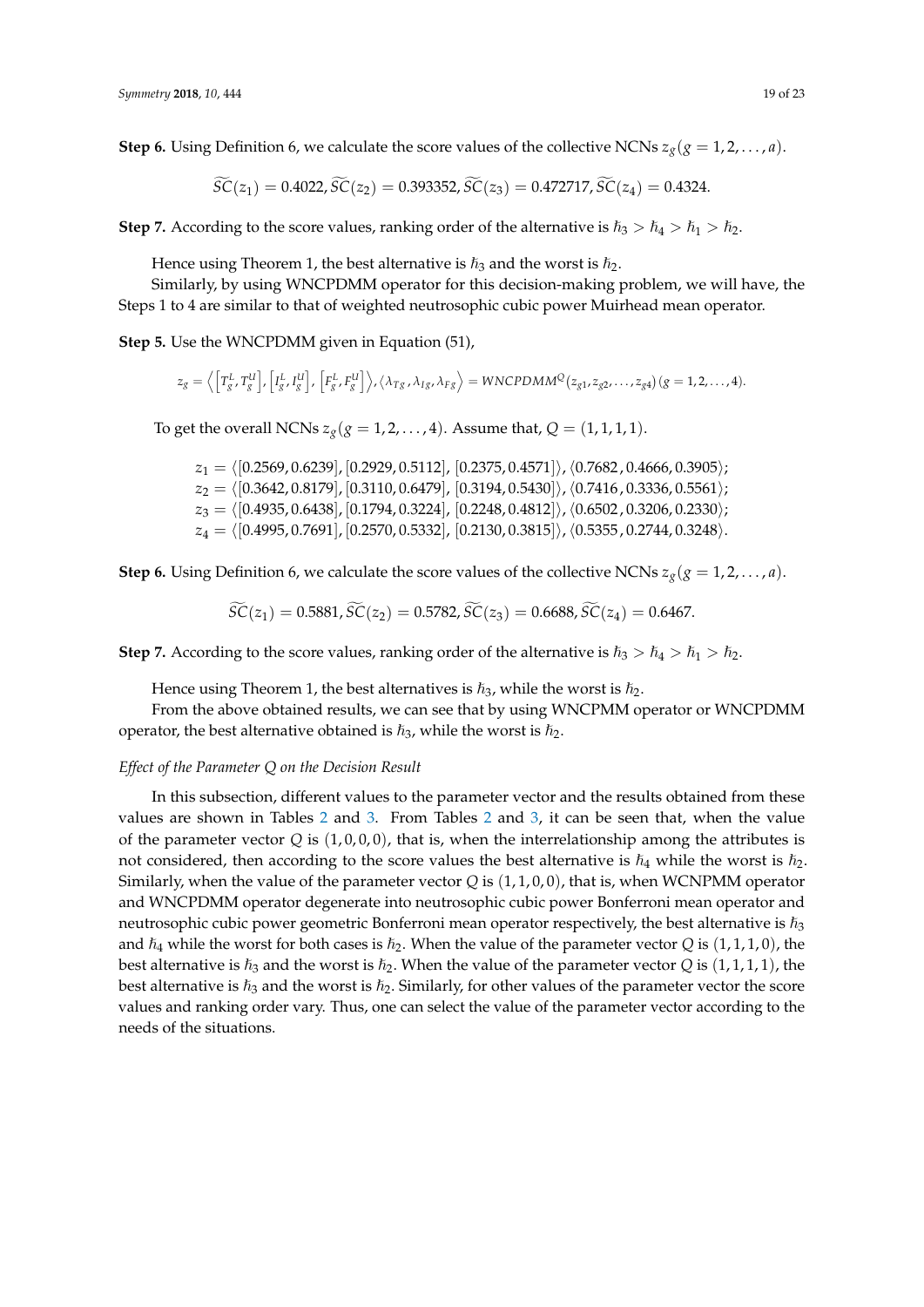$\sim$   $\sim$ 

**Step 6.** Using Definition 6, we calculate the score values of the collective NCNs  $z_g$  ( $g = 1, 2, ..., a$ ).

$$
\widetilde{SC}(z_1)=0.4022, \widetilde{SC}(z_2)=0.393352, \widetilde{SC}(z_3)=0.472717, \widetilde{SC}(z_4)=0.4324.
$$

**Step 7.** According to the score values, ranking order of the alternative is  $\hbar_3 > \hbar_4 > \hbar_1 > \hbar_2$ .

Hence using Theorem 1, the best alternative is  $\hbar_3$  and the worst is  $\hbar_2$ .

Similarly, by using WNCPDMM operator for this decision-making problem, we will have, the Steps 1 to 4 are similar to that of weighted neutrosophic cubic power Muirhead mean operator.

**Step 5.** Use the WNCPDMM given in Equation (51),

$$
z_g = \left\langle \left[T_g^L, T_g^U\right], \left[T_g^L, I_g^U\right], \left[F_g^L, F_g^U\right]\right\rangle, \left\langle \lambda_{Tg}, \lambda_{Ig}, \lambda_{Fg} \right\rangle = WNCPDMM^Q(z_{g1}, z_{g2}, \dots, z_{g4})(g = 1, 2, \dots, 4).
$$

To get the overall NCNs  $z_g$  ( $g = 1, 2, ..., 4$ ). Assume that,  $Q = (1, 1, 1, 1)$ .

 $z_1 = \langle [0.2569, 0.6239], [0.2929, 0.5112], [0.2375, 0.4571] \rangle$ ,  $\langle 0.7682, 0.4666, 0.3905 \rangle$ ;  $z_2 = \langle [0.3642, 0.8179], [0.3110, 0.6479], [0.3194, 0.5430] \rangle$ ,  $\langle 0.7416, 0.3336, 0.5561 \rangle$ ; *z*<sub>3</sub> =  $\langle$ [0.4935, 0.6438], [0.1794, 0.3224], [0.2248, 0.4812] $\rangle$ ,  $\langle$ 0.6502, 0.3206, 0.2330 $\rangle$ ; *z*<sub>4</sub> =  $\langle$ [0.4995, 0.7691], [0.2570, 0.5332], [0.2130, 0.3815]),  $\langle$ 0.5355, 0.2744, 0.3248 $\rangle$ .

**Step 6.** Using Definition 6, we calculate the score values of the collective NCNs  $z_g$  ( $g = 1, 2, ..., a$ ).

$$
\widetilde{SC}(z_1) = 0.5881, \widetilde{SC}(z_2) = 0.5782, \widetilde{SC}(z_3) = 0.6688, \widetilde{SC}(z_4) = 0.6467.
$$

**Step 7.** According to the score values, ranking order of the alternative is  $\hbar_3 > \hbar_4 > \hbar_1 > \hbar_2$ .

Hence using Theorem 1, the best alternatives is  $\hbar_3$ , while the worst is  $\hbar_2$ .

From the above obtained results, we can see that by using WNCPMM operator or WNCPDMM operator, the best alternative obtained is  $\hbar_3$ , while the worst is  $\hbar_2$ .

## *Effect of the Parameter Q on the Decision Result*

In this subsection, different values to the parameter vector and the results obtained from these values are shown in Tables [2](#page-19-1) and [3.](#page-19-2) From Tables [2](#page-19-1) and [3,](#page-19-2) it can be seen that, when the value of the parameter vector  $Q$  is  $(1, 0, 0, 0)$ , that is, when the interrelationship among the attributes is not considered, then according to the score values the best alternative is  $\hbar_4$  while the worst is  $\hbar_2$ . Similarly, when the value of the parameter vector *Q* is (1, 1, 0, 0), that is, when WCNPMM operator and WNCPDMM operator degenerate into neutrosophic cubic power Bonferroni mean operator and neutrosophic cubic power geometric Bonferroni mean operator respectively, the best alternative is  $h_3$ and  $\hbar_4$  while the worst for both cases is  $\hbar_2$ . When the value of the parameter vector *Q* is (1, 1, 1, 0), the best alternative is  $h_3$  and the worst is  $h_2$ . When the value of the parameter vector *Q* is (1, 1, 1, 1), the best alternative is  $\hbar_3$  and the worst is  $\hbar_2$ . Similarly, for other values of the parameter vector the score values and ranking order vary. Thus, one can select the value of the parameter vector according to the needs of the situations.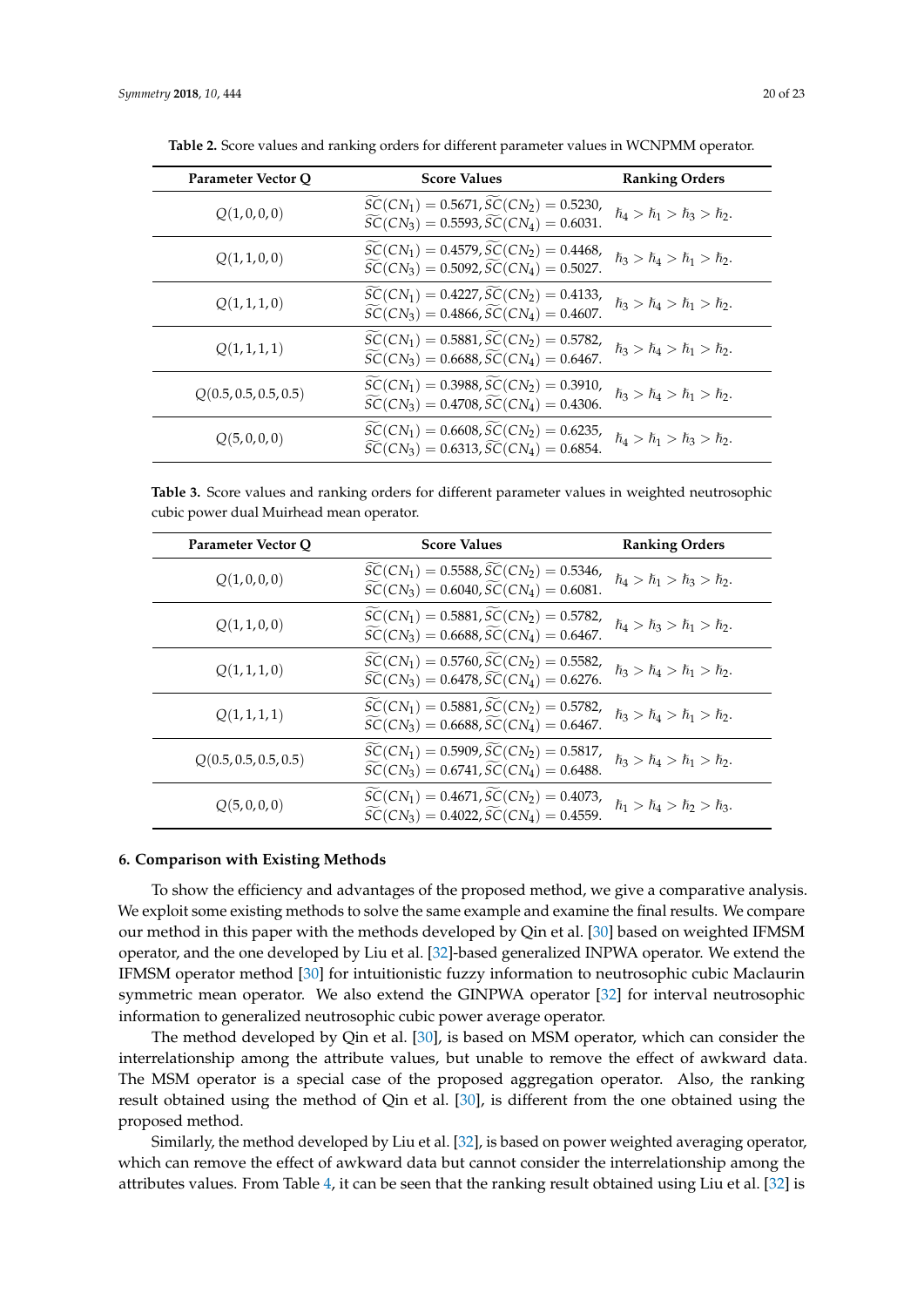<span id="page-19-1"></span>

| Parameter Vector O    | <b>Score Values</b>                                                                                                                    | <b>Ranking Orders</b>                             |
|-----------------------|----------------------------------------------------------------------------------------------------------------------------------------|---------------------------------------------------|
| Q(1,0,0,0)            | $\widetilde{SC}(CN_1) = 0.5671, \widetilde{SC}(CN_2) = 0.5230,$<br>$\widetilde{SC}(CN_3) = 0.5593, \widetilde{SC}(CN_4) = 0.6031.$     | $\hslash_4 > \hslash_1 > \hslash_3 > \hslash_2$ . |
| Q(1,1,0,0)            | $\widetilde{SC}(CN_1) = 0.4579, \widetilde{SC}(CN_2) = 0.4468,$<br>$\widetilde{SC}(CN_3) = 0.5092, \widetilde{SC}(CN_4) = 0.5027.$     | $\hbar_3 > \hbar_4 > \hbar_1 > \hbar_2$ .         |
| Q(1,1,1,0)            | $\widetilde{SC}(CN_1) = 0.4227, \widetilde{SC}(CN_2) = 0.4133,$<br>$\widetilde{SC}(CN_3) = 0.4866$ , $\widetilde{SC}(CN_4) = 0.4607$ . | $\hbar_3 > \hbar_4 > \hbar_1 > \hbar_2$ .         |
| Q(1,1,1,1)            | $\widetilde{SC}(CN_1) = 0.5881, \widetilde{SC}(CN_2) = 0.5782,$<br>$\widetilde{SC}(CN_3) = 0.6688, \widetilde{SC}(CN_4) = 0.6467.$     | $\hslash_3 > \hslash_4 > \hslash_1 > \hslash_2$ . |
| Q(0.5, 0.5, 0.5, 0.5) | $\widetilde{SC}(CN_1) = 0.3988, \widetilde{SC}(CN_2) = 0.3910,$<br>$\widetilde{SC}(CN_3) = 0.4708, \widetilde{SC}(CN_4) = 0.4306.$     | $\hbar_3 > \hbar_4 > \hbar_1 > \hbar_2$ .         |
| Q(5,0,0,0)            | $\widetilde{SC}(CN_1) = 0.6608, \widetilde{SC}(CN_2) = 0.6235,$<br>$\widetilde{SC}(CN_3) = 0.6313, \widetilde{SC}(CN_4) = 0.6854.$     | $\hslash_4 > \hslash_1 > \hslash_3 > \hslash_2.$  |

**Table 2.** Score values and ranking orders for different parameter values in WCNPMM operator.

<span id="page-19-2"></span>**Table 3.** Score values and ranking orders for different parameter values in weighted neutrosophic cubic power dual Muirhead mean operator.

| Parameter Vector Q    | <b>Score Values</b>                                                                                                                | <b>Ranking Orders</b>                             |
|-----------------------|------------------------------------------------------------------------------------------------------------------------------------|---------------------------------------------------|
| Q(1,0,0,0)            | $\widetilde{SC}(CN_1) = 0.5588, \widetilde{SC}(CN_2) = 0.5346,$<br>$SC(CN_3) = 0.6040, SC(CN_4) = 0.6081.$                         | $\hslash_4 > \hslash_1 > \hslash_3 > \hslash_2$ . |
| Q(1,1,0,0)            | $\widetilde{SC}(CN_1) = 0.5881, \widetilde{SC}(CN_2) = 0.5782,$<br>$\widetilde{SC}(CN_3) = 0.6688, \widetilde{SC}(CN_4) = 0.6467.$ | $\hbar_4 > \hbar_3 > \hbar_1 > \hbar_2$ .         |
| Q(1,1,1,0)            | $\widetilde{SC}(CN_1) = 0.5760, \widetilde{SC}(CN_2) = 0.5582,$<br>$\widetilde{SC}(CN_3) = 0.6478, \widetilde{SC}(CN_4) = 0.6276.$ | $\hbar_3 > \hbar_4 > \hbar_1 > \hbar_2$ .         |
| Q(1,1,1,1)            | $\widetilde{SC}(CN_1) = 0.5881, \widetilde{SC}(CN_2) = 0.5782,$<br>$\widetilde{SC}(CN_3) = 0.6688, \widetilde{SC}(CN_4) = 0.6467.$ | $\hbar_3 > \hbar_4 > \hbar_1 > \hbar_2$ .         |
| Q(0.5, 0.5, 0.5, 0.5) | $\widetilde{SC}(CN_1) = 0.5909, \widetilde{SC}(CN_2) = 0.5817,$<br>$\widetilde{SC}(CN_3) = 0.6741, \widetilde{SC}(CN_4) = 0.6488.$ | $\hbar_3 > \hbar_4 > \hbar_1 > \hbar_2$ .         |
| Q(5,0,0,0)            | $\widetilde{SC}(CN_1) = 0.4671, \widetilde{SC}(CN_2) = 0.4073,$<br>$\widetilde{SC}(CN_3) = 0.4022, \widetilde{SC}(CN_4) = 0.4559.$ | $\hbar_1 > \hbar_4 > \hbar_2 > \hbar_3$ .         |

#### <span id="page-19-0"></span>**6. Comparison with Existing Methods**

To show the efficiency and advantages of the proposed method, we give a comparative analysis. We exploit some existing methods to solve the same example and examine the final results. We compare our method in this paper with the methods developed by Qin et al. [\[30\]](#page-22-14) based on weighted IFMSM operator, and the one developed by Liu et al. [\[32\]](#page-22-16)-based generalized INPWA operator. We extend the IFMSM operator method [\[30\]](#page-22-14) for intuitionistic fuzzy information to neutrosophic cubic Maclaurin symmetric mean operator. We also extend the GINPWA operator [\[32\]](#page-22-16) for interval neutrosophic information to generalized neutrosophic cubic power average operator.

The method developed by Qin et al. [\[30\]](#page-22-14), is based on MSM operator, which can consider the interrelationship among the attribute values, but unable to remove the effect of awkward data. The MSM operator is a special case of the proposed aggregation operator. Also, the ranking result obtained using the method of Qin et al. [\[30\]](#page-22-14), is different from the one obtained using the proposed method.

Similarly, the method developed by Liu et al. [\[32\]](#page-22-16), is based on power weighted averaging operator, which can remove the effect of awkward data but cannot consider the interrelationship among the attributes values. From Table [4,](#page-20-0) it can be seen that the ranking result obtained using Liu et al. [\[32\]](#page-22-16) is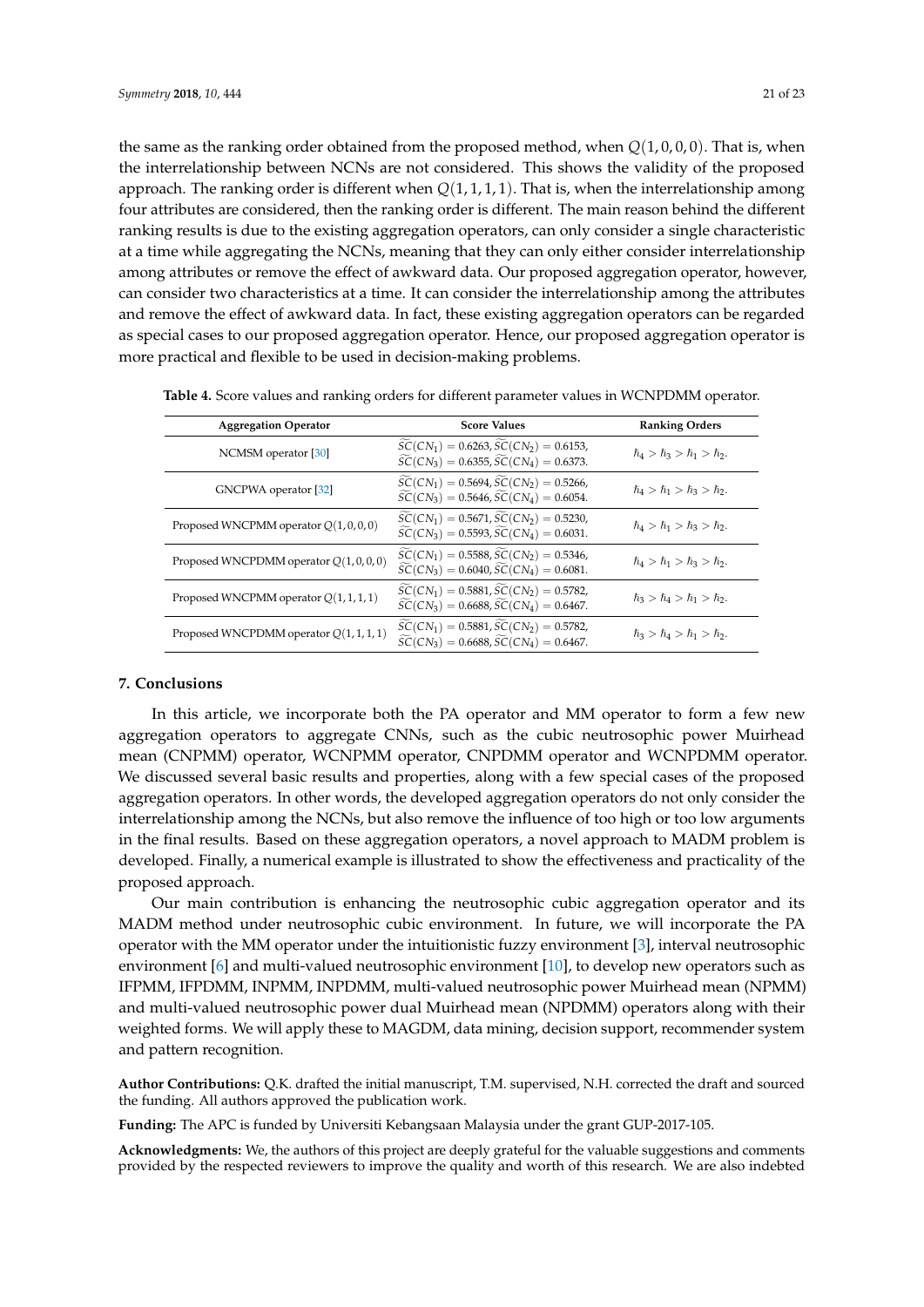the same as the ranking order obtained from the proposed method, when *Q*(1, 0, 0, 0). That is, when the interrelationship between NCNs are not considered. This shows the validity of the proposed approach. The ranking order is different when  $Q(1, 1, 1, 1)$ . That is, when the interrelationship among four attributes are considered, then the ranking order is different. The main reason behind the different ranking results is due to the existing aggregation operators, can only consider a single characteristic at a time while aggregating the NCNs, meaning that they can only either consider interrelationship among attributes or remove the effect of awkward data. Our proposed aggregation operator, however, can consider two characteristics at a time. It can consider the interrelationship among the attributes and remove the effect of awkward data. In fact, these existing aggregation operators can be regarded as special cases to our proposed aggregation operator. Hence, our proposed aggregation operator is more practical and flexible to be used in decision-making problems.

| <b>Aggregation Operator</b>            | <b>Score Values</b>                                                                                                                | <b>Ranking Orders</b>                             |
|----------------------------------------|------------------------------------------------------------------------------------------------------------------------------------|---------------------------------------------------|
| NCMSM operator [30]                    | $SC(CN_1) = 0.6263, SC(CN_2) = 0.6153,$<br>$SC(CN_3) = 0.6355, SC(CN_4) = 0.6373.$                                                 | $\hslash_4 > \hslash_3 > \hslash_1 > \hslash_2$ . |
| GNCPWA operator [32]                   | $\widetilde{SC}(CN_1) = 0.5694, \widetilde{SC}(CN_2) = 0.5266,$<br>$\widetilde{SC}(CN_3) = 0.5646, \widetilde{SC}(CN_4) = 0.6054.$ | $\hslash_4 > \hslash_1 > \hslash_3 > \hslash_2$ . |
| Proposed WNCPMM operator $Q(1,0,0,0)$  | $\widetilde{SC}(CN_1) = 0.5671, \widetilde{SC}(CN_2) = 0.5230,$<br>$SC(CN_3) = 0.5593, SC(CN_4) = 0.6031.$                         | $\hslash_4 > \hslash_1 > \hslash_3 > \hslash_2$ . |
| Proposed WNCPDMM operator $Q(1,0,0,0)$ | $\widetilde{SC}(CN_1) = 0.5588, \widetilde{SC}(CN_2) = 0.5346,$<br>$SC(CN_3) = 0.6040, SC(CN_4) = 0.6081.$                         | $\hslash_4 > \hslash_1 > \hslash_3 > \hslash_2$ . |
| Proposed WNCPMM operator $Q(1,1,1,1)$  | $\widetilde{SC}(CN_1) = 0.5881, \widetilde{SC}(CN_2) = 0.5782,$<br>$SC(CN_3) = 0.6688, SC(CN_4) = 0.6467.$                         | $\hbar_3 > \hbar_4 > \hbar_1 > \hbar_2$ .         |
| Proposed WNCPDMM operator $Q(1,1,1,1)$ | $\widetilde{SC}(CN_1) = 0.5881, \widetilde{SC}(CN_2) = 0.5782,$<br>$\widetilde{SC}(CN_3) = 0.6688, \widetilde{SC}(CN_4) = 0.6467.$ | $\hbar_3 > \hbar_4 > \hbar_1 > \hbar_2$ .         |

<span id="page-20-0"></span>**Table 4.** Score values and ranking orders for different parameter values in WCNPDMM operator.

## **7. Conclusions**

In this article, we incorporate both the PA operator and MM operator to form a few new aggregation operators to aggregate CNNs, such as the cubic neutrosophic power Muirhead mean (CNPMM) operator, WCNPMM operator, CNPDMM operator and WCNPDMM operator. We discussed several basic results and properties, along with a few special cases of the proposed aggregation operators. In other words, the developed aggregation operators do not only consider the interrelationship among the NCNs, but also remove the influence of too high or too low arguments in the final results. Based on these aggregation operators, a novel approach to MADM problem is developed. Finally, a numerical example is illustrated to show the effectiveness and practicality of the proposed approach.

Our main contribution is enhancing the neutrosophic cubic aggregation operator and its MADM method under neutrosophic cubic environment. In future, we will incorporate the PA operator with the MM operator under the intuitionistic fuzzy environment [\[3\]](#page-21-2), interval neutrosophic environment [\[6\]](#page-21-5) and multi-valued neutrosophic environment [\[10\]](#page-21-9), to develop new operators such as IFPMM, IFPDMM, INPMM, INPDMM, multi-valued neutrosophic power Muirhead mean (NPMM) and multi-valued neutrosophic power dual Muirhead mean (NPDMM) operators along with their weighted forms. We will apply these to MAGDM, data mining, decision support, recommender system and pattern recognition.

**Author Contributions:** Q.K. drafted the initial manuscript, T.M. supervised, N.H. corrected the draft and sourced the funding. All authors approved the publication work.

**Funding:** The APC is funded by Universiti Kebangsaan Malaysia under the grant GUP-2017-105.

**Acknowledgments:** We, the authors of this project are deeply grateful for the valuable suggestions and comments provided by the respected reviewers to improve the quality and worth of this research. We are also indebted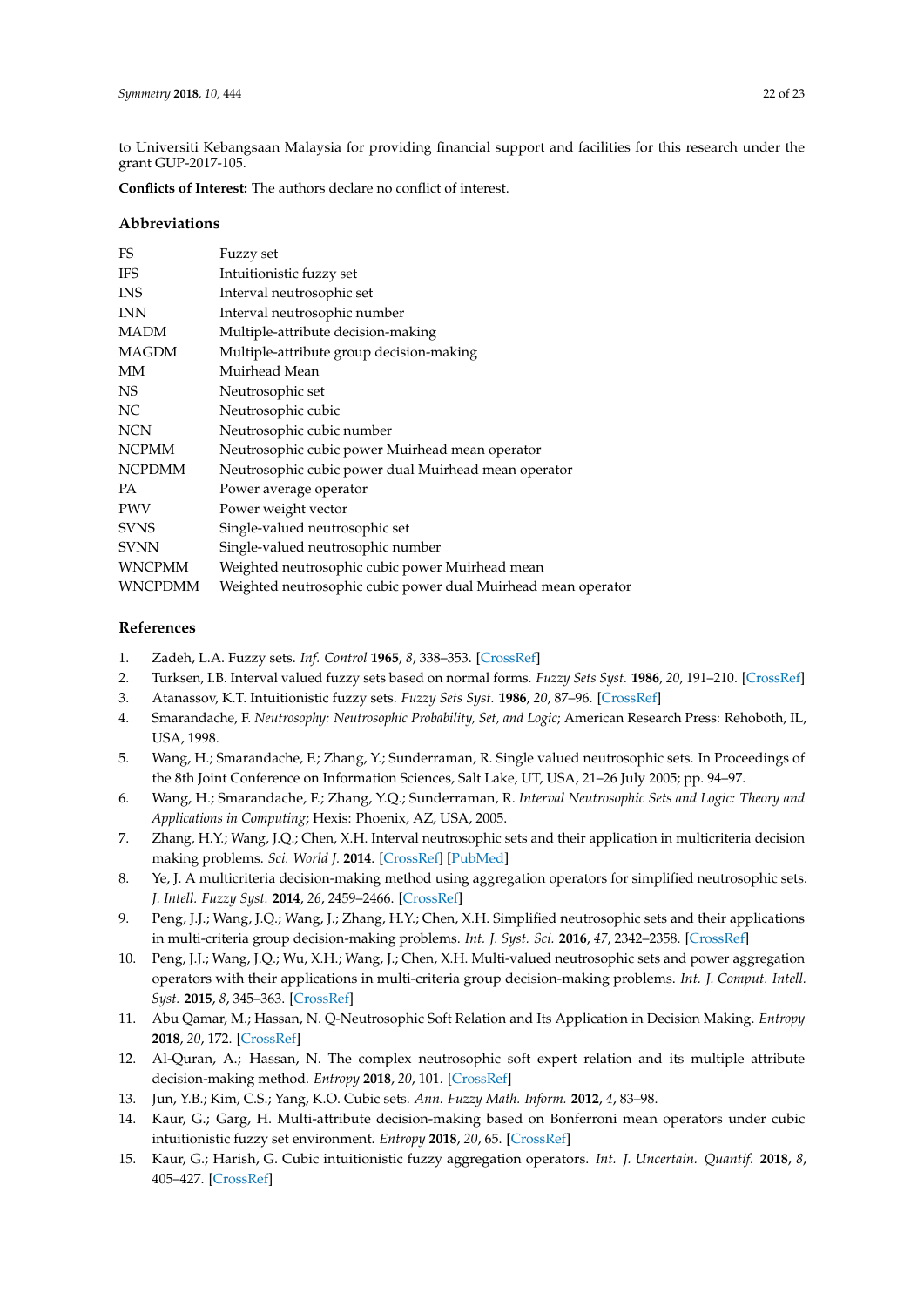to Universiti Kebangsaan Malaysia for providing financial support and facilities for this research under the grant GUP-2017-105.

**Conflicts of Interest:** The authors declare no conflict of interest.

## **Abbreviations**

| FS             | Fuzzy set                                                     |
|----------------|---------------------------------------------------------------|
| IFS            | Intuitionistic fuzzy set                                      |
| <b>INS</b>     | Interval neutrosophic set                                     |
| <b>INN</b>     | Interval neutrosophic number                                  |
| <b>MADM</b>    | Multiple-attribute decision-making                            |
| <b>MAGDM</b>   | Multiple-attribute group decision-making                      |
| MМ             | Muirhead Mean                                                 |
| NS.            | Neutrosophic set                                              |
| NC             | Neutrosophic cubic                                            |
| <b>NCN</b>     | Neutrosophic cubic number                                     |
| <b>NCPMM</b>   | Neutrosophic cubic power Muirhead mean operator               |
| <b>NCPDMM</b>  | Neutrosophic cubic power dual Muirhead mean operator          |
| PA             | Power average operator                                        |
| PWV            | Power weight vector                                           |
| <b>SVNS</b>    | Single-valued neutrosophic set                                |
| <b>SVNN</b>    | Single-valued neutrosophic number                             |
| <b>WNCPMM</b>  | Weighted neutrosophic cubic power Muirhead mean               |
| <b>WNCPDMM</b> | Weighted neutrosophic cubic power dual Muirhead mean operator |

## **References**

- <span id="page-21-0"></span>1. Zadeh, L.A. Fuzzy sets. *Inf. Control* **1965**, *8*, 338–353. [\[CrossRef\]](http://dx.doi.org/10.1016/S0019-9958(65)90241-X)
- <span id="page-21-1"></span>2. Turksen, I.B. Interval valued fuzzy sets based on normal forms. *Fuzzy Sets Syst.* **1986**, *20*, 191–210. [\[CrossRef\]](http://dx.doi.org/10.1016/0165-0114(86)90077-1)
- <span id="page-21-2"></span>3. Atanassov, K.T. Intuitionistic fuzzy sets. *Fuzzy Sets Syst.* **1986**, *20*, 87–96. [\[CrossRef\]](http://dx.doi.org/10.1016/S0165-0114(86)80034-3)
- <span id="page-21-3"></span>4. Smarandache, F. *Neutrosophy: Neutrosophic Probability, Set, and Logic*; American Research Press: Rehoboth, IL, USA, 1998.
- <span id="page-21-4"></span>5. Wang, H.; Smarandache, F.; Zhang, Y.; Sunderraman, R. Single valued neutrosophic sets. In Proceedings of the 8th Joint Conference on Information Sciences, Salt Lake, UT, USA, 21–26 July 2005; pp. 94–97.
- <span id="page-21-5"></span>6. Wang, H.; Smarandache, F.; Zhang, Y.Q.; Sunderraman, R. *Interval Neutrosophic Sets and Logic: Theory and Applications in Computing*; Hexis: Phoenix, AZ, USA, 2005.
- <span id="page-21-6"></span>7. Zhang, H.Y.; Wang, J.Q.; Chen, X.H. Interval neutrosophic sets and their application in multicriteria decision making problems. *Sci. World J.* **2014**. [\[CrossRef\]](http://dx.doi.org/10.1155/2014/645953) [\[PubMed\]](http://www.ncbi.nlm.nih.gov/pubmed/24695916)
- <span id="page-21-7"></span>8. Ye, J. A multicriteria decision-making method using aggregation operators for simplified neutrosophic sets. *J. Intell. Fuzzy Syst.* **2014**, *26*, 2459–2466. [\[CrossRef\]](http://dx.doi.org/10.3233/IFS-130916)
- <span id="page-21-8"></span>9. Peng, J.J.; Wang, J.Q.; Wang, J.; Zhang, H.Y.; Chen, X.H. Simplified neutrosophic sets and their applications in multi-criteria group decision-making problems. *Int. J. Syst. Sci.* **2016**, *47*, 2342–2358. [\[CrossRef\]](http://dx.doi.org/10.1080/00207721.2014.994050)
- <span id="page-21-9"></span>10. Peng, J.J.; Wang, J.Q.; Wu, X.H.; Wang, J.; Chen, X.H. Multi-valued neutrosophic sets and power aggregation operators with their applications in multi-criteria group decision-making problems. *Int. J. Comput. Intell. Syst.* **2015**, *8*, 345–363. [\[CrossRef\]](http://dx.doi.org/10.1080/18756891.2015.1001957)
- <span id="page-21-10"></span>11. Abu Qamar, M.; Hassan, N. Q-Neutrosophic Soft Relation and Its Application in Decision Making. *Entropy* **2018**, *20*, 172. [\[CrossRef\]](http://dx.doi.org/10.3390/e20030172)
- <span id="page-21-11"></span>12. Al-Quran, A.; Hassan, N. The complex neutrosophic soft expert relation and its multiple attribute decision-making method. *Entropy* **2018**, *20*, 101. [\[CrossRef\]](http://dx.doi.org/10.3390/e20020101)
- <span id="page-21-12"></span>13. Jun, Y.B.; Kim, C.S.; Yang, K.O. Cubic sets. *Ann. Fuzzy Math. Inform.* **2012**, *4*, 83–98.
- <span id="page-21-13"></span>14. Kaur, G.; Garg, H. Multi-attribute decision-making based on Bonferroni mean operators under cubic intuitionistic fuzzy set environment. *Entropy* **2018**, *20*, 65. [\[CrossRef\]](http://dx.doi.org/10.3390/e20010065)
- <span id="page-21-14"></span>15. Kaur, G.; Harish, G. Cubic intuitionistic fuzzy aggregation operators. *Int. J. Uncertain. Quantif.* **2018**, *8*, 405–427. [\[CrossRef\]](http://dx.doi.org/10.1615/Int.J.UncertaintyQuantification.2018020471)